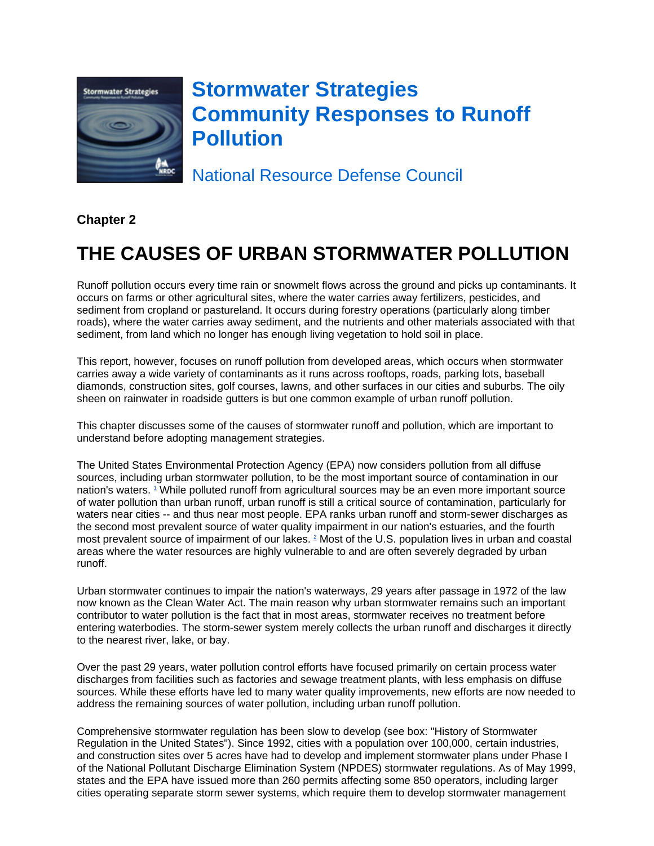

# **Stormwater Strategies Community Responses to Runoff Pollution**

National Resource Defense Council

**Chapter 2**

# **THE CAUSES OF URBAN STORMWATER POLLUTION**

Runoff pollution occurs every time rain or snowmelt flows across the ground and picks up contaminants. It occurs on farms or other agricultural sites, where the water carries away fertilizers, pesticides, and sediment from cropland or pastureland. It occurs during forestry operations (particularly along timber roads), where the water carries away sediment, and the nutrients and other materials associated with that sediment, from land which no longer has enough living vegetation to hold soil in place.

This report, however, focuses on runoff pollution from developed areas, which occurs when stormwater carries away a wide variety of contaminants as it runs across rooftops, roads, parking lots, baseball diamonds, construction sites, golf courses, lawns, and other surfaces in our cities and suburbs. The oily sheen on rainwater in roadside gutters is but one common example of urban runoff pollution.

This chapter discusses some of the causes of stormwater runoff and pollution, which are important to understand before adopting management strategies.

The United States Environmental Protection Agency (EPA) now considers pollution from all diffuse sources, including urban stormwater pollution, to be the most important source of contamination in our nation's waters. <sup>1</sup> While polluted runoff from agricultural sources may be an even more important source of water pollution than urban runoff, urban runoff is still a critical source of contamination, particularly for waters near cities -- and thus near most people. EPA ranks urban runoff and storm-sewer discharges as the second most prevalent source of water quality impairment in our nation's estuaries, and the fourth most prevalent source of impairment of our lakes. <sup>2</sup> Most of the U.S. population lives in urban and coastal areas where the water resources are highly vulnerable to and are often severely degraded by urban runoff.

Urban stormwater continues to impair the nation's waterways, 29 years after passage in 1972 of the law now known as the Clean Water Act. The main reason why urban stormwater remains such an important contributor to water pollution is the fact that in most areas, stormwater receives no treatment before entering waterbodies. The storm-sewer system merely collects the urban runoff and discharges it directly to the nearest river, lake, or bay.

Over the past 29 years, water pollution control efforts have focused primarily on certain process water discharges from facilities such as factories and sewage treatment plants, with less emphasis on diffuse sources. While these efforts have led to many water quality improvements, new efforts are now needed to address the remaining sources of water pollution, including urban runoff pollution.

Comprehensive stormwater regulation has been slow to develop (see box: "History of Stormwater Regulation in the United States"). Since 1992, cities with a population over 100,000, certain industries, and construction sites over 5 acres have had to develop and implement stormwater plans under Phase I of the National Pollutant Discharge Elimination System (NPDES) stormwater regulations. As of May 1999, states and the EPA have issued more than 260 permits affecting some 850 operators, including larger cities operating separate storm sewer systems, which require them to develop stormwater management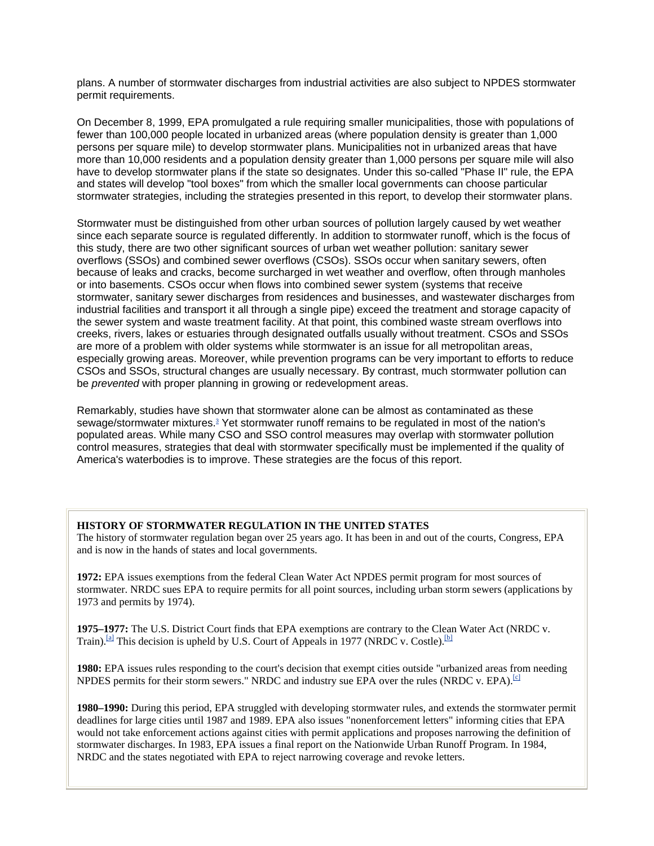plans. A number of stormwater discharges from industrial activities are also subject to NPDES stormwater permit requirements.

On December 8, 1999, EPA promulgated a rule requiring smaller municipalities, those with populations of fewer than 100,000 people located in urbanized areas (where population density is greater than 1,000 persons per square mile) to develop stormwater plans. Municipalities not in urbanized areas that have more than 10,000 residents and a population density greater than 1,000 persons per square mile will also have to develop stormwater plans if the state so designates. Under this so-called "Phase II" rule, the EPA and states will develop "tool boxes" from which the smaller local governments can choose particular stormwater strategies, including the strategies presented in this report, to develop their stormwater plans.

Stormwater must be distinguished from other urban sources of pollution largely caused by wet weather since each separate source is regulated differently. In addition to stormwater runoff, which is the focus of this study, there are two other significant sources of urban wet weather pollution: sanitary sewer overflows (SSOs) and combined sewer overflows (CSOs). SSOs occur when sanitary sewers, often because of leaks and cracks, become surcharged in wet weather and overflow, often through manholes or into basements. CSOs occur when flows into combined sewer system (systems that receive stormwater, sanitary sewer discharges from residences and businesses, and wastewater discharges from industrial facilities and transport it all through a single pipe) exceed the treatment and storage capacity of the sewer system and waste treatment facility. At that point, this combined waste stream overflows into creeks, rivers, lakes or estuaries through designated outfalls usually without treatment. CSOs and SSOs are more of a problem with older systems while stormwater is an issue for all metropolitan areas, especially growing areas. Moreover, while prevention programs can be very important to efforts to reduce CSOs and SSOs, structural changes are usually necessary. By contrast, much stormwater pollution can be *prevented* with proper planning in growing or redevelopment areas.

Remarkably, studies have shown that stormwater alone can be almost as contaminated as these sewage/stormwater mixtures.<sup>3</sup> Yet stormwater runoff remains to be regulated in most of the nation's populated areas. While many CSO and SSO control measures may overlap with stormwater pollution control measures, strategies that deal with stormwater specifically must be implemented if the quality of America's waterbodies is to improve. These strategies are the focus of this report.

### **HISTORY OF STORMWATER REGULATION IN THE UNITED STATES**

The history of stormwater regulation began over 25 years ago. It has been in and out of the courts, Congress, EPA and is now in the hands of states and local governments.

**1972:** EPA issues exemptions from the federal Clean Water Act NPDES permit program for most sources of stormwater. NRDC sues EPA to require permits for all point sources, including urban storm sewers (applications by 1973 and permits by 1974).

**1975–1977:** The U.S. District Court finds that EPA exemptions are contrary to the Clean Water Act (NRDC v. Train).<sup>[a]</sup> This decision is upheld by U.S. Court of Appeals in 1977 (NRDC v. Costle).<sup>[b]</sup>

**1980:** EPA issues rules responding to the court's decision that exempt cities outside "urbanized areas from needing NPDES permits for their storm sewers." NRDC and industry sue EPA over the rules (NRDC v. EPA).<sup>[c]</sup>

**1980–1990:** During this period, EPA struggled with developing stormwater rules, and extends the stormwater permit deadlines for large cities until 1987 and 1989. EPA also issues "nonenforcement letters" informing cities that EPA would not take enforcement actions against cities with permit applications and proposes narrowing the definition of stormwater discharges. In 1983, EPA issues a final report on the Nationwide Urban Runoff Program. In 1984, NRDC and the states negotiated with EPA to reject narrowing coverage and revoke letters.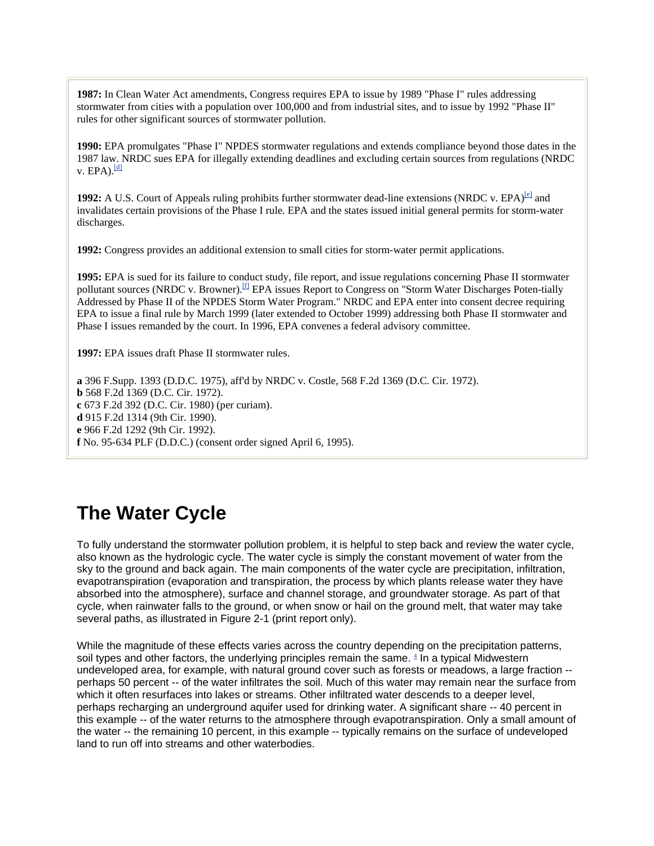**1987:** In Clean Water Act amendments, Congress requires EPA to issue by 1989 "Phase I" rules addressing stormwater from cities with a population over 100,000 and from industrial sites, and to issue by 1992 "Phase II" rules for other significant sources of stormwater pollution.

**1990:** EPA promulgates "Phase I" NPDES stormwater regulations and extends compliance beyond those dates in the 1987 law. NRDC sues EPA for illegally extending deadlines and excluding certain sources from regulations (NRDC v.  $EPA$ ). $\frac{dI}{dI}$ 

**1992:** A U.S. Court of Appeals ruling prohibits further stormwater dead-line extensions (NRDC v. EPA)<sup>[e]</sup> and invalidates certain provisions of the Phase I rule. EPA and the states issued initial general permits for storm-water discharges.

**1992:** Congress provides an additional extension to small cities for storm-water permit applications.

**1995:** EPA is sued for its failure to conduct study, file report, and issue regulations concerning Phase II stormwater pollutant sources (NRDC v. Browner).<sup>[f]</sup> EPA issues Report to Congress on "Storm Water Discharges Poten-tially Addressed by Phase II of the NPDES Storm Water Program." NRDC and EPA enter into consent decree requiring EPA to issue a final rule by March 1999 (later extended to October 1999) addressing both Phase II stormwater and Phase I issues remanded by the court. In 1996, EPA convenes a federal advisory committee.

**1997:** EPA issues draft Phase II stormwater rules.

**a** 396 F.Supp. 1393 (D.D.C. 1975), aff'd by NRDC v. Costle, 568 F.2d 1369 (D.C. Cir. 1972). **b** 568 F.2d 1369 (D.C. Cir. 1972). **c** 673 F.2d 392 (D.C. Cir. 1980) (per curiam). **d** 915 F.2d 1314 (9th Cir. 1990). **e** 966 F.2d 1292 (9th Cir. 1992). **f** No. 95-634 PLF (D.D.C.) (consent order signed April 6, 1995).

# **The Water Cycle**

To fully understand the stormwater pollution problem, it is helpful to step back and review the water cycle, also known as the hydrologic cycle. The water cycle is simply the constant movement of water from the sky to the ground and back again. The main components of the water cycle are precipitation, infiltration, evapotranspiration (evaporation and transpiration, the process by which plants release water they have absorbed into the atmosphere), surface and channel storage, and groundwater storage. As part of that cycle, when rainwater falls to the ground, or when snow or hail on the ground melt, that water may take several paths, as illustrated in Figure 2-1 (print report only).

While the magnitude of these effects varies across the country depending on the precipitation patterns, soil types and other factors, the underlying principles remain the same.  $4$  In a typical Midwestern undeveloped area, for example, with natural ground cover such as forests or meadows, a large fraction - perhaps 50 percent -- of the water infiltrates the soil. Much of this water may remain near the surface from which it often resurfaces into lakes or streams. Other infiltrated water descends to a deeper level, perhaps recharging an underground aquifer used for drinking water. A significant share -- 40 percent in this example -- of the water returns to the atmosphere through evapotranspiration. Only a small amount of the water -- the remaining 10 percent, in this example -- typically remains on the surface of undeveloped land to run off into streams and other waterbodies.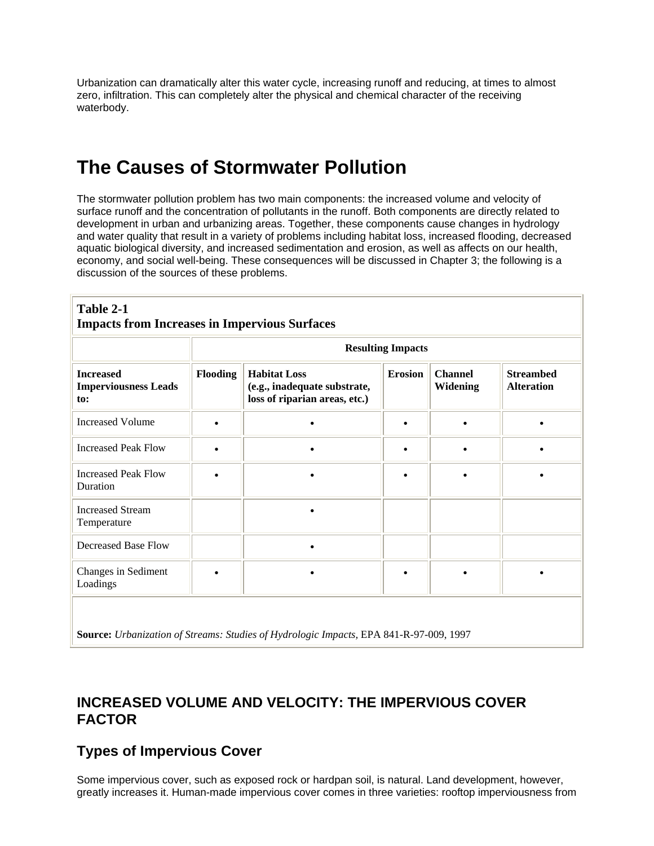Urbanization can dramatically alter this water cycle, increasing runoff and reducing, at times to almost zero, infiltration. This can completely alter the physical and chemical character of the receiving waterbody.

# **The Causes of Stormwater Pollution**

The stormwater pollution problem has two main components: the increased volume and velocity of surface runoff and the concentration of pollutants in the runoff. Both components are directly related to development in urban and urbanizing areas. Together, these components cause changes in hydrology and water quality that result in a variety of problems including habitat loss, increased flooding, decreased aquatic biological diversity, and increased sedimentation and erosion, as well as affects on our health, economy, and social well-being. These consequences will be discussed in Chapter 3; the following is a discussion of the sources of these problems.

|                                                        | <b>Resulting Impacts</b> |                                                                                      |                |                                   |                                       |
|--------------------------------------------------------|--------------------------|--------------------------------------------------------------------------------------|----------------|-----------------------------------|---------------------------------------|
| <b>Increased</b><br><b>Imperviousness Leads</b><br>to: | <b>Flooding</b>          | <b>Habitat Loss</b><br>(e.g., inadequate substrate,<br>loss of riparian areas, etc.) | <b>Erosion</b> | <b>Channel</b><br><b>Widening</b> | <b>Streambed</b><br><b>Alteration</b> |
| <b>Increased Volume</b>                                |                          |                                                                                      | $\bullet$      |                                   |                                       |
| <b>Increased Peak Flow</b>                             |                          |                                                                                      |                |                                   |                                       |
| <b>Increased Peak Flow</b><br>Duration                 |                          |                                                                                      |                |                                   |                                       |
| <b>Increased Stream</b><br>Temperature                 |                          |                                                                                      |                |                                   |                                       |
| <b>Decreased Base Flow</b>                             |                          |                                                                                      |                |                                   |                                       |
| Changes in Sediment<br>Loadings                        |                          |                                                                                      | $\bullet$      |                                   |                                       |

**INCREASED VOLUME AND VELOCITY: THE IMPERVIOUS COVER FACTOR** 

## **Types of Impervious Cover**

Some impervious cover, such as exposed rock or hardpan soil, is natural. Land development, however, greatly increases it. Human-made impervious cover comes in three varieties: rooftop imperviousness from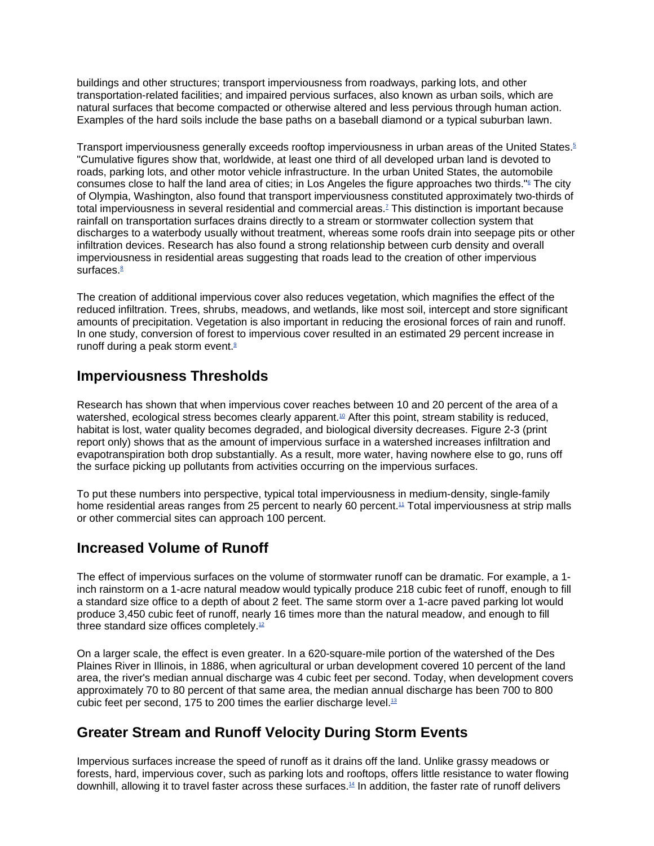buildings and other structures; transport imperviousness from roadways, parking lots, and other transportation-related facilities; and impaired pervious surfaces, also known as urban soils, which are natural surfaces that become compacted or otherwise altered and less pervious through human action. Examples of the hard soils include the base paths on a baseball diamond or a typical suburban lawn.

Transport imperviousness generally exceeds rooftop imperviousness in urban areas of the United States.<sup>5</sup> "Cumulative figures show that, worldwide, at least one third of all developed urban land is devoted to roads, parking lots, and other motor vehicle infrastructure. In the urban United States, the automobile consumes close to half the land area of cities; in Los Angeles the figure approaches two thirds."<sup>©</sup> The city of Olympia, Washington, also found that transport imperviousness constituted approximately two-thirds of total imperviousness in several residential and commercial areas.7 This distinction is important because rainfall on transportation surfaces drains directly to a stream or stormwater collection system that discharges to a waterbody usually without treatment, whereas some roofs drain into seepage pits or other infiltration devices. Research has also found a strong relationship between curb density and overall imperviousness in residential areas suggesting that roads lead to the creation of other impervious surfaces.<sup>8</sup>

The creation of additional impervious cover also reduces vegetation, which magnifies the effect of the reduced infiltration. Trees, shrubs, meadows, and wetlands, like most soil, intercept and store significant amounts of precipitation. Vegetation is also important in reducing the erosional forces of rain and runoff. In one study, conversion of forest to impervious cover resulted in an estimated 29 percent increase in runoff during a peak storm event.<sup>9</sup>

### **Imperviousness Thresholds**

Research has shown that when impervious cover reaches between 10 and 20 percent of the area of a watershed, ecological stress becomes clearly apparent.<sup>10</sup> After this point, stream stability is reduced, habitat is lost, water quality becomes degraded, and biological diversity decreases. Figure 2-3 (print report only) shows that as the amount of impervious surface in a watershed increases infiltration and evapotranspiration both drop substantially. As a result, more water, having nowhere else to go, runs off the surface picking up pollutants from activities occurring on the impervious surfaces.

To put these numbers into perspective, typical total imperviousness in medium-density, single-family home residential areas ranges from 25 percent to nearly 60 percent.<sup>11</sup> Total imperviousness at strip malls or other commercial sites can approach 100 percent.

## **Increased Volume of Runoff**

The effect of impervious surfaces on the volume of stormwater runoff can be dramatic. For example, a 1 inch rainstorm on a 1-acre natural meadow would typically produce 218 cubic feet of runoff, enough to fill a standard size office to a depth of about 2 feet. The same storm over a 1-acre paved parking lot would produce 3,450 cubic feet of runoff, nearly 16 times more than the natural meadow, and enough to fill three standard size offices completely.<sup>12</sup>

On a larger scale, the effect is even greater. In a 620-square-mile portion of the watershed of the Des Plaines River in Illinois, in 1886, when agricultural or urban development covered 10 percent of the land area, the river's median annual discharge was 4 cubic feet per second. Today, when development covers approximately 70 to 80 percent of that same area, the median annual discharge has been 700 to 800 cubic feet per second, 175 to 200 times the earlier discharge level.13

## **Greater Stream and Runoff Velocity During Storm Events**

Impervious surfaces increase the speed of runoff as it drains off the land. Unlike grassy meadows or forests, hard, impervious cover, such as parking lots and rooftops, offers little resistance to water flowing downhill, allowing it to travel faster across these surfaces.14 In addition, the faster rate of runoff delivers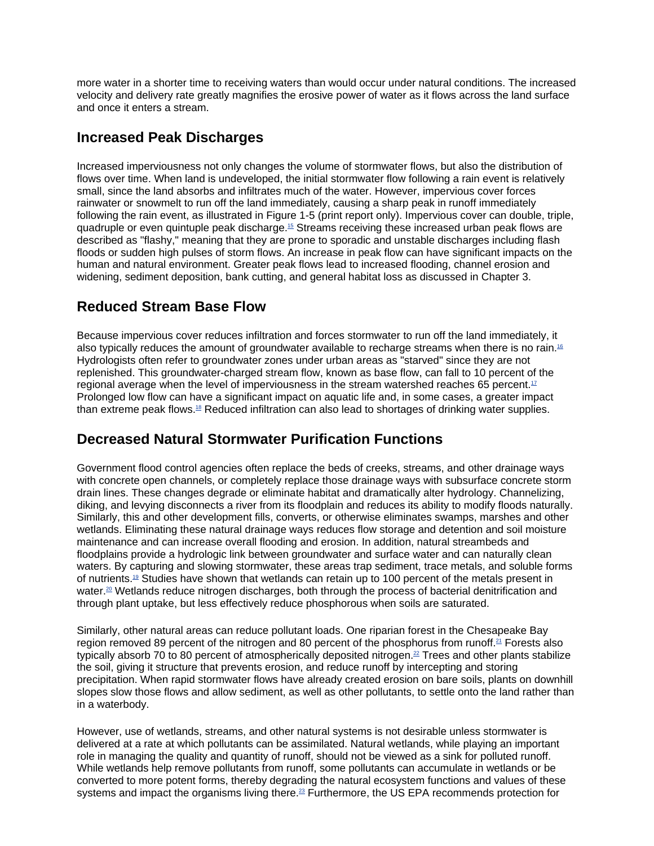more water in a shorter time to receiving waters than would occur under natural conditions. The increased velocity and delivery rate greatly magnifies the erosive power of water as it flows across the land surface and once it enters a stream.

### **Increased Peak Discharges**

Increased imperviousness not only changes the volume of stormwater flows, but also the distribution of flows over time. When land is undeveloped, the initial stormwater flow following a rain event is relatively small, since the land absorbs and infiltrates much of the water. However, impervious cover forces rainwater or snowmelt to run off the land immediately, causing a sharp peak in runoff immediately following the rain event, as illustrated in Figure 1-5 (print report only). Impervious cover can double, triple, quadruple or even quintuple peak discharge.15 Streams receiving these increased urban peak flows are described as "flashy," meaning that they are prone to sporadic and unstable discharges including flash floods or sudden high pulses of storm flows. An increase in peak flow can have significant impacts on the human and natural environment. Greater peak flows lead to increased flooding, channel erosion and widening, sediment deposition, bank cutting, and general habitat loss as discussed in Chapter 3.

## **Reduced Stream Base Flow**

Because impervious cover reduces infiltration and forces stormwater to run off the land immediately, it also typically reduces the amount of groundwater available to recharge streams when there is no rain.16 Hydrologists often refer to groundwater zones under urban areas as "starved" since they are not replenished. This groundwater-charged stream flow, known as base flow, can fall to 10 percent of the regional average when the level of imperviousness in the stream watershed reaches 65 percent. $17$ Prolonged low flow can have a significant impact on aquatic life and, in some cases, a greater impact than extreme peak flows.18 Reduced infiltration can also lead to shortages of drinking water supplies.

## **Decreased Natural Stormwater Purification Functions**

Government flood control agencies often replace the beds of creeks, streams, and other drainage ways with concrete open channels, or completely replace those drainage ways with subsurface concrete storm drain lines. These changes degrade or eliminate habitat and dramatically alter hydrology. Channelizing, diking, and levying disconnects a river from its floodplain and reduces its ability to modify floods naturally. Similarly, this and other development fills, converts, or otherwise eliminates swamps, marshes and other wetlands. Eliminating these natural drainage ways reduces flow storage and detention and soil moisture maintenance and can increase overall flooding and erosion. In addition, natural streambeds and floodplains provide a hydrologic link between groundwater and surface water and can naturally clean waters. By capturing and slowing stormwater, these areas trap sediment, trace metals, and soluble forms of nutrients.19 Studies have shown that wetlands can retain up to 100 percent of the metals present in water.<sup>20</sup> Wetlands reduce nitrogen discharges, both through the process of bacterial denitrification and through plant uptake, but less effectively reduce phosphorous when soils are saturated.

Similarly, other natural areas can reduce pollutant loads. One riparian forest in the Chesapeake Bay region removed 89 percent of the nitrogen and 80 percent of the phosphorus from runoff.<sup>21</sup> Forests also typically absorb 70 to 80 percent of atmospherically deposited nitrogen.<sup>22</sup> Trees and other plants stabilize the soil, giving it structure that prevents erosion, and reduce runoff by intercepting and storing precipitation. When rapid stormwater flows have already created erosion on bare soils, plants on downhill slopes slow those flows and allow sediment, as well as other pollutants, to settle onto the land rather than in a waterbody.

However, use of wetlands, streams, and other natural systems is not desirable unless stormwater is delivered at a rate at which pollutants can be assimilated. Natural wetlands, while playing an important role in managing the quality and quantity of runoff, should not be viewed as a sink for polluted runoff. While wetlands help remove pollutants from runoff, some pollutants can accumulate in wetlands or be converted to more potent forms, thereby degrading the natural ecosystem functions and values of these systems and impact the organisms living there.<sup>23</sup> Furthermore, the US EPA recommends protection for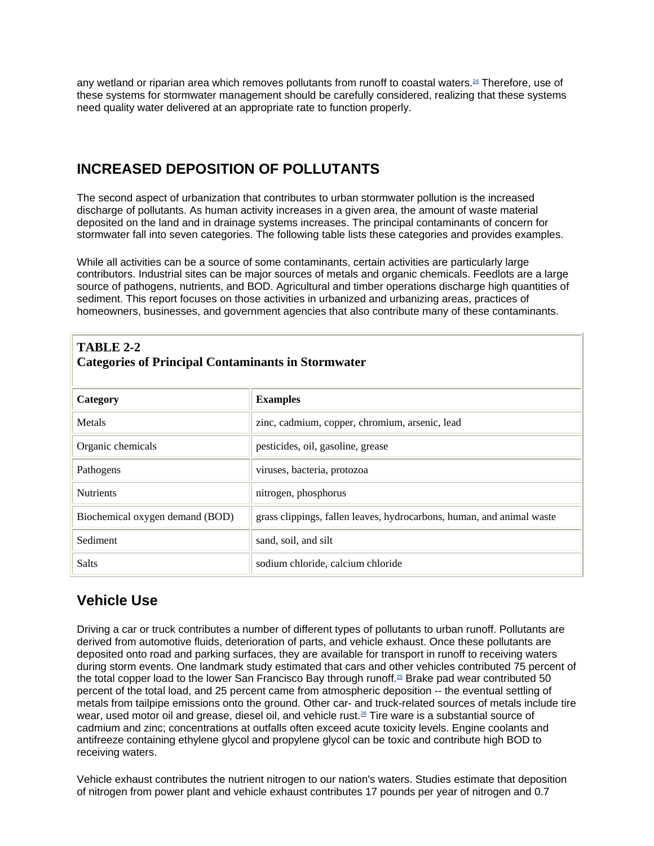any wetland or riparian area which removes pollutants from runoff to coastal waters.<sup>24</sup> Therefore, use of these systems for stormwater management should be carefully considered, realizing that these systems need quality water delivered at an appropriate rate to function properly.

## **INCREASED DEPOSITION OF POLLUTANTS**

The second aspect of urbanization that contributes to urban stormwater pollution is the increased discharge of pollutants. As human activity increases in a given area, the amount of waste material deposited on the land and in drainage systems increases. The principal contaminants of concern for stormwater fall into seven categories. The following table lists these categories and provides examples.

While all activities can be a source of some contaminants, certain activities are particularly large contributors. Industrial sites can be major sources of metals and organic chemicals. Feedlots are a large source of pathogens, nutrients, and BOD. Agricultural and timber operations discharge high quantities of sediment. This report focuses on those activities in urbanized and urbanizing areas, practices of homeowners, businesses, and government agencies that also contribute many of these contaminants.

| TABLE 2-2<br><b>Categories of Principal Contaminants in Stormwater</b> |                                                                       |  |  |
|------------------------------------------------------------------------|-----------------------------------------------------------------------|--|--|
| Category                                                               | <b>Examples</b>                                                       |  |  |
| Metals                                                                 | zinc, cadmium, copper, chromium, arsenic, lead                        |  |  |
| Organic chemicals                                                      | pesticides, oil, gasoline, grease                                     |  |  |
| Pathogens                                                              | viruses, bacteria, protozoa                                           |  |  |
| <b>Nutrients</b>                                                       | nitrogen, phosphorus                                                  |  |  |
| Biochemical oxygen demand (BOD)                                        | grass clippings, fallen leaves, hydrocarbons, human, and animal waste |  |  |
| Sediment                                                               | sand, soil, and silt                                                  |  |  |
| Salts                                                                  | sodium chloride, calcium chloride                                     |  |  |

## **Vehicle Use**

Driving a car or truck contributes a number of different types of pollutants to urban runoff. Pollutants are derived from automotive fluids, deterioration of parts, and vehicle exhaust. Once these pollutants are deposited onto road and parking surfaces, they are available for transport in runoff to receiving waters during storm events. One landmark study estimated that cars and other vehicles contributed 75 percent of the total copper load to the lower San Francisco Bay through runoff.<sup>25</sup> Brake pad wear contributed 50 percent of the total load, and 25 percent came from atmospheric deposition -- the eventual settling of metals from tailpipe emissions onto the ground. Other car- and truck-related sources of metals include tire wear, used motor oil and grease, diesel oil, and vehicle rust.26 Tire ware is a substantial source of cadmium and zinc; concentrations at outfalls often exceed acute toxicity levels. Engine coolants and antifreeze containing ethylene glycol and propylene glycol can be toxic and contribute high BOD to receiving waters.

Vehicle exhaust contributes the nutrient nitrogen to our nation's waters. Studies estimate that deposition of nitrogen from power plant and vehicle exhaust contributes 17 pounds per year of nitrogen and 0.7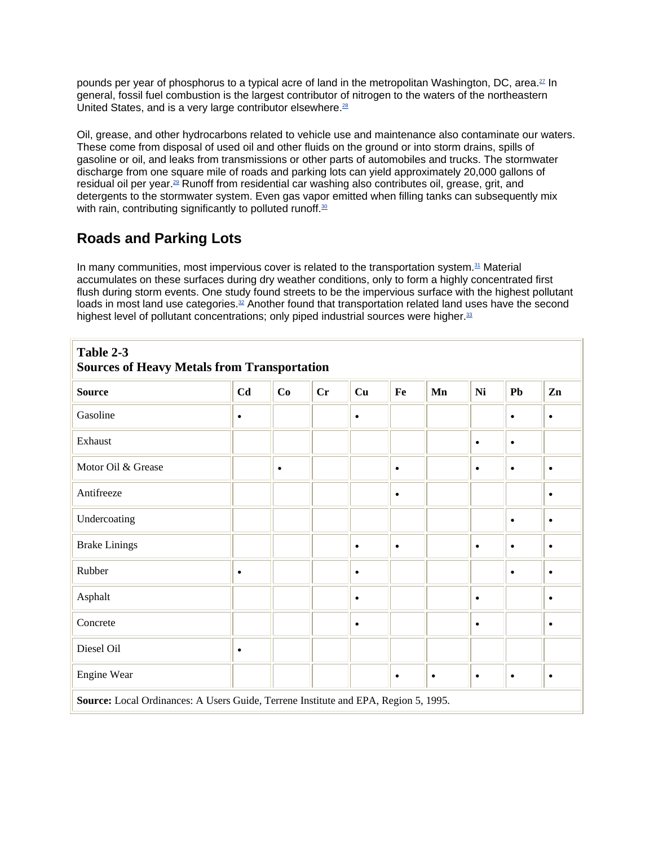pounds per year of phosphorus to a typical acre of land in the metropolitan Washington, DC, area.<sup>27</sup> In general, fossil fuel combustion is the largest contributor of nitrogen to the waters of the northeastern United States, and is a very large contributor elsewhere. $28$ 

Oil, grease, and other hydrocarbons related to vehicle use and maintenance also contaminate our waters. These come from disposal of used oil and other fluids on the ground or into storm drains, spills of gasoline or oil, and leaks from transmissions or other parts of automobiles and trucks. The stormwater discharge from one square mile of roads and parking lots can yield approximately 20,000 gallons of residual oil per year.<sup>29</sup> Runoff from residential car washing also contributes oil, grease, grit, and detergents to the stormwater system. Even gas vapor emitted when filling tanks can subsequently mix with rain, contributing significantly to polluted runoff. $30$ 

## **Roads and Parking Lots**

In many communities, most impervious cover is related to the transportation system. $31$  Material accumulates on these surfaces during dry weather conditions, only to form a highly concentrated first flush during storm events. One study found streets to be the impervious surface with the highest pollutant loads in most land use categories. $32$  Another found that transportation related land uses have the second highest level of pollutant concentrations; only piped industrial sources were higher.<sup>33</sup>

| Table 2-3<br><b>Sources of Heavy Metals from Transportation</b>                     |           |           |    |           |           |           |           |           |               |
|-------------------------------------------------------------------------------------|-----------|-----------|----|-----------|-----------|-----------|-----------|-----------|---------------|
| <b>Source</b>                                                                       | Cd        | Co        | Cr | Cu        | Fe        | Mn        | <b>Ni</b> | Pb        | $\mathbf{Zn}$ |
| Gasoline                                                                            | $\bullet$ |           |    | $\bullet$ |           |           |           | $\bullet$ | $\bullet$     |
| Exhaust                                                                             |           |           |    |           |           |           | $\bullet$ | $\bullet$ |               |
| Motor Oil & Grease                                                                  |           | $\bullet$ |    |           | $\bullet$ |           | $\bullet$ | $\bullet$ | $\bullet$     |
| Antifreeze                                                                          |           |           |    |           | $\bullet$ |           |           |           | $\bullet$     |
| Undercoating                                                                        |           |           |    |           |           |           |           | $\bullet$ | $\bullet$     |
| <b>Brake Linings</b>                                                                |           |           |    | $\bullet$ | $\bullet$ |           | $\bullet$ | $\bullet$ | $\bullet$     |
| Rubber                                                                              | $\bullet$ |           |    | $\bullet$ |           |           |           | $\bullet$ | $\bullet$     |
| Asphalt                                                                             |           |           |    | $\bullet$ |           |           | $\bullet$ |           | $\bullet$     |
| Concrete                                                                            |           |           |    | $\bullet$ |           |           | ٠         |           | $\bullet$     |
| Diesel Oil                                                                          | $\bullet$ |           |    |           |           |           |           |           |               |
| Engine Wear                                                                         |           |           |    |           | $\bullet$ | $\bullet$ | $\bullet$ | $\bullet$ | $\bullet$     |
| Source: Local Ordinances: A Users Guide, Terrene Institute and EPA, Region 5, 1995. |           |           |    |           |           |           |           |           |               |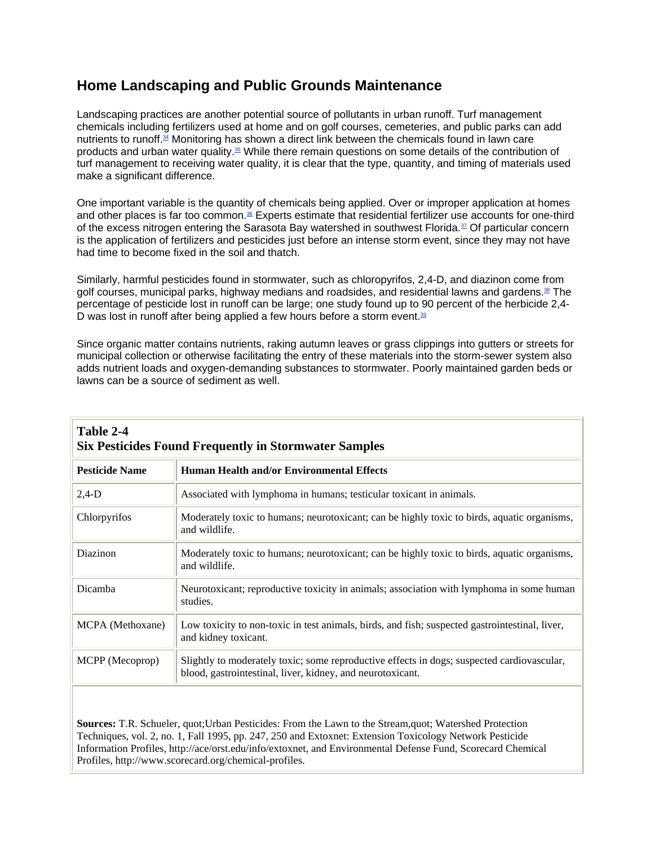## **Home Landscaping and Public Grounds Maintenance**

Landscaping practices are another potential source of pollutants in urban runoff. Turf management chemicals including fertilizers used at home and on golf courses, cemeteries, and public parks can add nutrients to runoff.34 Monitoring has shown a direct link between the chemicals found in lawn care products and urban water quality.35 While there remain questions on some details of the contribution of turf management to receiving water quality, it is clear that the type, quantity, and timing of materials used make a significant difference.

One important variable is the quantity of chemicals being applied. Over or improper application at homes and other places is far too common.<sup>36</sup> Experts estimate that residential fertilizer use accounts for one-third of the excess nitrogen entering the Sarasota Bay watershed in southwest Florida.37 Of particular concern is the application of fertilizers and pesticides just before an intense storm event, since they may not have had time to become fixed in the soil and thatch.

Similarly, harmful pesticides found in stormwater, such as chloropyrifos, 2,4-D, and diazinon come from golf courses, municipal parks, highway medians and roadsides, and residential lawns and gardens.<sup>38</sup> The percentage of pesticide lost in runoff can be large; one study found up to 90 percent of the herbicide 2,4- D was lost in runoff after being applied a few hours before a storm event. $39$ 

Since organic matter contains nutrients, raking autumn leaves or grass clippings into gutters or streets for municipal collection or otherwise facilitating the entry of these materials into the storm-sewer system also adds nutrient loads and oxygen-demanding substances to stormwater. Poorly maintained garden beds or lawns can be a source of sediment as well.

| Table 2-4<br><b>Six Pesticides Found Frequently in Stormwater Samples</b> |                                                                                                                                                          |  |  |
|---------------------------------------------------------------------------|----------------------------------------------------------------------------------------------------------------------------------------------------------|--|--|
| <b>Pesticide Name</b>                                                     | <b>Human Health and/or Environmental Effects</b>                                                                                                         |  |  |
| $2,4-D$                                                                   | Associated with lymphoma in humans; testicular toxicant in animals.                                                                                      |  |  |
| Chlorpyrifos                                                              | Moderately toxic to humans; neurotoxicant; can be highly toxic to birds, aquatic organisms,<br>and wildlife.                                             |  |  |
| Diazinon                                                                  | Moderately toxic to humans; neurotoxicant; can be highly toxic to birds, aquatic organisms,<br>and wildlife.                                             |  |  |
| Dicamba                                                                   | Neurotoxicant; reproductive toxicity in animals; association with lymphoma in some human<br>studies.                                                     |  |  |
| MCPA (Methoxane)                                                          | Low toxicity to non-toxic in test animals, birds, and fish; suspected gastrointestinal, liver,<br>and kidney toxicant.                                   |  |  |
| MCPP (Mecoprop)                                                           | Slightly to moderately toxic; some reproductive effects in dogs; suspected cardiovascular,<br>blood, gastrointestinal, liver, kidney, and neurotoxicant. |  |  |
|                                                                           |                                                                                                                                                          |  |  |

**Sources:** T.R. Schueler, quot;Urban Pesticides: From the Lawn to the Stream,quot; Watershed Protection Techniques, vol. 2, no. 1, Fall 1995, pp. 247, 250 and Extoxnet: Extension Toxicology Network Pesticide Information Profiles, http://ace/orst.edu/info/extoxnet, and Environmental Defense Fund, Scorecard Chemical Profiles, http://www.scorecard.org/chemical-profiles.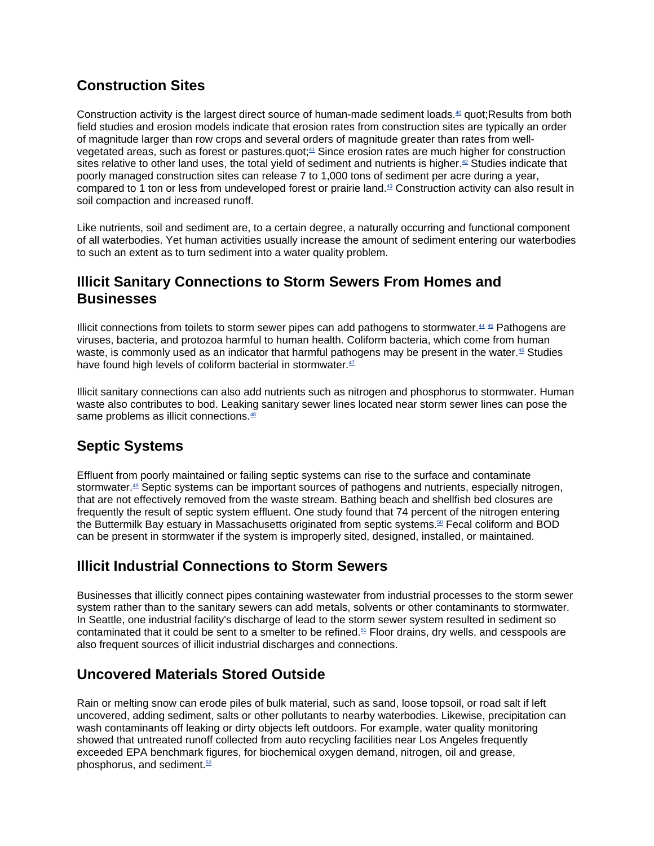## **Construction Sites**

Construction activity is the largest direct source of human-made sediment loads.40 quot;Results from both field studies and erosion models indicate that erosion rates from construction sites are typically an order of magnitude larger than row crops and several orders of magnitude greater than rates from wellvegetated areas, such as forest or pastures.quot;<sup>41</sup> Since erosion rates are much higher for construction sites relative to other land uses, the total yield of sediment and nutrients is higher.<sup>42</sup> Studies indicate that poorly managed construction sites can release 7 to 1,000 tons of sediment per acre during a year, compared to 1 ton or less from undeveloped forest or prairie land.43 Construction activity can also result in soil compaction and increased runoff.

Like nutrients, soil and sediment are, to a certain degree, a naturally occurring and functional component of all waterbodies. Yet human activities usually increase the amount of sediment entering our waterbodies to such an extent as to turn sediment into a water quality problem.

## **Illicit Sanitary Connections to Storm Sewers From Homes and Businesses**

Illicit connections from toilets to storm sewer pipes can add pathogens to stormwater. $44 \frac{45}{2}$  Pathogens are viruses, bacteria, and protozoa harmful to human health. Coliform bacteria, which come from human waste, is commonly used as an indicator that harmful pathogens may be present in the water.<sup>46</sup> Studies have found high levels of coliform bacterial in stormwater.<sup>47</sup>

Illicit sanitary connections can also add nutrients such as nitrogen and phosphorus to stormwater. Human waste also contributes to bod. Leaking sanitary sewer lines located near storm sewer lines can pose the same problems as illicit connections.<sup>48</sup>

## **Septic Systems**

Effluent from poorly maintained or failing septic systems can rise to the surface and contaminate stormwater.<sup>49</sup> Septic systems can be important sources of pathogens and nutrients, especially nitrogen, that are not effectively removed from the waste stream. Bathing beach and shellfish bed closures are frequently the result of septic system effluent. One study found that 74 percent of the nitrogen entering the Buttermilk Bay estuary in Massachusetts originated from septic systems.<sup>50</sup> Fecal coliform and BOD can be present in stormwater if the system is improperly sited, designed, installed, or maintained.

## **Illicit Industrial Connections to Storm Sewers**

Businesses that illicitly connect pipes containing wastewater from industrial processes to the storm sewer system rather than to the sanitary sewers can add metals, solvents or other contaminants to stormwater. In Seattle, one industrial facility's discharge of lead to the storm sewer system resulted in sediment so contaminated that it could be sent to a smelter to be refined.<sup>51</sup> Floor drains, dry wells, and cesspools are also frequent sources of illicit industrial discharges and connections.

## **Uncovered Materials Stored Outside**

Rain or melting snow can erode piles of bulk material, such as sand, loose topsoil, or road salt if left uncovered, adding sediment, salts or other pollutants to nearby waterbodies. Likewise, precipitation can wash contaminants off leaking or dirty objects left outdoors. For example, water quality monitoring showed that untreated runoff collected from auto recycling facilities near Los Angeles frequently exceeded EPA benchmark figures, for biochemical oxygen demand, nitrogen, oil and grease, phosphorus, and sediment.<sup>52</sup>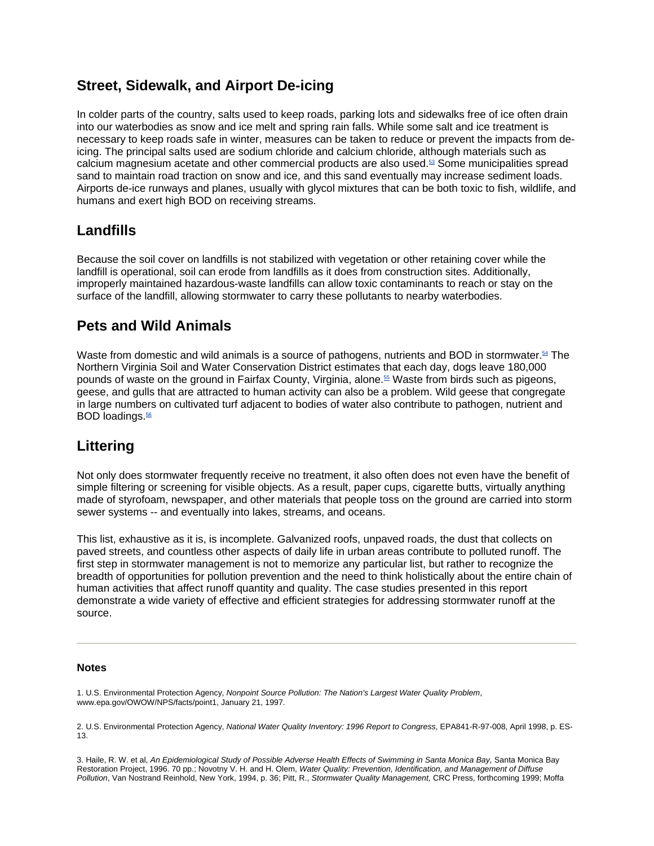## **Street, Sidewalk, and Airport De-icing**

In colder parts of the country, salts used to keep roads, parking lots and sidewalks free of ice often drain into our waterbodies as snow and ice melt and spring rain falls. While some salt and ice treatment is necessary to keep roads safe in winter, measures can be taken to reduce or prevent the impacts from deicing. The principal salts used are sodium chloride and calcium chloride, although materials such as calcium magnesium acetate and other commercial products are also used.53 Some municipalities spread sand to maintain road traction on snow and ice, and this sand eventually may increase sediment loads. Airports de-ice runways and planes, usually with glycol mixtures that can be both toxic to fish, wildlife, and humans and exert high BOD on receiving streams.

### **Landfills**

Because the soil cover on landfills is not stabilized with vegetation or other retaining cover while the landfill is operational, soil can erode from landfills as it does from construction sites. Additionally, improperly maintained hazardous-waste landfills can allow toxic contaminants to reach or stay on the surface of the landfill, allowing stormwater to carry these pollutants to nearby waterbodies.

## **Pets and Wild Animals**

Waste from domestic and wild animals is a source of pathogens, nutrients and BOD in stormwater.<sup>54</sup> The Northern Virginia Soil and Water Conservation District estimates that each day, dogs leave 180,000 pounds of waste on the ground in Fairfax County, Virginia, alone.55 Waste from birds such as pigeons, geese, and gulls that are attracted to human activity can also be a problem. Wild geese that congregate in large numbers on cultivated turf adjacent to bodies of water also contribute to pathogen, nutrient and BOD loadings.<sup>56</sup>

## **Littering**

Not only does stormwater frequently receive no treatment, it also often does not even have the benefit of simple filtering or screening for visible objects. As a result, paper cups, cigarette butts, virtually anything made of styrofoam, newspaper, and other materials that people toss on the ground are carried into storm sewer systems -- and eventually into lakes, streams, and oceans.

This list, exhaustive as it is, is incomplete. Galvanized roofs, unpaved roads, the dust that collects on paved streets, and countless other aspects of daily life in urban areas contribute to polluted runoff. The first step in stormwater management is not to memorize any particular list, but rather to recognize the breadth of opportunities for pollution prevention and the need to think holistically about the entire chain of human activities that affect runoff quantity and quality. The case studies presented in this report demonstrate a wide variety of effective and efficient strategies for addressing stormwater runoff at the source.

#### **Notes**

1. U.S. Environmental Protection Agency, *Nonpoint Source Pollution: The Nation's Largest Water Quality Problem*, www.epa.gov/OWOW/NPS/facts/point1, January 21, 1997.

2. U.S. Environmental Protection Agency, *National Water Quality Inventory: 1996 Report to Congress*, EPA841-R-97-008, April 1998, p. ES-13.

3. Haile, R. W. et al, *An Epidemiological Study of Possible Adverse Health Effects of Swimming in Santa Monica Bay,* Santa Monica Bay Restoration Project, 1996. 70 pp.; Novotny V. H. and H. Olem, *Water Quality: Prevention, Identification, and Management of Diffuse Pollution*, Van Nostrand Reinhold, New York, 1994, p. 36; Pitt, R., *Stormwater Quality Management,* CRC Press, forthcoming 1999; Moffa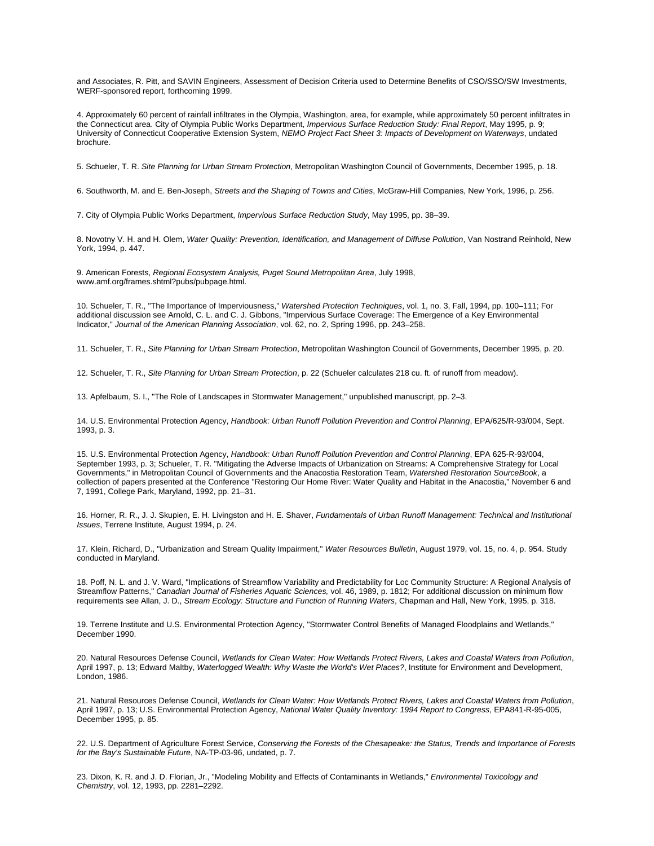and Associates, R. Pitt, and SAVIN Engineers, Assessment of Decision Criteria used to Determine Benefits of CSO/SSO/SW Investments, WERF-sponsored report, forthcoming 1999.

4. Approximately 60 percent of rainfall infiltrates in the Olympia, Washington, area, for example, while approximately 50 percent infiltrates in the Connecticut area. City of Olympia Public Works Department, *Impervious Surface Reduction Study: Final Report*, May 1995, p. 9; University of Connecticut Cooperative Extension System, *NEMO Project Fact Sheet 3: Impacts of Development on Waterways*, undated brochure.

5. Schueler, T. R. *Site Planning for Urban Stream Protection*, Metropolitan Washington Council of Governments, December 1995, p. 18.

6. Southworth, M. and E. Ben-Joseph, *Streets and the Shaping of Towns and Cities*, McGraw-Hill Companies, New York, 1996, p. 256.

7. City of Olympia Public Works Department, *Impervious Surface Reduction Study*, May 1995, pp. 38–39.

8. Novotny V. H. and H. Olem, *Water Quality: Prevention, Identification, and Management of Diffuse Pollution*, Van Nostrand Reinhold, New York, 1994, p. 447.

9. American Forests, *Regional Ecosystem Analysis, Puget Sound Metropolitan Area*, July 1998, www.amf.org/frames.shtml?pubs/pubpage.html.

10. Schueler, T. R., "The Importance of Imperviousness," *Watershed Protection Techniques*, vol. 1, no. 3, Fall, 1994, pp. 100–111; For additional discussion see Arnold, C. L. and C. J. Gibbons, "Impervious Surface Coverage: The Emergence of a Key Environmental Indicator," *Journal of the American Planning Association*, vol. 62, no. 2, Spring 1996, pp. 243–258.

11. Schueler, T. R., *Site Planning for Urban Stream Protection*, Metropolitan Washington Council of Governments, December 1995, p. 20.

12. Schueler, T. R., *Site Planning for Urban Stream Protection*, p. 22 (Schueler calculates 218 cu. ft. of runoff from meadow).

13. Apfelbaum, S. I., "The Role of Landscapes in Stormwater Management," unpublished manuscript, pp. 2–3.

14. U.S. Environmental Protection Agency, *Handbook: Urban Runoff Pollution Prevention and Control Planning*, EPA/625/R-93/004, Sept. 1993, p. 3.

15. U.S. Environmental Protection Agency, *Handbook: Urban Runoff Pollution Prevention and Control Planning*, EPA 625-R-93/004, September 1993, p. 3; Schueler, T. R. "Mitigating the Adverse Impacts of Urbanization on Streams: A Comprehensive Strategy for Local Governments," in Metropolitan Council of Governments and the Anacostia Restoration Team, *Watershed Restoration SourceBook*, a collection of papers presented at the Conference "Restoring Our Home River: Water Quality and Habitat in the Anacostia," November 6 and 7, 1991, College Park, Maryland, 1992, pp. 21–31.

16. Horner, R. R., J. J. Skupien, E. H. Livingston and H. E. Shaver, *Fundamentals of Urban Runoff Management: Technical and Institutional Issues*, Terrene Institute, August 1994, p. 24.

17. Klein, Richard, D., "Urbanization and Stream Quality Impairment," *Water Resources Bulletin*, August 1979, vol. 15, no. 4, p. 954. Study conducted in Maryland.

18. Poff, N. L. and J. V. Ward, "Implications of Streamflow Variability and Predictability for Loc Community Structure: A Regional Analysis of Streamflow Patterns," *Canadian Journal of Fisheries Aquatic Sciences,* vol. 46, 1989, p. 1812; For additional discussion on minimum flow requirements see Allan, J. D., *Stream Ecology: Structure and Function of Running Waters*, Chapman and Hall, New York, 1995, p. 318.

19. Terrene Institute and U.S. Environmental Protection Agency, "Stormwater Control Benefits of Managed Floodplains and Wetlands," December 1990.

20. Natural Resources Defense Council, *Wetlands for Clean Water: How Wetlands Protect Rivers, Lakes and Coastal Waters from Pollution*, April 1997, p. 13; Edward Maltby, *Waterlogged Wealth: Why Waste the World's Wet Places?*, Institute for Environment and Development, London, 1986.

21. Natural Resources Defense Council, *Wetlands for Clean Water: How Wetlands Protect Rivers, Lakes and Coastal Waters from Pollution*, April 1997, p. 13; U.S. Environmental Protection Agency, *National Water Quality Inventory: 1994 Report to Congress*, EPA841-R-95-005, December 1995, p. 85.

22. U.S. Department of Agriculture Forest Service, *Conserving the Forests of the Chesapeake: the Status, Trends and Importance of Forests for the Bay's Sustainable Future*, NA-TP-03-96, undated, p. 7.

23. Dixon, K. R. and J. D. Florian, Jr., "Modeling Mobility and Effects of Contaminants in Wetlands," *Environmental Toxicology and Chemistry*, vol. 12, 1993, pp. 2281–2292.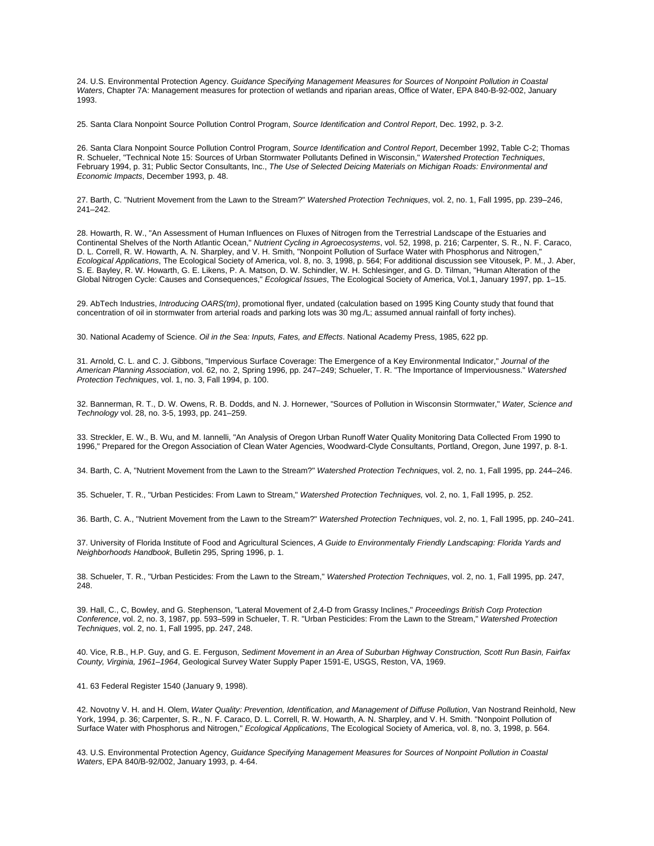24. U.S. Environmental Protection Agency. *Guidance Specifying Management Measures for Sources of Nonpoint Pollution in Coastal Waters*, Chapter 7A: Management measures for protection of wetlands and riparian areas, Office of Water, EPA 840-B-92-002, January 1993.

25. Santa Clara Nonpoint Source Pollution Control Program, *Source Identification and Control Report*, Dec. 1992, p. 3-2.

26. Santa Clara Nonpoint Source Pollution Control Program, *Source Identification and Control Report*, December 1992, Table C-2; Thomas R. Schueler, "Technical Note 15: Sources of Urban Stormwater Pollutants Defined in Wisconsin," *Watershed Protection Techniques*, February 1994, p. 31; Public Sector Consultants, Inc., *The Use of Selected Deicing Materials on Michigan Roads: Environmental and Economic Impacts*, December 1993, p. 48.

27. Barth, C. "Nutrient Movement from the Lawn to the Stream?" *Watershed Protection Techniques*, vol. 2, no. 1, Fall 1995, pp. 239–246, 241–242.

28. Howarth, R. W., "An Assessment of Human Influences on Fluxes of Nitrogen from the Terrestrial Landscape of the Estuaries and Continental Shelves of the North Atlantic Ocean," *Nutrient Cycling in Agroecosystems*, vol. 52, 1998, p. 216; Carpenter, S. R., N. F. Caraco, D. L. Correll, R. W. Howarth, A. N. Sharpley, and V. H. Smith, "Nonpoint Pollution of Surface Water with Phosphorus and Nitrogen," *Ecological Applications*, The Ecological Society of America, vol. 8, no. 3, 1998, p. 564; For additional discussion see Vitousek, P. M., J. Aber, S. E. Bayley, R. W. Howarth, G. E. Likens, P. A. Matson, D. W. Schindler, W. H. Schlesinger, and G. D. Tilman, "Human Alteration of the Global Nitrogen Cycle: Causes and Consequences," *Ecological Issues*, The Ecological Society of America, Vol.1, January 1997, pp. 1–15.

29. AbTech Industries, *Introducing OARS(tm)*, promotional flyer, undated (calculation based on 1995 King County study that found that concentration of oil in stormwater from arterial roads and parking lots was 30 mg./L; assumed annual rainfall of forty inches).

30. National Academy of Science. *Oil in the Sea: Inputs, Fates, and Effects*. National Academy Press, 1985, 622 pp.

31. Arnold, C. L. and C. J. Gibbons, "Impervious Surface Coverage: The Emergence of a Key Environmental Indicator," *Journal of the American Planning Association*, vol. 62, no. 2, Spring 1996, pp. 247–249; Schueler, T. R. "The Importance of Imperviousness." *Watershed Protection Techniques*, vol. 1, no. 3, Fall 1994, p. 100.

32. Bannerman, R. T., D. W. Owens, R. B. Dodds, and N. J. Hornewer, "Sources of Pollution in Wisconsin Stormwater," *Water, Science and Technology* vol. 28, no. 3-5, 1993, pp. 241–259.

33. Streckler, E. W., B. Wu, and M. Iannelli, "An Analysis of Oregon Urban Runoff Water Quality Monitoring Data Collected From 1990 to 1996," Prepared for the Oregon Association of Clean Water Agencies, Woodward-Clyde Consultants, Portland, Oregon, June 1997, p. 8-1.

34. Barth, C. A, "Nutrient Movement from the Lawn to the Stream?" *Watershed Protection Techniques*, vol. 2, no. 1, Fall 1995, pp. 244–246.

35. Schueler, T. R., "Urban Pesticides: From Lawn to Stream," *Watershed Protection Techniques,* vol. 2, no. 1, Fall 1995, p. 252.

36. Barth, C. A., "Nutrient Movement from the Lawn to the Stream?" *Watershed Protection Techniques*, vol. 2, no. 1, Fall 1995, pp. 240–241.

37. University of Florida Institute of Food and Agricultural Sciences, *A Guide to Environmentally Friendly Landscaping: Florida Yards and Neighborhoods Handbook*, Bulletin 295, Spring 1996, p. 1.

38. Schueler, T. R., "Urban Pesticides: From the Lawn to the Stream," *Watershed Protection Techniques*, vol. 2, no. 1, Fall 1995, pp. 247, 248.

39. Hall, C., C, Bowley, and G. Stephenson, "Lateral Movement of 2,4-D from Grassy Inclines," *Proceedings British Corp Protection Conference*, vol. 2, no. 3, 1987, pp. 593–599 in Schueler, T. R. "Urban Pesticides: From the Lawn to the Stream," *Watershed Protection Techniques*, vol. 2, no. 1, Fall 1995, pp. 247, 248.

40. Vice, R.B., H.P. Guy, and G. E. Ferguson, *Sediment Movement in an Area of Suburban Highway Construction, Scott Run Basin, Fairfax County, Virginia, 1961–1964*, Geological Survey Water Supply Paper 1591-E, USGS, Reston, VA, 1969.

41. 63 Federal Register 1540 (January 9, 1998).

42. Novotny V. H. and H. Olem, *Water Quality: Prevention, Identification, and Management of Diffuse Pollution*, Van Nostrand Reinhold, New York, 1994, p. 36; Carpenter, S. R., N. F. Caraco, D. L. Correll, R. W. Howarth, A. N. Sharpley, and V. H. Smith. "Nonpoint Pollution of Surface Water with Phosphorus and Nitrogen," *Ecological Applications*, The Ecological Society of America, vol. 8, no. 3, 1998, p. 564.

43. U.S. Environmental Protection Agency, *Guidance Specifying Management Measures for Sources of Nonpoint Pollution in Coastal Waters*, EPA 840/B-92/002, January 1993, p. 4-64.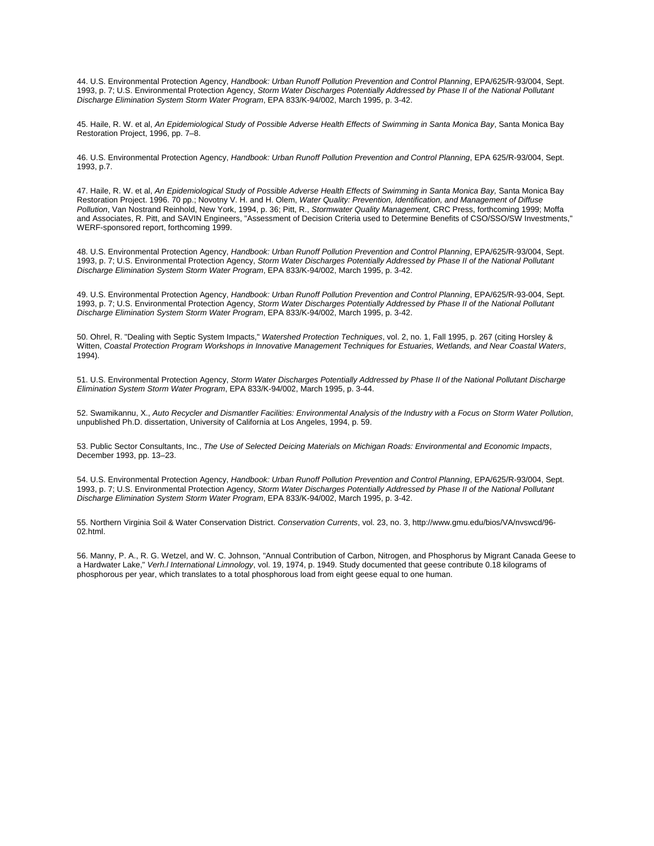44. U.S. Environmental Protection Agency, *Handbook: Urban Runoff Pollution Prevention and Control Planning*, EPA/625/R-93/004, Sept. 1993, p. 7; U.S. Environmental Protection Agency, *Storm Water Discharges Potentially Addressed by Phase II of the National Pollutant Discharge Elimination System Storm Water Program*, EPA 833/K-94/002, March 1995, p. 3-42.

45. Haile, R. W. et al, *An Epidemiological Study of Possible Adverse Health Effects of Swimming in Santa Monica Bay*, Santa Monica Bay Restoration Project, 1996, pp. 7–8.

46. U.S. Environmental Protection Agency, *Handbook: Urban Runoff Pollution Prevention and Control Planning*, EPA 625/R-93/004, Sept. 1993, p.7.

47. Haile, R. W. et al, *An Epidemiological Study of Possible Adverse Health Effects of Swimming in Santa Monica Bay,* Santa Monica Bay Restoration Project. 1996. 70 pp.; Novotny V. H. and H. Olem, *Water Quality: Prevention, Identification, and Management of Diffuse Pollution*, Van Nostrand Reinhold, New York, 1994, p. 36; Pitt, R., *Stormwater Quality Management,* CRC Press, forthcoming 1999; Moffa and Associates, R. Pitt, and SAVIN Engineers, "Assessment of Decision Criteria used to Determine Benefits of CSO/SSO/SW Investments," WERF-sponsored report, forthcoming 1999.

48. U.S. Environmental Protection Agency, *Handbook: Urban Runoff Pollution Prevention and Control Planning*, EPA/625/R-93/004, Sept. 1993, p. 7; U.S. Environmental Protection Agency, *Storm Water Discharges Potentially Addressed by Phase II of the National Pollutant Discharge Elimination System Storm Water Program*, EPA 833/K-94/002, March 1995, p. 3-42.

49. U.S. Environmental Protection Agency, *Handbook: Urban Runoff Pollution Prevention and Control Planning*, EPA/625/R-93-004, Sept. 1993, p. 7; U.S. Environmental Protection Agency, *Storm Water Discharges Potentially Addressed by Phase II of the National Pollutant Discharge Elimination System Storm Water Program*, EPA 833/K-94/002, March 1995, p. 3-42.

50. Ohrel, R. "Dealing with Septic System Impacts," *Watershed Protection Techniques*, vol. 2, no. 1, Fall 1995, p. 267 (citing Horsley & Witten, *Coastal Protection Program Workshops in Innovative Management Techniques for Estuaries, Wetlands, and Near Coastal Waters*, 1994).

51. U.S. Environmental Protection Agency, *Storm Water Discharges Potentially Addressed by Phase II of the National Pollutant Discharge Elimination System Storm Water Program*, EPA 833/K-94/002, March 1995, p. 3-44.

52. Swamikannu, X., *Auto Recycler and Dismantler Facilities: Environmental Analysis of the Industry with a Focus on Storm Water Pollution*, unpublished Ph.D. dissertation, University of California at Los Angeles, 1994, p. 59.

53. Public Sector Consultants, Inc., *The Use of Selected Deicing Materials on Michigan Roads: Environmental and Economic Impacts*, December 1993, pp. 13–23.

54. U.S. Environmental Protection Agency, *Handbook: Urban Runoff Pollution Prevention and Control Planning*, EPA/625/R-93/004, Sept. 1993, p. 7; U.S. Environmental Protection Agency, *Storm Water Discharges Potentially Addressed by Phase II of the National Pollutant Discharge Elimination System Storm Water Program*, EPA 833/K-94/002, March 1995, p. 3-42.

55. Northern Virginia Soil & Water Conservation District. *Conservation Currents*, vol. 23, no. 3, http://www.gmu.edu/bios/VA/nvswcd/96- 02.html.

56. Manny, P. A., R. G. Wetzel, and W. C. Johnson, "Annual Contribution of Carbon, Nitrogen, and Phosphorus by Migrant Canada Geese to a Hardwater Lake," *Verh.l International Limnology*, vol. 19, 1974, p. 1949. Study documented that geese contribute 0.18 kilograms of phosphorous per year, which translates to a total phosphorous load from eight geese equal to one human.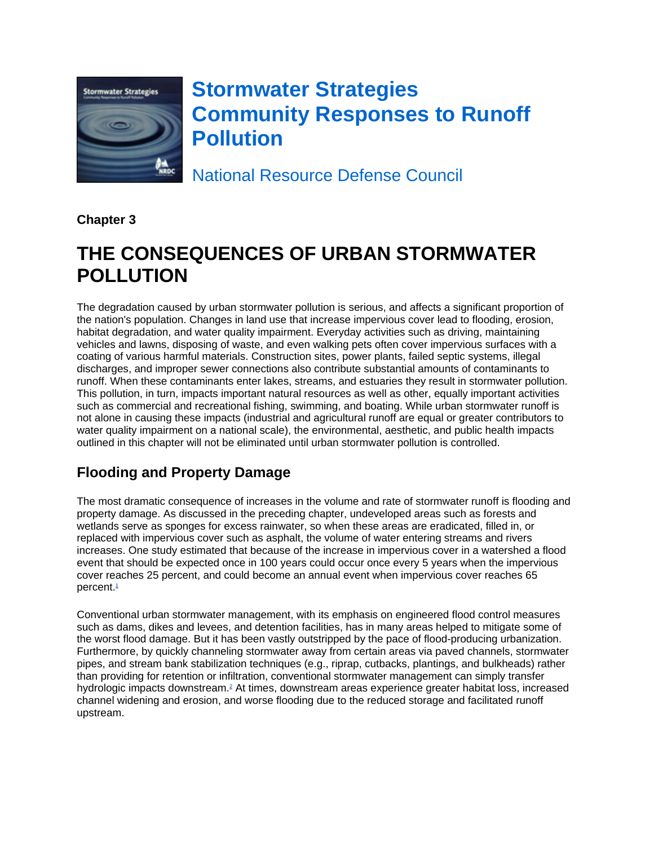

# **Stormwater Strategies Community Responses to Runoff Pollution**

National Resource Defense Council

**Chapter 3**

# **THE CONSEQUENCES OF URBAN STORMWATER POLLUTION**

The degradation caused by urban stormwater pollution is serious, and affects a significant proportion of the nation's population. Changes in land use that increase impervious cover lead to flooding, erosion, habitat degradation, and water quality impairment. Everyday activities such as driving, maintaining vehicles and lawns, disposing of waste, and even walking pets often cover impervious surfaces with a coating of various harmful materials. Construction sites, power plants, failed septic systems, illegal discharges, and improper sewer connections also contribute substantial amounts of contaminants to runoff. When these contaminants enter lakes, streams, and estuaries they result in stormwater pollution. This pollution, in turn, impacts important natural resources as well as other, equally important activities such as commercial and recreational fishing, swimming, and boating. While urban stormwater runoff is not alone in causing these impacts (industrial and agricultural runoff are equal or greater contributors to water quality impairment on a national scale), the environmental, aesthetic, and public health impacts outlined in this chapter will not be eliminated until urban stormwater pollution is controlled.

## **Flooding and Property Damage**

The most dramatic consequence of increases in the volume and rate of stormwater runoff is flooding and property damage. As discussed in the preceding chapter, undeveloped areas such as forests and wetlands serve as sponges for excess rainwater, so when these areas are eradicated, filled in, or replaced with impervious cover such as asphalt, the volume of water entering streams and rivers increases. One study estimated that because of the increase in impervious cover in a watershed a flood event that should be expected once in 100 years could occur once every 5 years when the impervious cover reaches 25 percent, and could become an annual event when impervious cover reaches 65 percent.<sup>1</sup>

Conventional urban stormwater management, with its emphasis on engineered flood control measures such as dams, dikes and levees, and detention facilities, has in many areas helped to mitigate some of the worst flood damage. But it has been vastly outstripped by the pace of flood-producing urbanization. Furthermore, by quickly channeling stormwater away from certain areas via paved channels, stormwater pipes, and stream bank stabilization techniques (e.g., riprap, cutbacks, plantings, and bulkheads) rather than providing for retention or infiltration, conventional stormwater management can simply transfer hydrologic impacts downstream.<sup>2</sup> At times, downstream areas experience greater habitat loss, increased channel widening and erosion, and worse flooding due to the reduced storage and facilitated runoff upstream.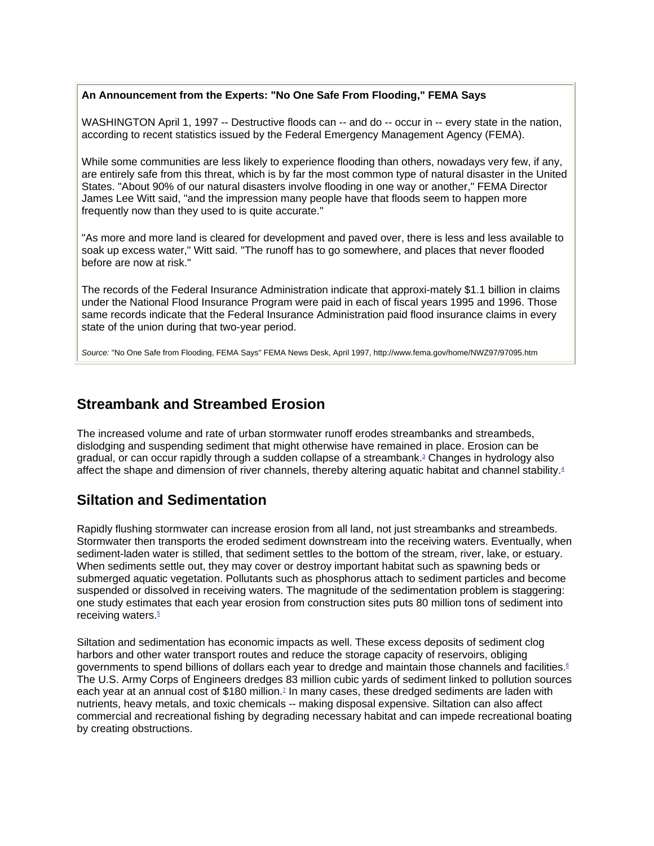### **An Announcement from the Experts: "No One Safe From Flooding," FEMA Says**

WASHINGTON April 1, 1997 -- Destructive floods can -- and do -- occur in -- every state in the nation, according to recent statistics issued by the Federal Emergency Management Agency (FEMA).

While some communities are less likely to experience flooding than others, nowadays very few, if any, are entirely safe from this threat, which is by far the most common type of natural disaster in the United States. "About 90% of our natural disasters involve flooding in one way or another," FEMA Director James Lee Witt said, "and the impression many people have that floods seem to happen more frequently now than they used to is quite accurate."

"As more and more land is cleared for development and paved over, there is less and less available to soak up excess water," Witt said. "The runoff has to go somewhere, and places that never flooded before are now at risk."

The records of the Federal Insurance Administration indicate that approxi-mately \$1.1 billion in claims under the National Flood Insurance Program were paid in each of fiscal years 1995 and 1996. Those same records indicate that the Federal Insurance Administration paid flood insurance claims in every state of the union during that two-year period.

*Source:* "No One Safe from Flooding, FEMA Says" FEMA News Desk, April 1997, http://www.fema.gov/home/NWZ97/97095.htm

## **Streambank and Streambed Erosion**

The increased volume and rate of urban stormwater runoff erodes streambanks and streambeds, dislodging and suspending sediment that might otherwise have remained in place. Erosion can be gradual, or can occur rapidly through a sudden collapse of a streambank.<sup>3</sup> Changes in hydrology also affect the shape and dimension of river channels, thereby altering aquatic habitat and channel stability.<sup>4</sup>

## **Siltation and Sedimentation**

Rapidly flushing stormwater can increase erosion from all land, not just streambanks and streambeds. Stormwater then transports the eroded sediment downstream into the receiving waters. Eventually, when sediment-laden water is stilled, that sediment settles to the bottom of the stream, river, lake, or estuary. When sediments settle out, they may cover or destroy important habitat such as spawning beds or submerged aquatic vegetation. Pollutants such as phosphorus attach to sediment particles and become suspended or dissolved in receiving waters. The magnitude of the sedimentation problem is staggering: one study estimates that each year erosion from construction sites puts 80 million tons of sediment into receiving waters<sup>5</sup>

Siltation and sedimentation has economic impacts as well. These excess deposits of sediment clog harbors and other water transport routes and reduce the storage capacity of reservoirs, obliging governments to spend billions of dollars each year to dredge and maintain those channels and facilities.<sup>6</sup> The U.S. Army Corps of Engineers dredges 83 million cubic yards of sediment linked to pollution sources each year at an annual cost of \$180 million.<sup>7</sup> In many cases, these dredged sediments are laden with nutrients, heavy metals, and toxic chemicals -- making disposal expensive. Siltation can also affect commercial and recreational fishing by degrading necessary habitat and can impede recreational boating by creating obstructions.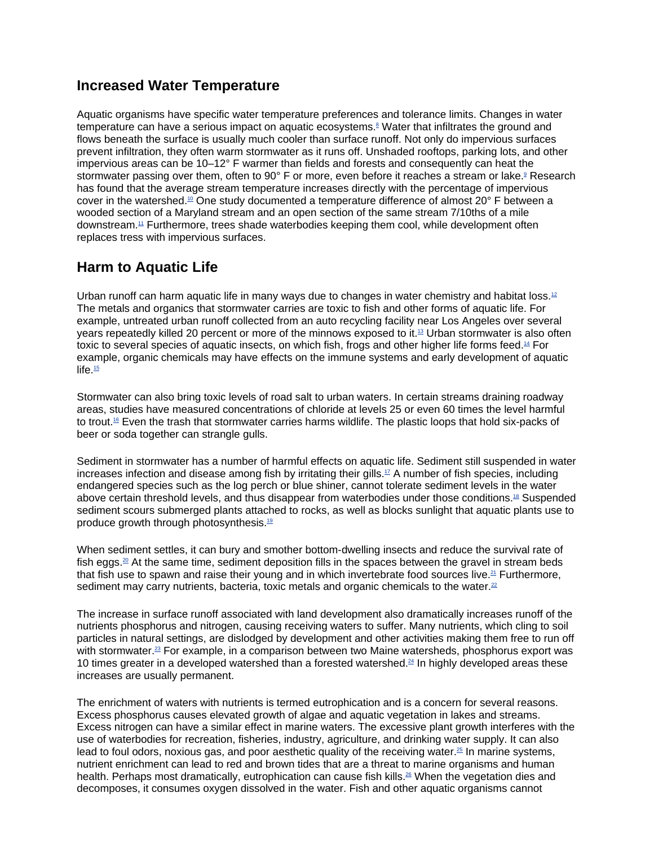### **Increased Water Temperature**

Aquatic organisms have specific water temperature preferences and tolerance limits. Changes in water temperature can have a serious impact on aquatic ecosystems.8 Water that infiltrates the ground and flows beneath the surface is usually much cooler than surface runoff. Not only do impervious surfaces prevent infiltration, they often warm stormwater as it runs off. Unshaded rooftops, parking lots, and other impervious areas can be 10–12° F warmer than fields and forests and consequently can heat the stormwater passing over them, often to 90° F or more, even before it reaches a stream or lake.<sup>9</sup> Research has found that the average stream temperature increases directly with the percentage of impervious cover in the watershed.10 One study documented a temperature difference of almost 20° F between a wooded section of a Maryland stream and an open section of the same stream 7/10ths of a mile downstream.11 Furthermore, trees shade waterbodies keeping them cool, while development often replaces tress with impervious surfaces.

## **Harm to Aquatic Life**

Urban runoff can harm aquatic life in many ways due to changes in water chemistry and habitat loss.<sup>12</sup> The metals and organics that stormwater carries are toxic to fish and other forms of aquatic life. For example, untreated urban runoff collected from an auto recycling facility near Los Angeles over several years repeatedly killed 20 percent or more of the minnows exposed to it.13 Urban stormwater is also often toxic to several species of aquatic insects, on which fish, frogs and other higher life forms feed.<sup>14</sup> For example, organic chemicals may have effects on the immune systems and early development of aquatic life. $\frac{15}{2}$ 

Stormwater can also bring toxic levels of road salt to urban waters. In certain streams draining roadway areas, studies have measured concentrations of chloride at levels 25 or even 60 times the level harmful to trout.16 Even the trash that stormwater carries harms wildlife. The plastic loops that hold six-packs of beer or soda together can strangle gulls.

Sediment in stormwater has a number of harmful effects on aquatic life. Sediment still suspended in water increases infection and disease among fish by irritating their gills.17 A number of fish species, including endangered species such as the log perch or blue shiner, cannot tolerate sediment levels in the water above certain threshold levels, and thus disappear from waterbodies under those conditions.<sup>18</sup> Suspended sediment scours submerged plants attached to rocks, as well as blocks sunlight that aquatic plants use to produce growth through photosynthesis.19

When sediment settles, it can bury and smother bottom-dwelling insects and reduce the survival rate of fish eggs.<sup>20</sup> At the same time, sediment deposition fills in the spaces between the gravel in stream beds that fish use to spawn and raise their young and in which invertebrate food sources live.<sup>21</sup> Furthermore, sediment may carry nutrients, bacteria, toxic metals and organic chemicals to the water. $22$ 

The increase in surface runoff associated with land development also dramatically increases runoff of the nutrients phosphorus and nitrogen, causing receiving waters to suffer. Many nutrients, which cling to soil particles in natural settings, are dislodged by development and other activities making them free to run off with stormwater.<sup>23</sup> For example, in a comparison between two Maine watersheds, phosphorus export was 10 times greater in a developed watershed than a forested watershed.<sup>24</sup> In highly developed areas these increases are usually permanent.

The enrichment of waters with nutrients is termed eutrophication and is a concern for several reasons. Excess phosphorus causes elevated growth of algae and aquatic vegetation in lakes and streams. Excess nitrogen can have a similar effect in marine waters. The excessive plant growth interferes with the use of waterbodies for recreation, fisheries, industry, agriculture, and drinking water supply. It can also lead to foul odors, noxious gas, and poor aesthetic quality of the receiving water.<sup>25</sup> In marine systems, nutrient enrichment can lead to red and brown tides that are a threat to marine organisms and human health. Perhaps most dramatically, eutrophication can cause fish kills.<sup>26</sup> When the vegetation dies and decomposes, it consumes oxygen dissolved in the water. Fish and other aquatic organisms cannot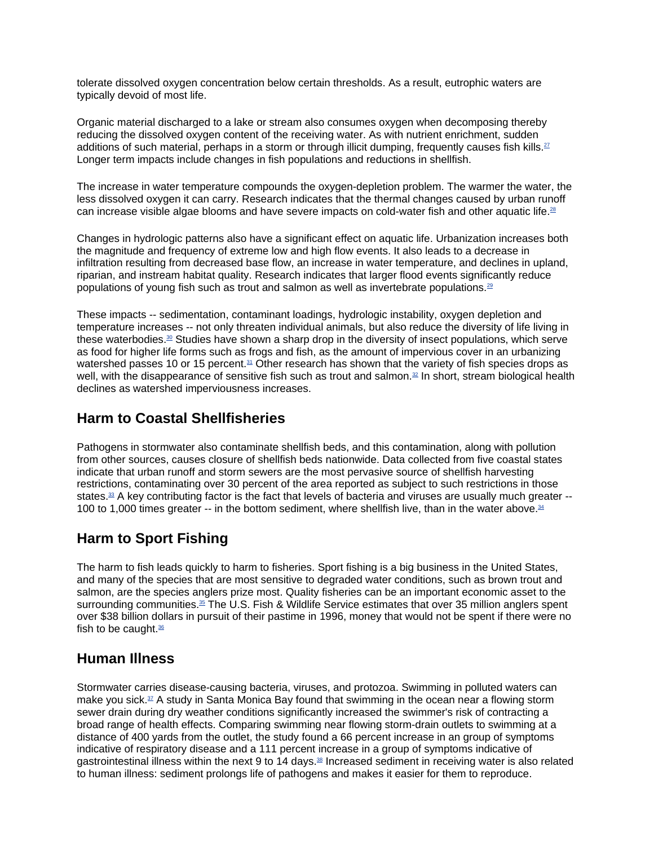tolerate dissolved oxygen concentration below certain thresholds. As a result, eutrophic waters are typically devoid of most life.

Organic material discharged to a lake or stream also consumes oxygen when decomposing thereby reducing the dissolved oxygen content of the receiving water. As with nutrient enrichment, sudden additions of such material, perhaps in a storm or through illicit dumping, frequently causes fish kills.<sup>27</sup> Longer term impacts include changes in fish populations and reductions in shellfish.

The increase in water temperature compounds the oxygen-depletion problem. The warmer the water, the less dissolved oxygen it can carry. Research indicates that the thermal changes caused by urban runoff can increase visible algae blooms and have severe impacts on cold-water fish and other aquatic life.<sup>28</sup>

Changes in hydrologic patterns also have a significant effect on aquatic life. Urbanization increases both the magnitude and frequency of extreme low and high flow events. It also leads to a decrease in infiltration resulting from decreased base flow, an increase in water temperature, and declines in upland, riparian, and instream habitat quality. Research indicates that larger flood events significantly reduce populations of young fish such as trout and salmon as well as invertebrate populations.29

These impacts -- sedimentation, contaminant loadings, hydrologic instability, oxygen depletion and temperature increases -- not only threaten individual animals, but also reduce the diversity of life living in these waterbodies.<sup>30</sup> Studies have shown a sharp drop in the diversity of insect populations, which serve as food for higher life forms such as frogs and fish, as the amount of impervious cover in an urbanizing watershed passes 10 or 15 percent.<sup>31</sup> Other research has shown that the variety of fish species drops as well, with the disappearance of sensitive fish such as trout and salmon.<sup>32</sup> In short, stream biological health declines as watershed imperviousness increases.

## **Harm to Coastal Shellfisheries**

Pathogens in stormwater also contaminate shellfish beds, and this contamination, along with pollution from other sources, causes closure of shellfish beds nationwide. Data collected from five coastal states indicate that urban runoff and storm sewers are the most pervasive source of shellfish harvesting restrictions, contaminating over 30 percent of the area reported as subject to such restrictions in those states. $33$  A key contributing factor is the fact that levels of bacteria and viruses are usually much greater  $-$ 100 to 1,000 times greater -- in the bottom sediment, where shellfish live, than in the water above.<sup>34</sup>

## **Harm to Sport Fishing**

The harm to fish leads quickly to harm to fisheries. Sport fishing is a big business in the United States, and many of the species that are most sensitive to degraded water conditions, such as brown trout and salmon, are the species anglers prize most. Quality fisheries can be an important economic asset to the surrounding communities.<sup>35</sup> The U.S. Fish & Wildlife Service estimates that over 35 million anglers spent over \$38 billion dollars in pursuit of their pastime in 1996, money that would not be spent if there were no fish to be caught. $36$ 

## **Human Illness**

Stormwater carries disease-causing bacteria, viruses, and protozoa. Swimming in polluted waters can make you sick.<sup>37</sup> A study in Santa Monica Bay found that swimming in the ocean near a flowing storm sewer drain during dry weather conditions significantly increased the swimmer's risk of contracting a broad range of health effects. Comparing swimming near flowing storm-drain outlets to swimming at a distance of 400 yards from the outlet, the study found a 66 percent increase in an group of symptoms indicative of respiratory disease and a 111 percent increase in a group of symptoms indicative of gastrointestinal illness within the next 9 to 14 days.<sup>38</sup> Increased sediment in receiving water is also related to human illness: sediment prolongs life of pathogens and makes it easier for them to reproduce.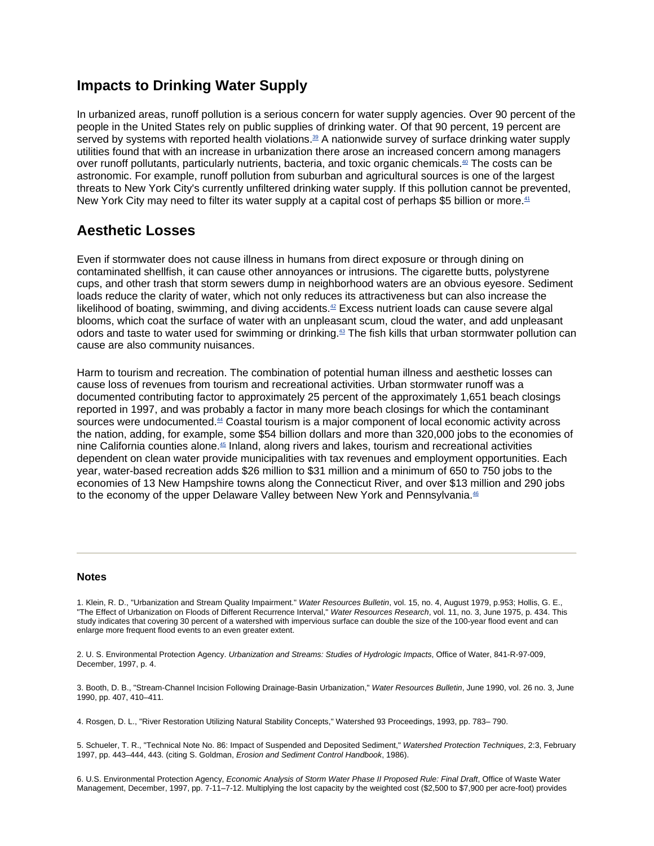### **Impacts to Drinking Water Supply**

In urbanized areas, runoff pollution is a serious concern for water supply agencies. Over 90 percent of the people in the United States rely on public supplies of drinking water. Of that 90 percent, 19 percent are served by systems with reported health violations.<sup>39</sup> A nationwide survey of surface drinking water supply utilities found that with an increase in urbanization there arose an increased concern among managers over runoff pollutants, particularly nutrients, bacteria, and toxic organic chemicals.40 The costs can be astronomic. For example, runoff pollution from suburban and agricultural sources is one of the largest threats to New York City's currently unfiltered drinking water supply. If this pollution cannot be prevented, New York City may need to filter its water supply at a capital cost of perhaps \$5 billion or more.<sup>41</sup>

### **Aesthetic Losses**

Even if stormwater does not cause illness in humans from direct exposure or through dining on contaminated shellfish, it can cause other annoyances or intrusions. The cigarette butts, polystyrene cups, and other trash that storm sewers dump in neighborhood waters are an obvious eyesore. Sediment loads reduce the clarity of water, which not only reduces its attractiveness but can also increase the likelihood of boating, swimming, and diving accidents. $42$  Excess nutrient loads can cause severe algal blooms, which coat the surface of water with an unpleasant scum, cloud the water, and add unpleasant odors and taste to water used for swimming or drinking.43 The fish kills that urban stormwater pollution can cause are also community nuisances.

Harm to tourism and recreation. The combination of potential human illness and aesthetic losses can cause loss of revenues from tourism and recreational activities. Urban stormwater runoff was a documented contributing factor to approximately 25 percent of the approximately 1,651 beach closings reported in 1997, and was probably a factor in many more beach closings for which the contaminant sources were undocumented.<sup>44</sup> Coastal tourism is a major component of local economic activity across the nation, adding, for example, some \$54 billion dollars and more than 320,000 jobs to the economies of nine California counties alone.45 Inland, along rivers and lakes, tourism and recreational activities dependent on clean water provide municipalities with tax revenues and employment opportunities. Each year, water-based recreation adds \$26 million to \$31 million and a minimum of 650 to 750 jobs to the economies of 13 New Hampshire towns along the Connecticut River, and over \$13 million and 290 jobs to the economy of the upper Delaware Valley between New York and Pennsylvania.<sup>46</sup>

#### **Notes**

1. Klein, R. D., "Urbanization and Stream Quality Impairment." *Water Resources Bulletin*, vol. 15, no. 4, August 1979, p.953; Hollis, G. E., "The Effect of Urbanization on Floods of Different Recurrence Interval," *Water Resources Research*, vol. 11, no. 3, June 1975, p. 434. This study indicates that covering 30 percent of a watershed with impervious surface can double the size of the 100-year flood event and can enlarge more frequent flood events to an even greater extent.

2. U. S. Environmental Protection Agency. *Urbanization and Streams: Studies of Hydrologic Impacts*, Office of Water, 841-R-97-009, December, 1997, p. 4.

3. Booth, D. B., "Stream-Channel Incision Following Drainage-Basin Urbanization," *Water Resources Bulletin*, June 1990, vol. 26 no. 3, June 1990, pp. 407, 410–411.

4. Rosgen, D. L., "River Restoration Utilizing Natural Stability Concepts," Watershed 93 Proceedings, 1993, pp. 783– 790.

5. Schueler, T. R., "Technical Note No. 86: Impact of Suspended and Deposited Sediment," *Watershed Protection Techniques*, 2:3, February 1997, pp. 443–444, 443. (citing S. Goldman, *Erosion and Sediment Control Handbook*, 1986).

6. U.S. Environmental Protection Agency, *Economic Analysis of Storm Water Phase II Proposed Rule: Final Draft*, Office of Waste Water Management, December, 1997, pp. 7-11–7-12. Multiplying the lost capacity by the weighted cost (\$2,500 to \$7,900 per acre-foot) provides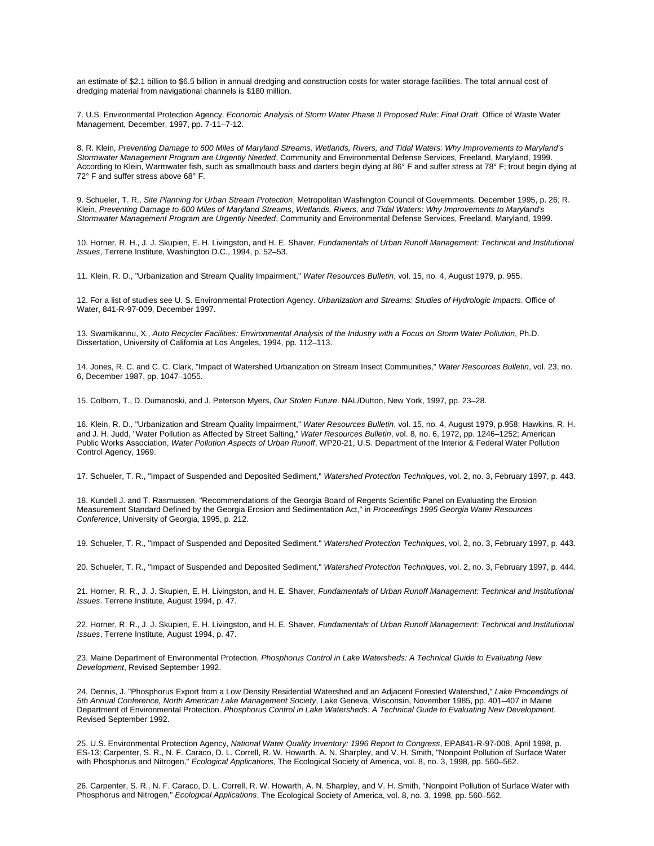an estimate of \$2.1 billion to \$6.5 billion in annual dredging and construction costs for water storage facilities. The total annual cost of dredging material from navigational channels is \$180 million.

7. U.S. Environmental Protection Agency, *Economic Analysis of Storm Water Phase II Proposed Rule: Final Draft*. Office of Waste Water Management, December, 1997, pp. 7-11–7-12.

8. R. Klein, *Preventing Damage to 600 Miles of Maryland Streams, Wetlands, Rivers, and Tidal Waters: Why Improvements to Maryland's Stormwater Management Program are Urgently Needed*, Community and Environmental Defense Services, Freeland, Maryland, 1999. According to Klein, Warmwater fish, such as smallmouth bass and darters begin dying at 86° F and suffer stress at 78° F; trout begin dying at 72° F and suffer stress above 68° F.

9. Schueler, T. R., *Site Planning for Urban Stream Protection*, Metropolitan Washington Council of Governments, December 1995, p. 26; R. Klein, *Preventing Damage to 600 Miles of Maryland Streams, Wetlands, Rivers, and Tidal Waters: Why Improvements to Maryland's Stormwater Management Program are Urgently Needed*, Community and Environmental Defense Services, Freeland, Maryland, 1999.

10. Horner, R. H., J. J. Skupien, E. H. Livingston, and H. E. Shaver, *Fundamentals of Urban Runoff Management: Technical and Institutional Issues*, Terrene Institute, Washington D.C., 1994, p. 52–53.

11. Klein, R. D., "Urbanization and Stream Quality Impairment," *Water Resources Bulletin*, vol. 15, no. 4, August 1979, p. 955.

12. For a list of studies see U. S. Environmental Protection Agency. *Urbanization and Streams: Studies of Hydrologic Impacts*. Office of Water, 841-R-97-009, December 1997.

13. Swamikannu, X., *Auto Recycler Facilities: Environmental Analysis of the Industry with a Focus on Storm Water Pollution*, Ph.D. Dissertation, University of California at Los Angeles, 1994, pp. 112–113.

14. Jones, R. C. and C. C. Clark, "Impact of Watershed Urbanization on Stream Insect Communities," *Water Resources Bulletin*, vol. 23, no. 6, December 1987, pp. 1047–1055.

15. Colborn, T., D. Dumanoski, and J. Peterson Myers, *Our Stolen Future*. NAL/Dutton, New York, 1997, pp. 23–28.

16. Klein, R. D., "Urbanization and Stream Quality Impairment," *Water Resources Bulletin*, vol. 15, no. 4, August 1979, p.958; Hawkins, R. H. and J. H. Judd, "Water Pollution as Affected by Street Salting," *Water Resources Bulletin*, vol. 8, no. 6, 1972, pp. 1246–1252; American Public Works Association, *Water Pollution Aspects of Urban Runoff*, WP20-21, U.S. Department of the Interior & Federal Water Pollution Control Agency, 1969.

17. Schueler, T. R., "Impact of Suspended and Deposited Sediment," *Watershed Protection Techniques*, vol. 2, no. 3, February 1997, p. 443.

18. Kundell J. and T. Rasmussen, "Recommendations of the Georgia Board of Regents Scientific Panel on Evaluating the Erosion Measurement Standard Defined by the Georgia Erosion and Sedimentation Act," in *Proceedings 1995 Georgia Water Resources Conference*, University of Georgia, 1995, p. 212.

19. Schueler, T. R., "Impact of Suspended and Deposited Sediment." *Watershed Protection Techniques*, vol. 2, no. 3, February 1997, p. 443.

20. Schueler, T. R., "Impact of Suspended and Deposited Sediment," *Watershed Protection Techniques*, vol. 2, no. 3, February 1997, p. 444.

21. Horner, R. R., J. J. Skupien, E. H. Livingston, and H. E. Shaver, *Fundamentals of Urban Runoff Management: Technical and Institutional Issues*. Terrene Institute, August 1994, p. 47.

22. Horner, R. R., J. J. Skupien, E. H. Livingston, and H. E. Shaver, *Fundamentals of Urban Runoff Management: Technical and Institutional Issues*, Terrene Institute, August 1994, p. 47.

23. Maine Department of Environmental Protection, *Phosphorus Control in Lake Watersheds: A Technical Guide to Evaluating New Development*, Revised September 1992.

24. Dennis, J. "Phosphorus Export from a Low Density Residential Watershed and an Adjacent Forested Watershed," *Lake Proceedings of 5th Annual Conference, North American Lake Management Society*, Lake Geneva, Wisconsin, November 1985, pp. 401–407 in Maine Department of Environmental Protection. *Phosphorus Control in Lake Watersheds: A Technical Guide to Evaluating New Development*. Revised September 1992.

25. U.S. Environmental Protection Agency, *National Water Quality Inventory: 1996 Report to Congress*, EPA841-R-97-008, April 1998, p. ES-13; Carpenter, S. R., N. F. Caraco, D. L. Correll, R. W. Howarth, A. N. Sharpley, and V. H. Smith, "Nonpoint Pollution of Surface Water with Phosphorus and Nitrogen," *Ecological Applications*, The Ecological Society of America, vol. 8, no. 3, 1998, pp. 560–562.

26. Carpenter, S. R., N. F. Caraco, D. L. Correll, R. W. Howarth, A. N. Sharpley, and V. H. Smith, "Nonpoint Pollution of Surface Water with Phosphorus and Nitrogen," *Ecological Applications*, The Ecological Society of America, vol. 8, no. 3, 1998, pp. 560–562.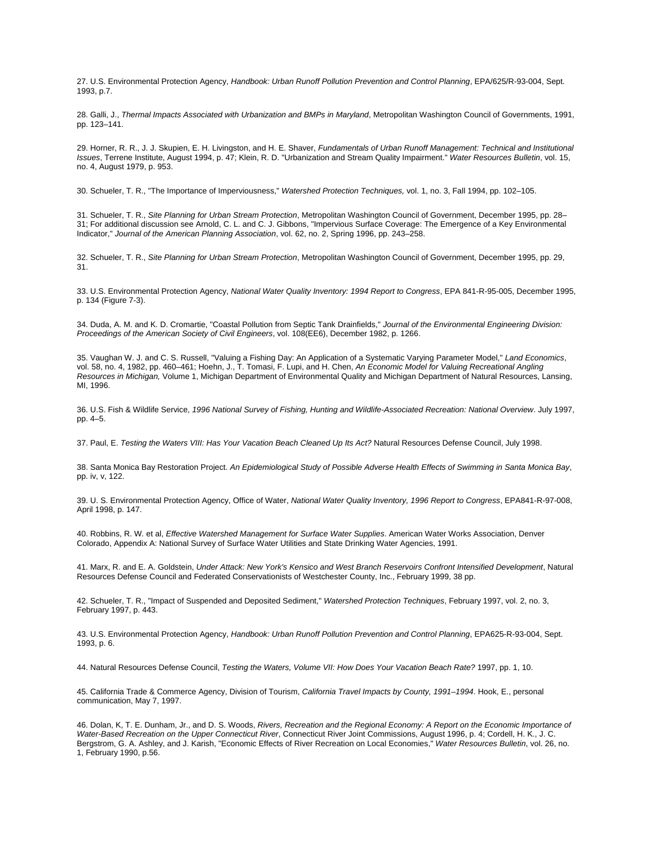27. U.S. Environmental Protection Agency, *Handbook: Urban Runoff Pollution Prevention and Control Planning*, EPA/625/R-93-004, Sept. 1993, p.7.

28. Galli, J., *Thermal Impacts Associated with Urbanization and BMPs in Maryland*, Metropolitan Washington Council of Governments, 1991, pp. 123–141.

29. Horner, R. R., J. J. Skupien, E. H. Livingston, and H. E. Shaver, *Fundamentals of Urban Runoff Management: Technical and Institutional Issues*, Terrene Institute, August 1994, p. 47; Klein, R. D. "Urbanization and Stream Quality Impairment." *Water Resources Bulletin*, vol. 15, no. 4, August 1979, p. 953.

30. Schueler, T. R., "The Importance of Imperviousness," *Watershed Protection Techniques,* vol. 1, no. 3, Fall 1994, pp. 102–105.

31. Schueler, T. R., *Site Planning for Urban Stream Protection*, Metropolitan Washington Council of Government, December 1995, pp. 28– 31; For additional discussion see Arnold, C. L. and C. J. Gibbons, "Impervious Surface Coverage: The Emergence of a Key Environmental Indicator," *Journal of the American Planning Association*, vol. 62, no. 2, Spring 1996, pp. 243–258.

32. Schueler, T. R., *Site Planning for Urban Stream Protection*, Metropolitan Washington Council of Government, December 1995, pp. 29, 31.

33. U.S. Environmental Protection Agency, *National Water Quality Inventory: 1994 Report to Congress*, EPA 841-R-95-005, December 1995, p. 134 (Figure 7-3).

34. Duda, A. M. and K. D. Cromartie, "Coastal Pollution from Septic Tank Drainfields," *Journal of the Environmental Engineering Division: Proceedings of the American Society of Civil Engineers*, vol. 108(EE6), December 1982, p. 1266.

35. Vaughan W. J. and C. S. Russell, "Valuing a Fishing Day: An Application of a Systematic Varying Parameter Model," *Land Economics*, vol. 58, no. 4, 1982, pp. 460–461; Hoehn, J., T. Tomasi, F. Lupi, and H. Chen, *An Economic Model for Valuing Recreational Angling Resources in Michigan,* Volume 1, Michigan Department of Environmental Quality and Michigan Department of Natural Resources, Lansing, MI, 1996.

36. U.S. Fish & Wildlife Service, *1996 National Survey of Fishing, Hunting and Wildlife-Associated Recreation: National Overview*. July 1997, pp. 4–5.

37. Paul, E. *Testing the Waters VIII: Has Your Vacation Beach Cleaned Up Its Act?* Natural Resources Defense Council, July 1998.

38. Santa Monica Bay Restoration Project. *An Epidemiological Study of Possible Adverse Health Effects of Swimming in Santa Monica Bay*, pp. iv, v, 122.

39. U. S. Environmental Protection Agency, Office of Water, *National Water Quality Inventory, 1996 Report to Congress*, EPA841-R-97-008, April 1998, p. 147.

40. Robbins, R. W. et al, *Effective Watershed Management for Surface Water Supplies*. American Water Works Association, Denver Colorado, Appendix A: National Survey of Surface Water Utilities and State Drinking Water Agencies, 1991.

41. Marx, R. and E. A. Goldstein, *Under Attack: New York's Kensico and West Branch Reservoirs Confront Intensified Development*, Natural Resources Defense Council and Federated Conservationists of Westchester County, Inc., February 1999, 38 pp.

42. Schueler, T. R., "Impact of Suspended and Deposited Sediment," *Watershed Protection Techniques*, February 1997, vol. 2, no. 3, February 1997, p. 443.

43. U.S. Environmental Protection Agency, *Handbook: Urban Runoff Pollution Prevention and Control Planning*, EPA625-R-93-004, Sept. 1993, p. 6.

44. Natural Resources Defense Council, *Testing the Waters, Volume VII: How Does Your Vacation Beach Rate?* 1997, pp. 1, 10.

45. California Trade & Commerce Agency, Division of Tourism, *California Travel Impacts by County, 1991–1994*. Hook, E., personal communication, May 7, 1997.

46. Dolan, K, T. E. Dunham, Jr., and D. S. Woods, *Rivers, Recreation and the Regional Economy: A Report on the Economic Importance of Water-Based Recreation on the Upper Connecticut River*, Connecticut River Joint Commissions, August 1996, p. 4; Cordell, H. K., J. C. Bergstrom, G. A. Ashley, and J. Karish, "Economic Effects of River Recreation on Local Economies," *Water Resources Bulletin*, vol. 26, no. 1, February 1990, p.56.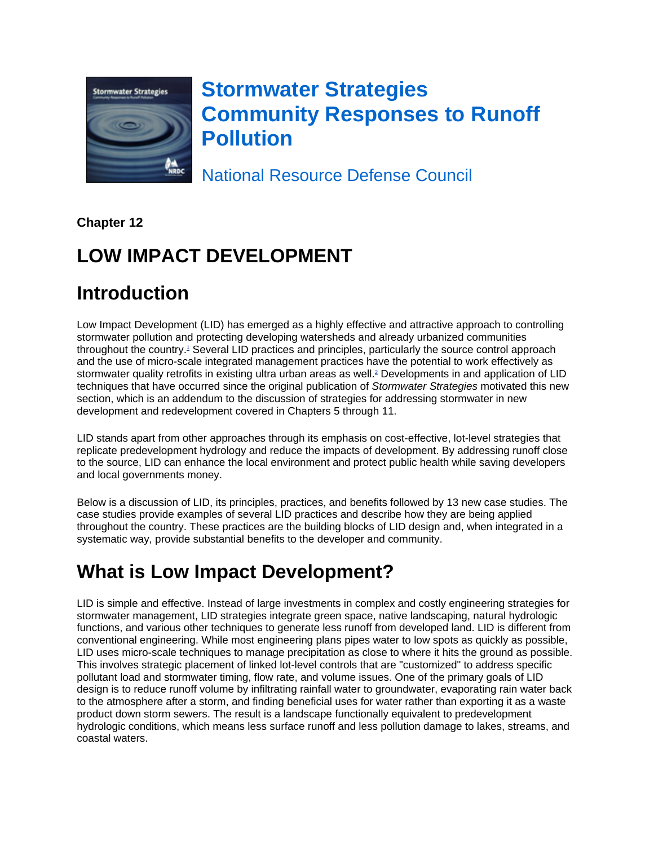

# **Stormwater Strategies Community Responses to Runoff Pollution**

National Resource Defense Council

**Chapter 12**

# **LOW IMPACT DEVELOPMENT**

# **Introduction**

Low Impact Development (LID) has emerged as a highly effective and attractive approach to controlling stormwater pollution and protecting developing watersheds and already urbanized communities throughout the country.<sup>1</sup> Several LID practices and principles, particularly the source control approach and the use of micro-scale integrated management practices have the potential to work effectively as stormwater quality retrofits in existing ultra urban areas as well.<sup>2</sup> Developments in and application of LID techniques that have occurred since the original publication of *Stormwater Strategies* motivated this new section, which is an addendum to the discussion of strategies for addressing stormwater in new development and redevelopment covered in Chapters 5 through 11.

LID stands apart from other approaches through its emphasis on cost-effective, lot-level strategies that replicate predevelopment hydrology and reduce the impacts of development. By addressing runoff close to the source, LID can enhance the local environment and protect public health while saving developers and local governments money.

Below is a discussion of LID, its principles, practices, and benefits followed by 13 new case studies. The case studies provide examples of several LID practices and describe how they are being applied throughout the country. These practices are the building blocks of LID design and, when integrated in a systematic way, provide substantial benefits to the developer and community.

# **What is Low Impact Development?**

LID is simple and effective. Instead of large investments in complex and costly engineering strategies for stormwater management, LID strategies integrate green space, native landscaping, natural hydrologic functions, and various other techniques to generate less runoff from developed land. LID is different from conventional engineering. While most engineering plans pipes water to low spots as quickly as possible, LID uses micro-scale techniques to manage precipitation as close to where it hits the ground as possible. This involves strategic placement of linked lot-level controls that are "customized" to address specific pollutant load and stormwater timing, flow rate, and volume issues. One of the primary goals of LID design is to reduce runoff volume by infiltrating rainfall water to groundwater, evaporating rain water back to the atmosphere after a storm, and finding beneficial uses for water rather than exporting it as a waste product down storm sewers. The result is a landscape functionally equivalent to predevelopment hydrologic conditions, which means less surface runoff and less pollution damage to lakes, streams, and coastal waters.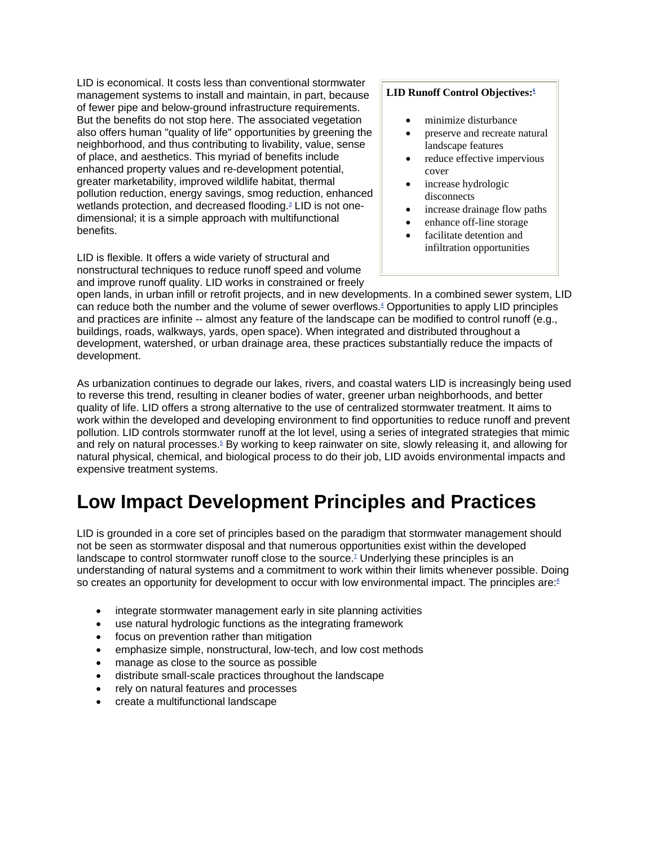LID is economical. It costs less than conventional stormwater management systems to install and maintain, in part, because of fewer pipe and below-ground infrastructure requirements. But the benefits do not stop here. The associated vegetation also offers human "quality of life" opportunities by greening the neighborhood, and thus contributing to livability, value, sense of place, and aesthetics. This myriad of benefits include enhanced property values and re-development potential, greater marketability, improved wildlife habitat, thermal pollution reduction, energy savings, smog reduction, enhanced wetlands protection, and decreased flooding.<sup>3</sup> LID is not onedimensional; it is a simple approach with multifunctional benefits.

LID is flexible. It offers a wide variety of structural and nonstructural techniques to reduce runoff speed and volume and improve runoff quality. LID works in constrained or freely

### LID Runoff Control Objectives:<sup>6</sup>

- minimize disturbance
- preserve and recreate natural landscape features
- reduce effective impervious cover
- increase hydrologic disconnects
- increase drainage flow paths
- enhance off-line storage
- facilitate detention and infiltration opportunities

open lands, in urban infill or retrofit projects, and in new developments. In a combined sewer system, LID can reduce both the number and the volume of sewer overflows.4 Opportunities to apply LID principles and practices are infinite -- almost any feature of the landscape can be modified to control runoff (e.g., buildings, roads, walkways, yards, open space). When integrated and distributed throughout a development, watershed, or urban drainage area, these practices substantially reduce the impacts of development.

As urbanization continues to degrade our lakes, rivers, and coastal waters LID is increasingly being used to reverse this trend, resulting in cleaner bodies of water, greener urban neighborhoods, and better quality of life. LID offers a strong alternative to the use of centralized stormwater treatment. It aims to work within the developed and developing environment to find opportunities to reduce runoff and prevent pollution. LID controls stormwater runoff at the lot level, using a series of integrated strategies that mimic and rely on natural processes.<sup>5</sup> By working to keep rainwater on site, slowly releasing it, and allowing for natural physical, chemical, and biological process to do their job, LID avoids environmental impacts and expensive treatment systems.

# **Low Impact Development Principles and Practices**

LID is grounded in a core set of principles based on the paradigm that stormwater management should not be seen as stormwater disposal and that numerous opportunities exist within the developed landscape to control stormwater runoff close to the source.<sup>7</sup> Underlying these principles is an understanding of natural systems and a commitment to work within their limits whenever possible. Doing so creates an opportunity for development to occur with low environmental impact. The principles are: $8$ 

- integrate stormwater management early in site planning activities
- use natural hydrologic functions as the integrating framework
- focus on prevention rather than mitigation
- emphasize simple, nonstructural, low-tech, and low cost methods
- manage as close to the source as possible
- distribute small-scale practices throughout the landscape
- rely on natural features and processes
- create a multifunctional landscape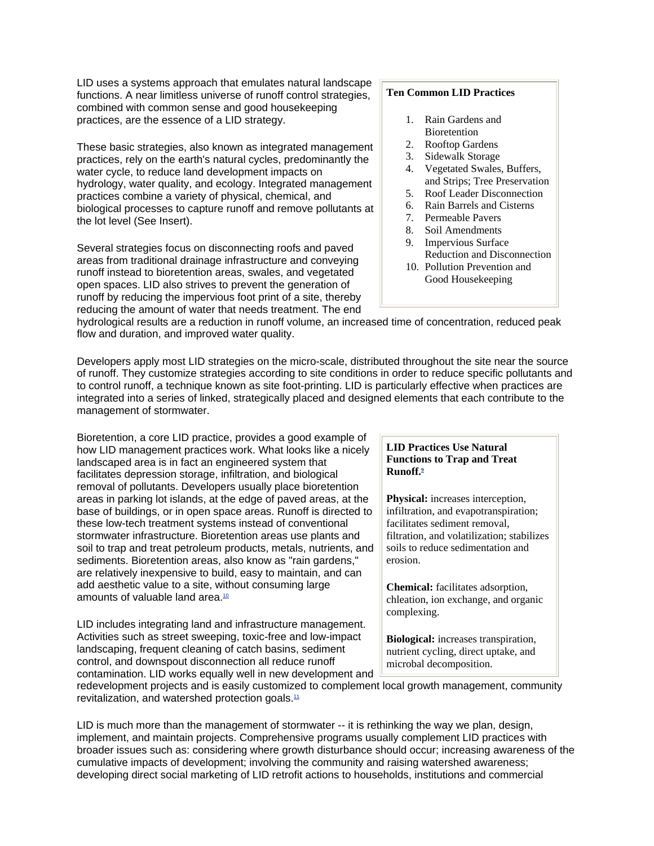LID uses a systems approach that emulates natural landscape functions. A near limitless universe of runoff control strategies, combined with common sense and good housekeeping practices, are the essence of a LID strategy.

These basic strategies, also known as integrated management practices, rely on the earth's natural cycles, predominantly the water cycle, to reduce land development impacts on hydrology, water quality, and ecology. Integrated management practices combine a variety of physical, chemical, and biological processes to capture runoff and remove pollutants at the lot level (See Insert).

Several strategies focus on disconnecting roofs and paved areas from traditional drainage infrastructure and conveying runoff instead to bioretention areas, swales, and vegetated open spaces. LID also strives to prevent the generation of runoff by reducing the impervious foot print of a site, thereby reducing the amount of water that needs treatment. The end

#### **Ten Common LID Practices**

- 1. Rain Gardens and Bioretention
- 2. Rooftop Gardens
- 3. Sidewalk Storage
- 4. Vegetated Swales, Buffers, and Strips; Tree Preservation
- 5. Roof Leader Disconnection
- 6. Rain Barrels and Cisterns
- 7. Permeable Pavers
- 8. Soil Amendments
- 9. Impervious Surface Reduction and Disconnection
- 10. Pollution Prevention and Good Housekeeping

hydrological results are a reduction in runoff volume, an increased time of concentration, reduced peak flow and duration, and improved water quality.

Developers apply most LID strategies on the micro-scale, distributed throughout the site near the source of runoff. They customize strategies according to site conditions in order to reduce specific pollutants and to control runoff, a technique known as site foot-printing. LID is particularly effective when practices are integrated into a series of linked, strategically placed and designed elements that each contribute to the management of stormwater.

Bioretention, a core LID practice, provides a good example of how LID management practices work. What looks like a nicely landscaped area is in fact an engineered system that facilitates depression storage, infiltration, and biological removal of pollutants. Developers usually place bioretention areas in parking lot islands, at the edge of paved areas, at the base of buildings, or in open space areas. Runoff is directed to these low-tech treatment systems instead of conventional stormwater infrastructure. Bioretention areas use plants and soil to trap and treat petroleum products, metals, nutrients, and sediments. Bioretention areas, also know as "rain gardens," are relatively inexpensive to build, easy to maintain, and can add aesthetic value to a site, without consuming large amounts of valuable land area.<sup>10</sup>

LID includes integrating land and infrastructure management. Activities such as street sweeping, toxic-free and low-impact landscaping, frequent cleaning of catch basins, sediment control, and downspout disconnection all reduce runoff contamination. LID works equally well in new development and

#### **LID Practices Use Natural Functions to Trap and Treat Runoff.9**

**Physical:** increases interception, infiltration, and evapotranspiration; facilitates sediment removal, filtration, and volatilization; stabilizes soils to reduce sedimentation and erosion.

**Chemical:** facilitates adsorption, chleation, ion exchange, and organic complexing.

**Biological:** increases transpiration, nutrient cycling, direct uptake, and microbal decomposition.

redevelopment projects and is easily customized to complement local growth management, community revitalization, and watershed protection goals.<sup>11</sup>

LID is much more than the management of stormwater -- it is rethinking the way we plan, design, implement, and maintain projects. Comprehensive programs usually complement LID practices with broader issues such as: considering where growth disturbance should occur; increasing awareness of the cumulative impacts of development; involving the community and raising watershed awareness; developing direct social marketing of LID retrofit actions to households, institutions and commercial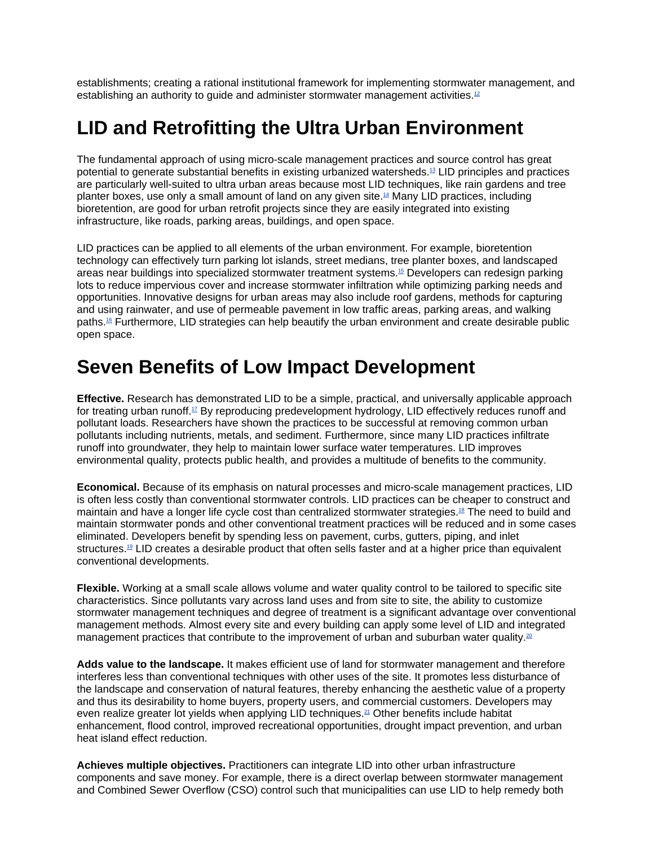establishments; creating a rational institutional framework for implementing stormwater management, and establishing an authority to quide and administer stormwater management activities.<sup>12</sup>

# **LID and Retrofitting the Ultra Urban Environment**

The fundamental approach of using micro-scale management practices and source control has great potential to generate substantial benefits in existing urbanized watersheds.13 LID principles and practices are particularly well-suited to ultra urban areas because most LID techniques, like rain gardens and tree planter boxes, use only a small amount of land on any given site.14 Many LID practices, including bioretention, are good for urban retrofit projects since they are easily integrated into existing infrastructure, like roads, parking areas, buildings, and open space.

LID practices can be applied to all elements of the urban environment. For example, bioretention technology can effectively turn parking lot islands, street medians, tree planter boxes, and landscaped areas near buildings into specialized stormwater treatment systems.15 Developers can redesign parking lots to reduce impervious cover and increase stormwater infiltration while optimizing parking needs and opportunities. Innovative designs for urban areas may also include roof gardens, methods for capturing and using rainwater, and use of permeable pavement in low traffic areas, parking areas, and walking paths.16 Furthermore, LID strategies can help beautify the urban environment and create desirable public open space.

# **Seven Benefits of Low Impact Development**

**Effective.** Research has demonstrated LID to be a simple, practical, and universally applicable approach for treating urban runoff. $17$  By reproducing predevelopment hydrology, LID effectively reduces runoff and pollutant loads. Researchers have shown the practices to be successful at removing common urban pollutants including nutrients, metals, and sediment. Furthermore, since many LID practices infiltrate runoff into groundwater, they help to maintain lower surface water temperatures. LID improves environmental quality, protects public health, and provides a multitude of benefits to the community.

**Economical.** Because of its emphasis on natural processes and micro-scale management practices, LID is often less costly than conventional stormwater controls. LID practices can be cheaper to construct and maintain and have a longer life cycle cost than centralized stormwater strategies.18 The need to build and maintain stormwater ponds and other conventional treatment practices will be reduced and in some cases eliminated. Developers benefit by spending less on pavement, curbs, gutters, piping, and inlet structures.<sup>19</sup> LID creates a desirable product that often sells faster and at a higher price than equivalent conventional developments.

**Flexible.** Working at a small scale allows volume and water quality control to be tailored to specific site characteristics. Since pollutants vary across land uses and from site to site, the ability to customize stormwater management techniques and degree of treatment is a significant advantage over conventional management methods. Almost every site and every building can apply some level of LID and integrated management practices that contribute to the improvement of urban and suburban water quality.<sup>20</sup>

**Adds value to the landscape.** It makes efficient use of land for stormwater management and therefore interferes less than conventional techniques with other uses of the site. It promotes less disturbance of the landscape and conservation of natural features, thereby enhancing the aesthetic value of a property and thus its desirability to home buyers, property users, and commercial customers. Developers may even realize greater lot yields when applying LID techniques.<sup>21</sup> Other benefits include habitat enhancement, flood control, improved recreational opportunities, drought impact prevention, and urban heat island effect reduction.

**Achieves multiple objectives.** Practitioners can integrate LID into other urban infrastructure components and save money. For example, there is a direct overlap between stormwater management and Combined Sewer Overflow (CSO) control such that municipalities can use LID to help remedy both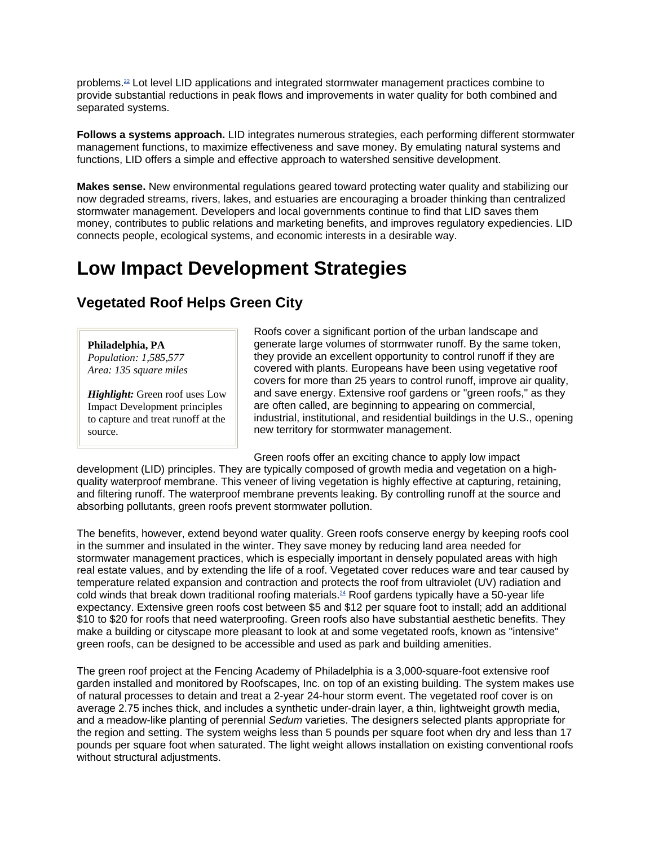problems.22 Lot level LID applications and integrated stormwater management practices combine to provide substantial reductions in peak flows and improvements in water quality for both combined and separated systems.

**Follows a systems approach.** LID integrates numerous strategies, each performing different stormwater management functions, to maximize effectiveness and save money. By emulating natural systems and functions, LID offers a simple and effective approach to watershed sensitive development.

**Makes sense.** New environmental regulations geared toward protecting water quality and stabilizing our now degraded streams, rivers, lakes, and estuaries are encouraging a broader thinking than centralized stormwater management. Developers and local governments continue to find that LID saves them money, contributes to public relations and marketing benefits, and improves regulatory expediencies. LID connects people, ecological systems, and economic interests in a desirable way.

## **Low Impact Development Strategies**

### **Vegetated Roof Helps Green City**

**Philadelphia, PA** *Population: 1,585,577 Area: 135 square miles*

*Highlight:* Green roof uses Low Impact Development principles to capture and treat runoff at the source.

Roofs cover a significant portion of the urban landscape and generate large volumes of stormwater runoff. By the same token, they provide an excellent opportunity to control runoff if they are covered with plants. Europeans have been using vegetative roof covers for more than 25 years to control runoff, improve air quality, and save energy. Extensive roof gardens or "green roofs," as they are often called, are beginning to appearing on commercial, industrial, institutional, and residential buildings in the U.S., opening new territory for stormwater management.

Green roofs offer an exciting chance to apply low impact

development (LID) principles. They are typically composed of growth media and vegetation on a highquality waterproof membrane. This veneer of living vegetation is highly effective at capturing, retaining, and filtering runoff. The waterproof membrane prevents leaking. By controlling runoff at the source and absorbing pollutants, green roofs prevent stormwater pollution.

The benefits, however, extend beyond water quality. Green roofs conserve energy by keeping roofs cool in the summer and insulated in the winter. They save money by reducing land area needed for stormwater management practices, which is especially important in densely populated areas with high real estate values, and by extending the life of a roof. Vegetated cover reduces ware and tear caused by temperature related expansion and contraction and protects the roof from ultraviolet (UV) radiation and cold winds that break down traditional roofing materials.24 Roof gardens typically have a 50-year life expectancy. Extensive green roofs cost between \$5 and \$12 per square foot to install; add an additional \$10 to \$20 for roofs that need waterproofing. Green roofs also have substantial aesthetic benefits. They make a building or cityscape more pleasant to look at and some vegetated roofs, known as "intensive" green roofs, can be designed to be accessible and used as park and building amenities.

The green roof project at the Fencing Academy of Philadelphia is a 3,000-square-foot extensive roof garden installed and monitored by Roofscapes, Inc. on top of an existing building. The system makes use of natural processes to detain and treat a 2-year 24-hour storm event. The vegetated roof cover is on average 2.75 inches thick, and includes a synthetic under-drain layer, a thin, lightweight growth media, and a meadow-like planting of perennial *Sedum* varieties. The designers selected plants appropriate for the region and setting. The system weighs less than 5 pounds per square foot when dry and less than 17 pounds per square foot when saturated. The light weight allows installation on existing conventional roofs without structural adjustments.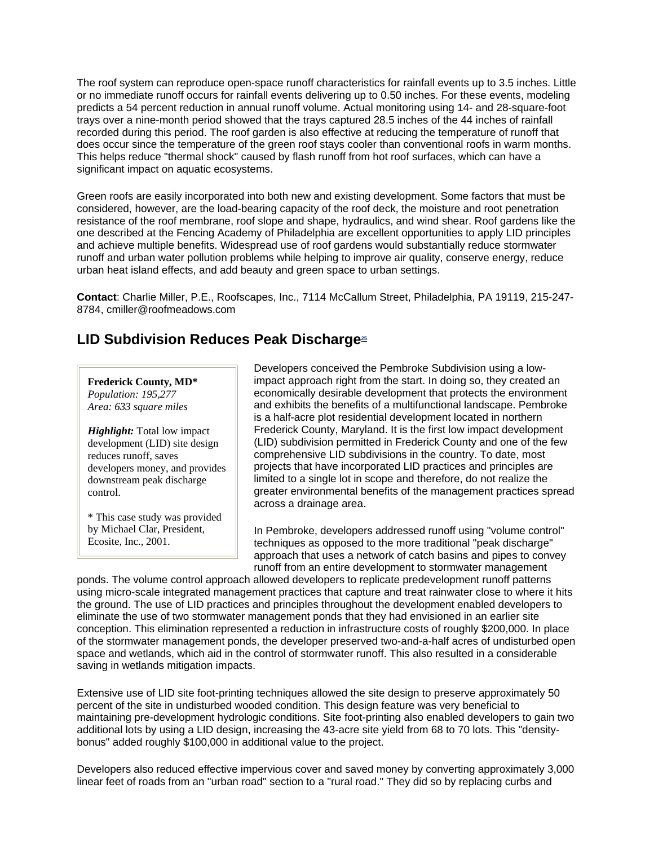The roof system can reproduce open-space runoff characteristics for rainfall events up to 3.5 inches. Little or no immediate runoff occurs for rainfall events delivering up to 0.50 inches. For these events, modeling predicts a 54 percent reduction in annual runoff volume. Actual monitoring using 14- and 28-square-foot trays over a nine-month period showed that the trays captured 28.5 inches of the 44 inches of rainfall recorded during this period. The roof garden is also effective at reducing the temperature of runoff that does occur since the temperature of the green roof stays cooler than conventional roofs in warm months. This helps reduce "thermal shock" caused by flash runoff from hot roof surfaces, which can have a significant impact on aquatic ecosystems.

Green roofs are easily incorporated into both new and existing development. Some factors that must be considered, however, are the load-bearing capacity of the roof deck, the moisture and root penetration resistance of the roof membrane, roof slope and shape, hydraulics, and wind shear. Roof gardens like the one described at the Fencing Academy of Philadelphia are excellent opportunities to apply LID principles and achieve multiple benefits. Widespread use of roof gardens would substantially reduce stormwater runoff and urban water pollution problems while helping to improve air quality, conserve energy, reduce urban heat island effects, and add beauty and green space to urban settings.

**Contact**: Charlie Miller, P.E., Roofscapes, Inc., 7114 McCallum Street, Philadelphia, PA 19119, 215-247- 8784, cmiller@roofmeadows.com

### **LID Subdivision Reduces Peak Discharge25**

#### **Frederick County, MD\***

*Population: 195,277 Area: 633 square miles*

*Highlight:* Total low impact development (LID) site design reduces runoff, saves developers money, and provides downstream peak discharge control.

\* This case study was provided by Michael Clar, President, Ecosite, Inc., 2001.

Developers conceived the Pembroke Subdivision using a lowimpact approach right from the start. In doing so, they created an economically desirable development that protects the environment and exhibits the benefits of a multifunctional landscape. Pembroke is a half-acre plot residential development located in northern Frederick County, Maryland. It is the first low impact development (LID) subdivision permitted in Frederick County and one of the few comprehensive LID subdivisions in the country. To date, most projects that have incorporated LID practices and principles are limited to a single lot in scope and therefore, do not realize the greater environmental benefits of the management practices spread across a drainage area.

In Pembroke, developers addressed runoff using "volume control" techniques as opposed to the more traditional "peak discharge" approach that uses a network of catch basins and pipes to convey runoff from an entire development to stormwater management

ponds. The volume control approach allowed developers to replicate predevelopment runoff patterns using micro-scale integrated management practices that capture and treat rainwater close to where it hits the ground. The use of LID practices and principles throughout the development enabled developers to eliminate the use of two stormwater management ponds that they had envisioned in an earlier site conception. This elimination represented a reduction in infrastructure costs of roughly \$200,000. In place of the stormwater management ponds, the developer preserved two-and-a-half acres of undisturbed open space and wetlands, which aid in the control of stormwater runoff. This also resulted in a considerable saving in wetlands mitigation impacts.

Extensive use of LID site foot-printing techniques allowed the site design to preserve approximately 50 percent of the site in undisturbed wooded condition. This design feature was very beneficial to maintaining pre-development hydrologic conditions. Site foot-printing also enabled developers to gain two additional lots by using a LID design, increasing the 43-acre site yield from 68 to 70 lots. This "densitybonus" added roughly \$100,000 in additional value to the project.

Developers also reduced effective impervious cover and saved money by converting approximately 3,000 linear feet of roads from an "urban road" section to a "rural road." They did so by replacing curbs and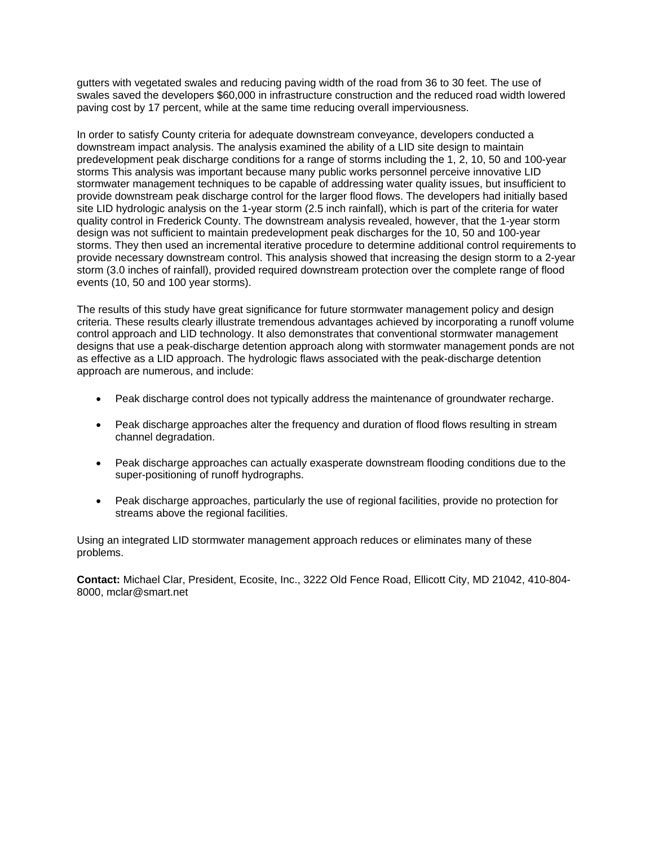gutters with vegetated swales and reducing paving width of the road from 36 to 30 feet. The use of swales saved the developers \$60,000 in infrastructure construction and the reduced road width lowered paving cost by 17 percent, while at the same time reducing overall imperviousness.

In order to satisfy County criteria for adequate downstream conveyance, developers conducted a downstream impact analysis. The analysis examined the ability of a LID site design to maintain predevelopment peak discharge conditions for a range of storms including the 1, 2, 10, 50 and 100-year storms This analysis was important because many public works personnel perceive innovative LID stormwater management techniques to be capable of addressing water quality issues, but insufficient to provide downstream peak discharge control for the larger flood flows. The developers had initially based site LID hydrologic analysis on the 1-year storm (2.5 inch rainfall), which is part of the criteria for water quality control in Frederick County. The downstream analysis revealed, however, that the 1-year storm design was not sufficient to maintain predevelopment peak discharges for the 10, 50 and 100-year storms. They then used an incremental iterative procedure to determine additional control requirements to provide necessary downstream control. This analysis showed that increasing the design storm to a 2-year storm (3.0 inches of rainfall), provided required downstream protection over the complete range of flood events (10, 50 and 100 year storms).

The results of this study have great significance for future stormwater management policy and design criteria. These results clearly illustrate tremendous advantages achieved by incorporating a runoff volume control approach and LID technology. It also demonstrates that conventional stormwater management designs that use a peak-discharge detention approach along with stormwater management ponds are not as effective as a LID approach. The hydrologic flaws associated with the peak-discharge detention approach are numerous, and include:

- Peak discharge control does not typically address the maintenance of groundwater recharge.
- Peak discharge approaches alter the frequency and duration of flood flows resulting in stream channel degradation.
- Peak discharge approaches can actually exasperate downstream flooding conditions due to the super-positioning of runoff hydrographs.
- Peak discharge approaches, particularly the use of regional facilities, provide no protection for streams above the regional facilities.

Using an integrated LID stormwater management approach reduces or eliminates many of these problems.

**Contact:** Michael Clar, President, Ecosite, Inc., 3222 Old Fence Road, Ellicott City, MD 21042, 410-804- 8000, mclar@smart.net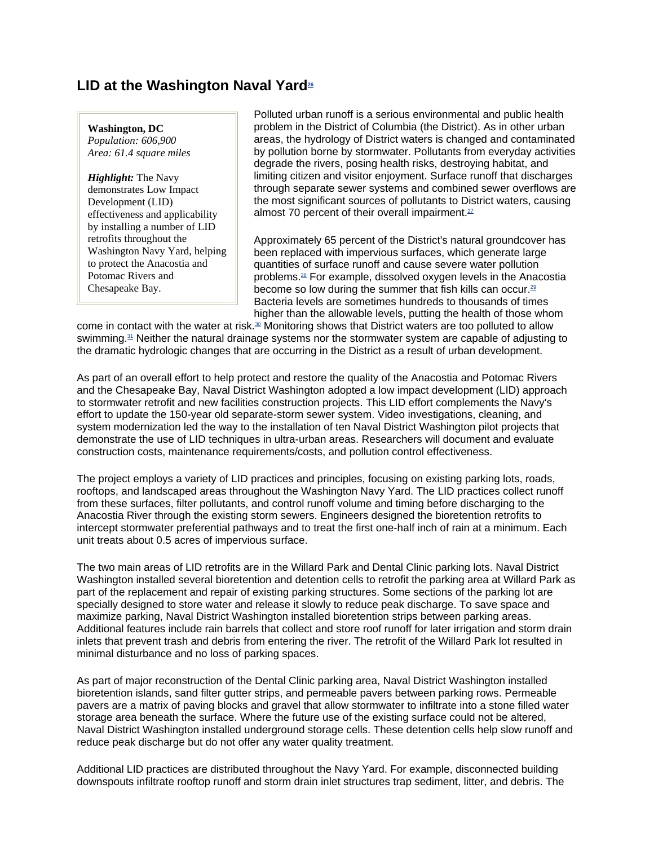### LID at the Washington Naval Yard<sup>26</sup>

**Washington, DC** *Population: 606,900 Area: 61.4 square miles*

*Highlight:* The Navy demonstrates Low Impact Development (LID) effectiveness and applicability by installing a number of LID retrofits throughout the Washington Navy Yard, helping to protect the Anacostia and Potomac Rivers and Chesapeake Bay.

Polluted urban runoff is a serious environmental and public health problem in the District of Columbia (the District). As in other urban areas, the hydrology of District waters is changed and contaminated by pollution borne by stormwater. Pollutants from everyday activities degrade the rivers, posing health risks, destroying habitat, and limiting citizen and visitor enjoyment. Surface runoff that discharges through separate sewer systems and combined sewer overflows are the most significant sources of pollutants to District waters, causing almost 70 percent of their overall impairment. $27$ 

Approximately 65 percent of the District's natural groundcover has been replaced with impervious surfaces, which generate large quantities of surface runoff and cause severe water pollution problems.28 For example, dissolved oxygen levels in the Anacostia become so low during the summer that fish kills can occur.<sup>29</sup> Bacteria levels are sometimes hundreds to thousands of times higher than the allowable levels, putting the health of those whom

come in contact with the water at risk.<sup>30</sup> Monitoring shows that District waters are too polluted to allow swimming.31 Neither the natural drainage systems nor the stormwater system are capable of adjusting to the dramatic hydrologic changes that are occurring in the District as a result of urban development.

As part of an overall effort to help protect and restore the quality of the Anacostia and Potomac Rivers and the Chesapeake Bay, Naval District Washington adopted a low impact development (LID) approach to stormwater retrofit and new facilities construction projects. This LID effort complements the Navy's effort to update the 150-year old separate-storm sewer system. Video investigations, cleaning, and system modernization led the way to the installation of ten Naval District Washington pilot projects that demonstrate the use of LID techniques in ultra-urban areas. Researchers will document and evaluate construction costs, maintenance requirements/costs, and pollution control effectiveness.

The project employs a variety of LID practices and principles, focusing on existing parking lots, roads, rooftops, and landscaped areas throughout the Washington Navy Yard. The LID practices collect runoff from these surfaces, filter pollutants, and control runoff volume and timing before discharging to the Anacostia River through the existing storm sewers. Engineers designed the bioretention retrofits to intercept stormwater preferential pathways and to treat the first one-half inch of rain at a minimum. Each unit treats about 0.5 acres of impervious surface.

The two main areas of LID retrofits are in the Willard Park and Dental Clinic parking lots. Naval District Washington installed several bioretention and detention cells to retrofit the parking area at Willard Park as part of the replacement and repair of existing parking structures. Some sections of the parking lot are specially designed to store water and release it slowly to reduce peak discharge. To save space and maximize parking, Naval District Washington installed bioretention strips between parking areas. Additional features include rain barrels that collect and store roof runoff for later irrigation and storm drain inlets that prevent trash and debris from entering the river. The retrofit of the Willard Park lot resulted in minimal disturbance and no loss of parking spaces.

As part of major reconstruction of the Dental Clinic parking area, Naval District Washington installed bioretention islands, sand filter gutter strips, and permeable pavers between parking rows. Permeable pavers are a matrix of paving blocks and gravel that allow stormwater to infiltrate into a stone filled water storage area beneath the surface. Where the future use of the existing surface could not be altered, Naval District Washington installed underground storage cells. These detention cells help slow runoff and reduce peak discharge but do not offer any water quality treatment.

Additional LID practices are distributed throughout the Navy Yard. For example, disconnected building downspouts infiltrate rooftop runoff and storm drain inlet structures trap sediment, litter, and debris. The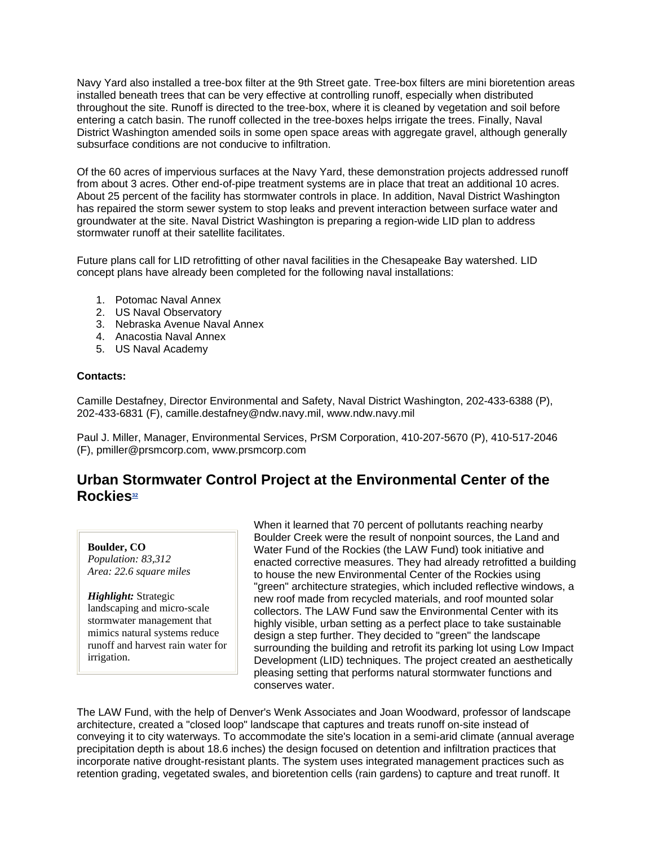Navy Yard also installed a tree-box filter at the 9th Street gate. Tree-box filters are mini bioretention areas installed beneath trees that can be very effective at controlling runoff, especially when distributed throughout the site. Runoff is directed to the tree-box, where it is cleaned by vegetation and soil before entering a catch basin. The runoff collected in the tree-boxes helps irrigate the trees. Finally, Naval District Washington amended soils in some open space areas with aggregate gravel, although generally subsurface conditions are not conducive to infiltration.

Of the 60 acres of impervious surfaces at the Navy Yard, these demonstration projects addressed runoff from about 3 acres. Other end-of-pipe treatment systems are in place that treat an additional 10 acres. About 25 percent of the facility has stormwater controls in place. In addition, Naval District Washington has repaired the storm sewer system to stop leaks and prevent interaction between surface water and groundwater at the site. Naval District Washington is preparing a region-wide LID plan to address stormwater runoff at their satellite facilitates.

Future plans call for LID retrofitting of other naval facilities in the Chesapeake Bay watershed. LID concept plans have already been completed for the following naval installations:

- 1. Potomac Naval Annex
- 2. US Naval Observatory
- 3. Nebraska Avenue Naval Annex
- 4. Anacostia Naval Annex
- 5. US Naval Academy

#### **Contacts:**

Camille Destafney, Director Environmental and Safety, Naval District Washington, 202-433-6388 (P), 202-433-6831 (F), camille.destafney@ndw.navy.mil, www.ndw.navy.mil

Paul J. Miller, Manager, Environmental Services, PrSM Corporation, 410-207-5670 (P), 410-517-2046 (F), pmiller@prsmcorp.com, www.prsmcorp.com

### **Urban Stormwater Control Project at the Environmental Center of the**  Rockies<sup>32</sup>

#### **Boulder, CO**

*Population: 83,312 Area: 22.6 square miles*

*Highlight:* Strategic landscaping and micro-scale stormwater management that mimics natural systems reduce runoff and harvest rain water for irrigation.

When it learned that 70 percent of pollutants reaching nearby Boulder Creek were the result of nonpoint sources, the Land and Water Fund of the Rockies (the LAW Fund) took initiative and enacted corrective measures. They had already retrofitted a building to house the new Environmental Center of the Rockies using "green" architecture strategies, which included reflective windows, a new roof made from recycled materials, and roof mounted solar collectors. The LAW Fund saw the Environmental Center with its highly visible, urban setting as a perfect place to take sustainable design a step further. They decided to "green" the landscape surrounding the building and retrofit its parking lot using Low Impact Development (LID) techniques. The project created an aesthetically pleasing setting that performs natural stormwater functions and conserves water.

The LAW Fund, with the help of Denver's Wenk Associates and Joan Woodward, professor of landscape architecture, created a "closed loop" landscape that captures and treats runoff on-site instead of conveying it to city waterways. To accommodate the site's location in a semi-arid climate (annual average precipitation depth is about 18.6 inches) the design focused on detention and infiltration practices that incorporate native drought-resistant plants. The system uses integrated management practices such as retention grading, vegetated swales, and bioretention cells (rain gardens) to capture and treat runoff. It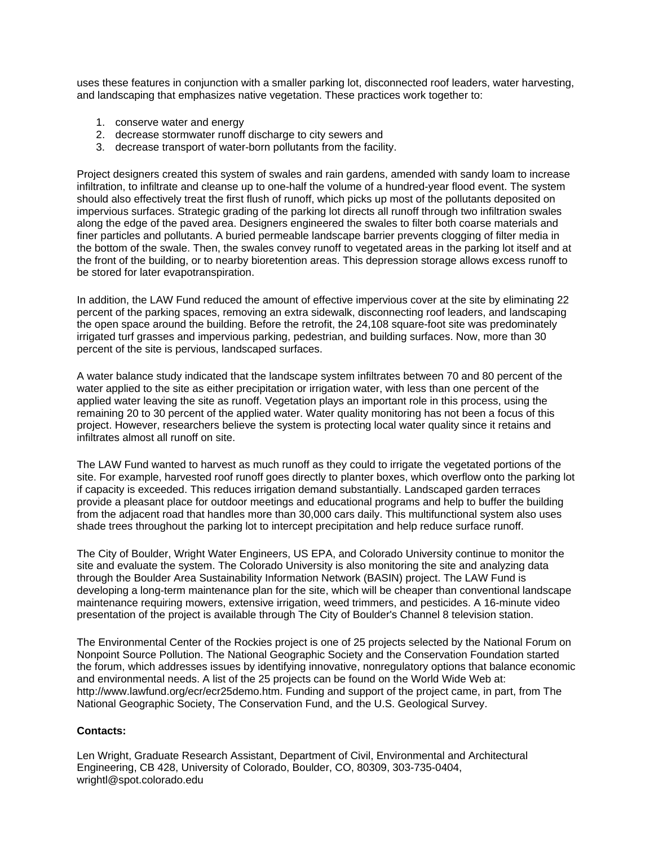uses these features in conjunction with a smaller parking lot, disconnected roof leaders, water harvesting, and landscaping that emphasizes native vegetation. These practices work together to:

- 1. conserve water and energy
- 2. decrease stormwater runoff discharge to city sewers and
- 3. decrease transport of water-born pollutants from the facility.

Project designers created this system of swales and rain gardens, amended with sandy loam to increase infiltration, to infiltrate and cleanse up to one-half the volume of a hundred-year flood event. The system should also effectively treat the first flush of runoff, which picks up most of the pollutants deposited on impervious surfaces. Strategic grading of the parking lot directs all runoff through two infiltration swales along the edge of the paved area. Designers engineered the swales to filter both coarse materials and finer particles and pollutants. A buried permeable landscape barrier prevents clogging of filter media in the bottom of the swale. Then, the swales convey runoff to vegetated areas in the parking lot itself and at the front of the building, or to nearby bioretention areas. This depression storage allows excess runoff to be stored for later evapotranspiration.

In addition, the LAW Fund reduced the amount of effective impervious cover at the site by eliminating 22 percent of the parking spaces, removing an extra sidewalk, disconnecting roof leaders, and landscaping the open space around the building. Before the retrofit, the 24,108 square-foot site was predominately irrigated turf grasses and impervious parking, pedestrian, and building surfaces. Now, more than 30 percent of the site is pervious, landscaped surfaces.

A water balance study indicated that the landscape system infiltrates between 70 and 80 percent of the water applied to the site as either precipitation or irrigation water, with less than one percent of the applied water leaving the site as runoff. Vegetation plays an important role in this process, using the remaining 20 to 30 percent of the applied water. Water quality monitoring has not been a focus of this project. However, researchers believe the system is protecting local water quality since it retains and infiltrates almost all runoff on site.

The LAW Fund wanted to harvest as much runoff as they could to irrigate the vegetated portions of the site. For example, harvested roof runoff goes directly to planter boxes, which overflow onto the parking lot if capacity is exceeded. This reduces irrigation demand substantially. Landscaped garden terraces provide a pleasant place for outdoor meetings and educational programs and help to buffer the building from the adjacent road that handles more than 30,000 cars daily. This multifunctional system also uses shade trees throughout the parking lot to intercept precipitation and help reduce surface runoff.

The City of Boulder, Wright Water Engineers, US EPA, and Colorado University continue to monitor the site and evaluate the system. The Colorado University is also monitoring the site and analyzing data through the Boulder Area Sustainability Information Network (BASIN) project. The LAW Fund is developing a long-term maintenance plan for the site, which will be cheaper than conventional landscape maintenance requiring mowers, extensive irrigation, weed trimmers, and pesticides. A 16-minute video presentation of the project is available through The City of Boulder's Channel 8 television station.

The Environmental Center of the Rockies project is one of 25 projects selected by the National Forum on Nonpoint Source Pollution. The National Geographic Society and the Conservation Foundation started the forum, which addresses issues by identifying innovative, nonregulatory options that balance economic and environmental needs. A list of the 25 projects can be found on the World Wide Web at: http://www.lawfund.org/ecr/ecr25demo.htm. Funding and support of the project came, in part, from The National Geographic Society, The Conservation Fund, and the U.S. Geological Survey.

#### **Contacts:**

Len Wright, Graduate Research Assistant, Department of Civil, Environmental and Architectural Engineering, CB 428, University of Colorado, Boulder, CO, 80309, 303-735-0404, wrightl@spot.colorado.edu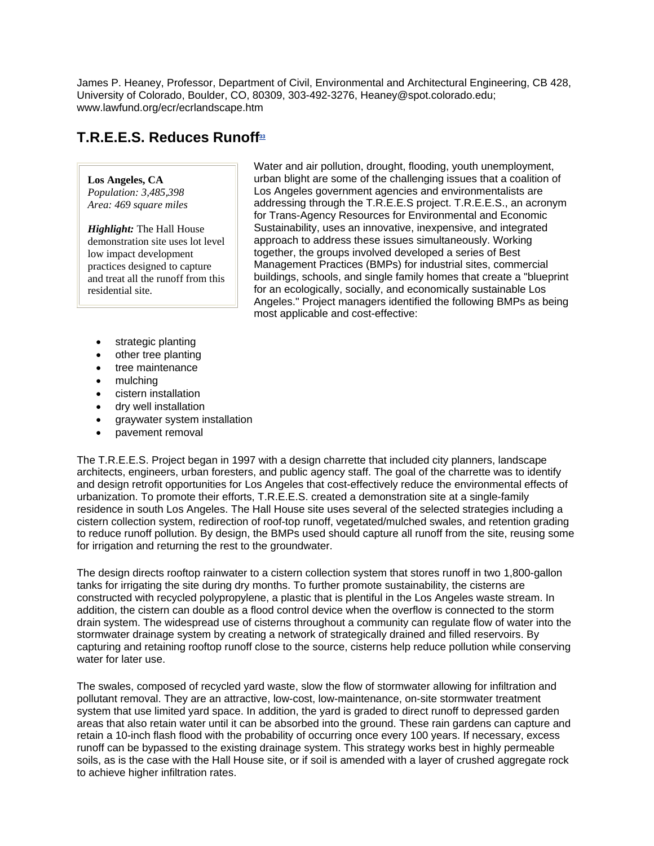James P. Heaney, Professor, Department of Civil, Environmental and Architectural Engineering, CB 428, University of Colorado, Boulder, CO, 80309, 303-492-3276, Heaney@spot.colorado.edu; www.lawfund.org/ecr/ecrlandscape.htm

## **T.R.E.E.S. Reduces Runoff**<sup>33</sup>

#### **Los Angeles, CA**

*Population: 3,485,398 Area: 469 square miles*

*Highlight:* The Hall House demonstration site uses lot level low impact development practices designed to capture and treat all the runoff from this residential site.

Water and air pollution, drought, flooding, youth unemployment, urban blight are some of the challenging issues that a coalition of Los Angeles government agencies and environmentalists are addressing through the T.R.E.E.S project. T.R.E.E.S., an acronym for Trans-Agency Resources for Environmental and Economic Sustainability, uses an innovative, inexpensive, and integrated approach to address these issues simultaneously. Working together, the groups involved developed a series of Best Management Practices (BMPs) for industrial sites, commercial buildings, schools, and single family homes that create a "blueprint for an ecologically, socially, and economically sustainable Los Angeles." Project managers identified the following BMPs as being most applicable and cost-effective:

- strategic planting
- other tree planting
- tree maintenance
- mulching
- cistern installation
- dry well installation
- graywater system installation
- pavement removal

The T.R.E.E.S. Project began in 1997 with a design charrette that included city planners, landscape architects, engineers, urban foresters, and public agency staff. The goal of the charrette was to identify and design retrofit opportunities for Los Angeles that cost-effectively reduce the environmental effects of urbanization. To promote their efforts, T.R.E.E.S. created a demonstration site at a single-family residence in south Los Angeles. The Hall House site uses several of the selected strategies including a cistern collection system, redirection of roof-top runoff, vegetated/mulched swales, and retention grading to reduce runoff pollution. By design, the BMPs used should capture all runoff from the site, reusing some for irrigation and returning the rest to the groundwater.

The design directs rooftop rainwater to a cistern collection system that stores runoff in two 1,800-gallon tanks for irrigating the site during dry months. To further promote sustainability, the cisterns are constructed with recycled polypropylene, a plastic that is plentiful in the Los Angeles waste stream. In addition, the cistern can double as a flood control device when the overflow is connected to the storm drain system. The widespread use of cisterns throughout a community can regulate flow of water into the stormwater drainage system by creating a network of strategically drained and filled reservoirs. By capturing and retaining rooftop runoff close to the source, cisterns help reduce pollution while conserving water for later use.

The swales, composed of recycled yard waste, slow the flow of stormwater allowing for infiltration and pollutant removal. They are an attractive, low-cost, low-maintenance, on-site stormwater treatment system that use limited yard space. In addition, the yard is graded to direct runoff to depressed garden areas that also retain water until it can be absorbed into the ground. These rain gardens can capture and retain a 10-inch flash flood with the probability of occurring once every 100 years. If necessary, excess runoff can be bypassed to the existing drainage system. This strategy works best in highly permeable soils, as is the case with the Hall House site, or if soil is amended with a layer of crushed aggregate rock to achieve higher infiltration rates.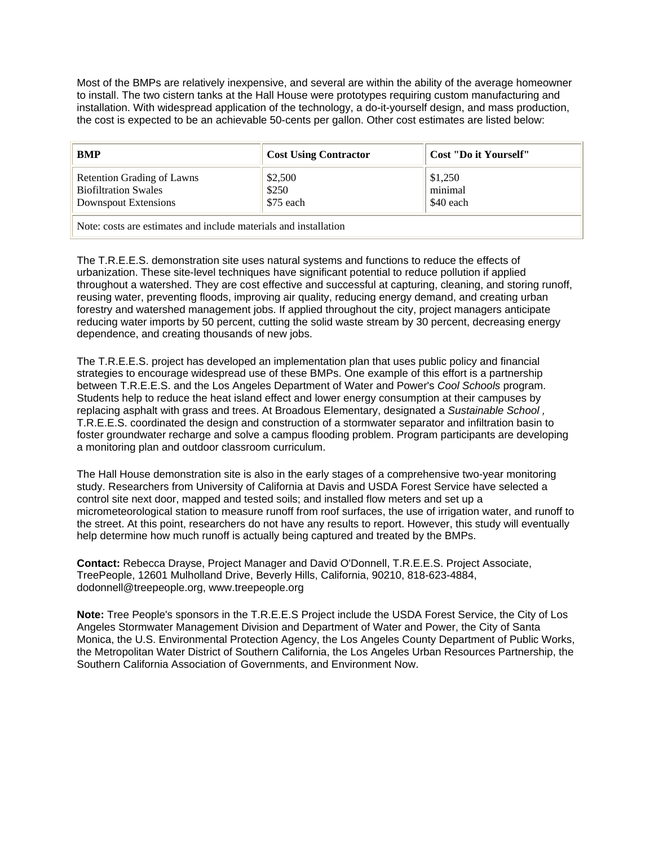Most of the BMPs are relatively inexpensive, and several are within the ability of the average homeowner to install. The two cistern tanks at the Hall House were prototypes requiring custom manufacturing and installation. With widespread application of the technology, a do-it-yourself design, and mass production, the cost is expected to be an achievable 50-cents per gallon. Other cost estimates are listed below:

| <b>BMP</b>                                                                                         | <b>Cost Using Contractor</b>  | Cost "Do it Yourself"           |  |
|----------------------------------------------------------------------------------------------------|-------------------------------|---------------------------------|--|
| <b>Retention Grading of Lawns</b><br><b>Biofiltration Swales</b><br>Downspout Extensions           | \$2,500<br>\$250<br>\$75 each | \$1,250<br>minimal<br>\$40 each |  |
| المتحاولة والمقدمين والمستحدث والمتحاول والمحاوي والمستحدث والمستحدث والمستحدث والمستحدث والمستحدث |                               |                                 |  |

Note: costs are estimates and include materials and installation

The T.R.E.E.S. demonstration site uses natural systems and functions to reduce the effects of urbanization. These site-level techniques have significant potential to reduce pollution if applied throughout a watershed. They are cost effective and successful at capturing, cleaning, and storing runoff, reusing water, preventing floods, improving air quality, reducing energy demand, and creating urban forestry and watershed management jobs. If applied throughout the city, project managers anticipate reducing water imports by 50 percent, cutting the solid waste stream by 30 percent, decreasing energy dependence, and creating thousands of new jobs.

The T.R.E.E.S. project has developed an implementation plan that uses public policy and financial strategies to encourage widespread use of these BMPs. One example of this effort is a partnership between T.R.E.E.S. and the Los Angeles Department of Water and Power's *Cool Schools* program. Students help to reduce the heat island effect and lower energy consumption at their campuses by replacing asphalt with grass and trees. At Broadous Elementary, designated a *Sustainable School ,*  T.R.E.E.S. coordinated the design and construction of a stormwater separator and infiltration basin to foster groundwater recharge and solve a campus flooding problem. Program participants are developing a monitoring plan and outdoor classroom curriculum.

The Hall House demonstration site is also in the early stages of a comprehensive two-year monitoring study. Researchers from University of California at Davis and USDA Forest Service have selected a control site next door, mapped and tested soils; and installed flow meters and set up a micrometeorological station to measure runoff from roof surfaces, the use of irrigation water, and runoff to the street. At this point, researchers do not have any results to report. However, this study will eventually help determine how much runoff is actually being captured and treated by the BMPs.

**Contact:** Rebecca Drayse, Project Manager and David O'Donnell, T.R.E.E.S. Project Associate, TreePeople, 12601 Mulholland Drive, Beverly Hills, California, 90210, 818-623-4884, dodonnell@treepeople.org, www.treepeople.org

**Note:** Tree People's sponsors in the T.R.E.E.S Project include the USDA Forest Service, the City of Los Angeles Stormwater Management Division and Department of Water and Power, the City of Santa Monica, the U.S. Environmental Protection Agency, the Los Angeles County Department of Public Works, the Metropolitan Water District of Southern California, the Los Angeles Urban Resources Partnership, the Southern California Association of Governments, and Environment Now.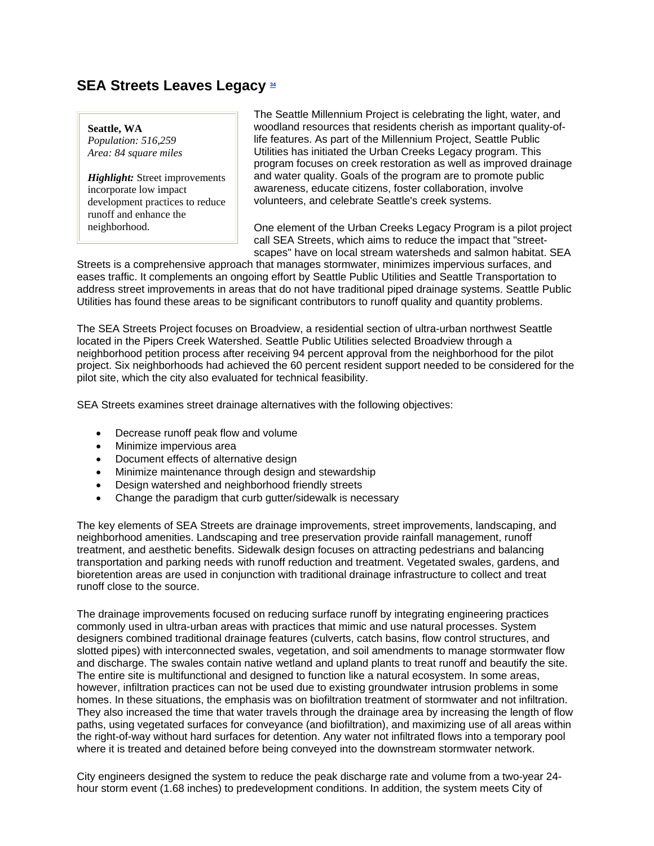### **SEA Streets Leaves Legacy 34**

#### **Seattle, WA**

*Population: 516,259 Area: 84 square miles*

*Highlight:* Street improvements incorporate low impact development practices to reduce runoff and enhance the neighborhood.

The Seattle Millennium Project is celebrating the light, water, and woodland resources that residents cherish as important quality-oflife features. As part of the Millennium Project, Seattle Public Utilities has initiated the Urban Creeks Legacy program. This program focuses on creek restoration as well as improved drainage and water quality. Goals of the program are to promote public awareness, educate citizens, foster collaboration, involve volunteers, and celebrate Seattle's creek systems.

One element of the Urban Creeks Legacy Program is a pilot project call SEA Streets, which aims to reduce the impact that "streetscapes" have on local stream watersheds and salmon habitat. SEA

Streets is a comprehensive approach that manages stormwater, minimizes impervious surfaces, and eases traffic. It complements an ongoing effort by Seattle Public Utilities and Seattle Transportation to address street improvements in areas that do not have traditional piped drainage systems. Seattle Public Utilities has found these areas to be significant contributors to runoff quality and quantity problems.

The SEA Streets Project focuses on Broadview, a residential section of ultra-urban northwest Seattle located in the Pipers Creek Watershed. Seattle Public Utilities selected Broadview through a neighborhood petition process after receiving 94 percent approval from the neighborhood for the pilot project. Six neighborhoods had achieved the 60 percent resident support needed to be considered for the pilot site, which the city also evaluated for technical feasibility.

SEA Streets examines street drainage alternatives with the following objectives:

- Decrease runoff peak flow and volume
- Minimize impervious area
- Document effects of alternative design
- Minimize maintenance through design and stewardship
- Design watershed and neighborhood friendly streets
- Change the paradigm that curb gutter/sidewalk is necessary

The key elements of SEA Streets are drainage improvements, street improvements, landscaping, and neighborhood amenities. Landscaping and tree preservation provide rainfall management, runoff treatment, and aesthetic benefits. Sidewalk design focuses on attracting pedestrians and balancing transportation and parking needs with runoff reduction and treatment. Vegetated swales, gardens, and bioretention areas are used in conjunction with traditional drainage infrastructure to collect and treat runoff close to the source.

The drainage improvements focused on reducing surface runoff by integrating engineering practices commonly used in ultra-urban areas with practices that mimic and use natural processes. System designers combined traditional drainage features (culverts, catch basins, flow control structures, and slotted pipes) with interconnected swales, vegetation, and soil amendments to manage stormwater flow and discharge. The swales contain native wetland and upland plants to treat runoff and beautify the site. The entire site is multifunctional and designed to function like a natural ecosystem. In some areas, however, infiltration practices can not be used due to existing groundwater intrusion problems in some homes. In these situations, the emphasis was on biofiltration treatment of stormwater and not infiltration. They also increased the time that water travels through the drainage area by increasing the length of flow paths, using vegetated surfaces for conveyance (and biofiltration), and maximizing use of all areas within the right-of-way without hard surfaces for detention. Any water not infiltrated flows into a temporary pool where it is treated and detained before being conveyed into the downstream stormwater network.

City engineers designed the system to reduce the peak discharge rate and volume from a two-year 24 hour storm event (1.68 inches) to predevelopment conditions. In addition, the system meets City of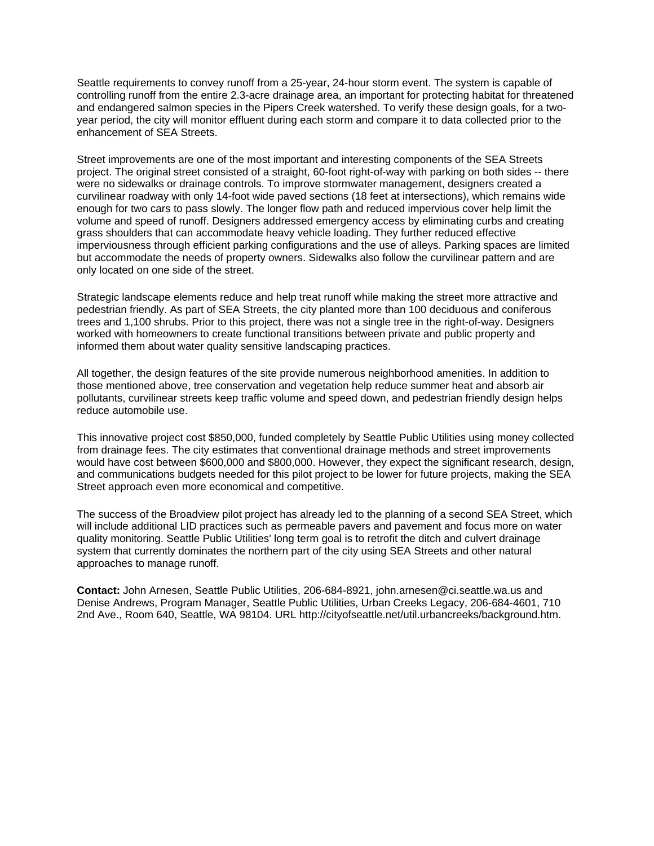Seattle requirements to convey runoff from a 25-year, 24-hour storm event. The system is capable of controlling runoff from the entire 2.3-acre drainage area, an important for protecting habitat for threatened and endangered salmon species in the Pipers Creek watershed. To verify these design goals, for a twoyear period, the city will monitor effluent during each storm and compare it to data collected prior to the enhancement of SEA Streets.

Street improvements are one of the most important and interesting components of the SEA Streets project. The original street consisted of a straight, 60-foot right-of-way with parking on both sides -- there were no sidewalks or drainage controls. To improve stormwater management, designers created a curvilinear roadway with only 14-foot wide paved sections (18 feet at intersections), which remains wide enough for two cars to pass slowly. The longer flow path and reduced impervious cover help limit the volume and speed of runoff. Designers addressed emergency access by eliminating curbs and creating grass shoulders that can accommodate heavy vehicle loading. They further reduced effective imperviousness through efficient parking configurations and the use of alleys. Parking spaces are limited but accommodate the needs of property owners. Sidewalks also follow the curvilinear pattern and are only located on one side of the street.

Strategic landscape elements reduce and help treat runoff while making the street more attractive and pedestrian friendly. As part of SEA Streets, the city planted more than 100 deciduous and coniferous trees and 1,100 shrubs. Prior to this project, there was not a single tree in the right-of-way. Designers worked with homeowners to create functional transitions between private and public property and informed them about water quality sensitive landscaping practices.

All together, the design features of the site provide numerous neighborhood amenities. In addition to those mentioned above, tree conservation and vegetation help reduce summer heat and absorb air pollutants, curvilinear streets keep traffic volume and speed down, and pedestrian friendly design helps reduce automobile use.

This innovative project cost \$850,000, funded completely by Seattle Public Utilities using money collected from drainage fees. The city estimates that conventional drainage methods and street improvements would have cost between \$600,000 and \$800,000. However, they expect the significant research, design, and communications budgets needed for this pilot project to be lower for future projects, making the SEA Street approach even more economical and competitive.

The success of the Broadview pilot project has already led to the planning of a second SEA Street, which will include additional LID practices such as permeable pavers and pavement and focus more on water quality monitoring. Seattle Public Utilities' long term goal is to retrofit the ditch and culvert drainage system that currently dominates the northern part of the city using SEA Streets and other natural approaches to manage runoff.

**Contact:** John Arnesen, Seattle Public Utilities, 206-684-8921, john.arnesen@ci.seattle.wa.us and Denise Andrews, Program Manager, Seattle Public Utilities, Urban Creeks Legacy, 206-684-4601, 710 2nd Ave., Room 640, Seattle, WA 98104. URL http://cityofseattle.net/util.urbancreeks/background.htm.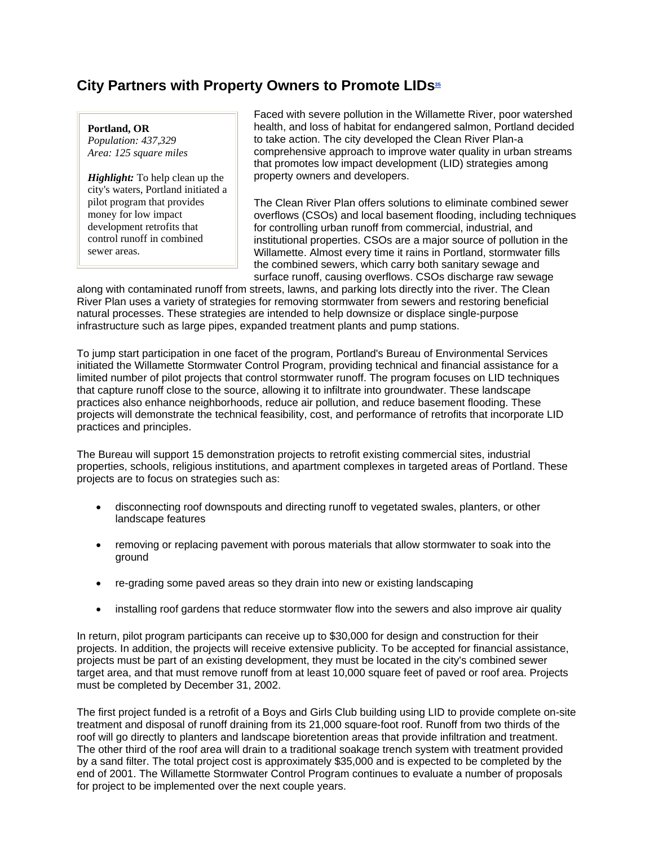### **City Partners with Property Owners to Promote LIDs**<sup>35</sup>

#### **Portland, OR**

*Population: 437,329 Area: 125 square miles*

*Highlight:* To help clean up the city's waters, Portland initiated a pilot program that provides money for low impact development retrofits that control runoff in combined sewer areas.

Faced with severe pollution in the Willamette River, poor watershed health, and loss of habitat for endangered salmon, Portland decided to take action. The city developed the Clean River Plan-a comprehensive approach to improve water quality in urban streams that promotes low impact development (LID) strategies among property owners and developers.

The Clean River Plan offers solutions to eliminate combined sewer overflows (CSOs) and local basement flooding, including techniques for controlling urban runoff from commercial, industrial, and institutional properties. CSOs are a major source of pollution in the Willamette. Almost every time it rains in Portland, stormwater fills the combined sewers, which carry both sanitary sewage and surface runoff, causing overflows. CSOs discharge raw sewage

along with contaminated runoff from streets, lawns, and parking lots directly into the river. The Clean River Plan uses a variety of strategies for removing stormwater from sewers and restoring beneficial natural processes. These strategies are intended to help downsize or displace single-purpose infrastructure such as large pipes, expanded treatment plants and pump stations.

To jump start participation in one facet of the program, Portland's Bureau of Environmental Services initiated the Willamette Stormwater Control Program, providing technical and financial assistance for a limited number of pilot projects that control stormwater runoff. The program focuses on LID techniques that capture runoff close to the source, allowing it to infiltrate into groundwater. These landscape practices also enhance neighborhoods, reduce air pollution, and reduce basement flooding. These projects will demonstrate the technical feasibility, cost, and performance of retrofits that incorporate LID practices and principles.

The Bureau will support 15 demonstration projects to retrofit existing commercial sites, industrial properties, schools, religious institutions, and apartment complexes in targeted areas of Portland. These projects are to focus on strategies such as:

- disconnecting roof downspouts and directing runoff to vegetated swales, planters, or other landscape features
- removing or replacing pavement with porous materials that allow stormwater to soak into the ground
- re-grading some paved areas so they drain into new or existing landscaping
- installing roof gardens that reduce stormwater flow into the sewers and also improve air quality

In return, pilot program participants can receive up to \$30,000 for design and construction for their projects. In addition, the projects will receive extensive publicity. To be accepted for financial assistance, projects must be part of an existing development, they must be located in the city's combined sewer target area, and that must remove runoff from at least 10,000 square feet of paved or roof area. Projects must be completed by December 31, 2002.

The first project funded is a retrofit of a Boys and Girls Club building using LID to provide complete on-site treatment and disposal of runoff draining from its 21,000 square-foot roof. Runoff from two thirds of the roof will go directly to planters and landscape bioretention areas that provide infiltration and treatment. The other third of the roof area will drain to a traditional soakage trench system with treatment provided by a sand filter. The total project cost is approximately \$35,000 and is expected to be completed by the end of 2001. The Willamette Stormwater Control Program continues to evaluate a number of proposals for project to be implemented over the next couple years.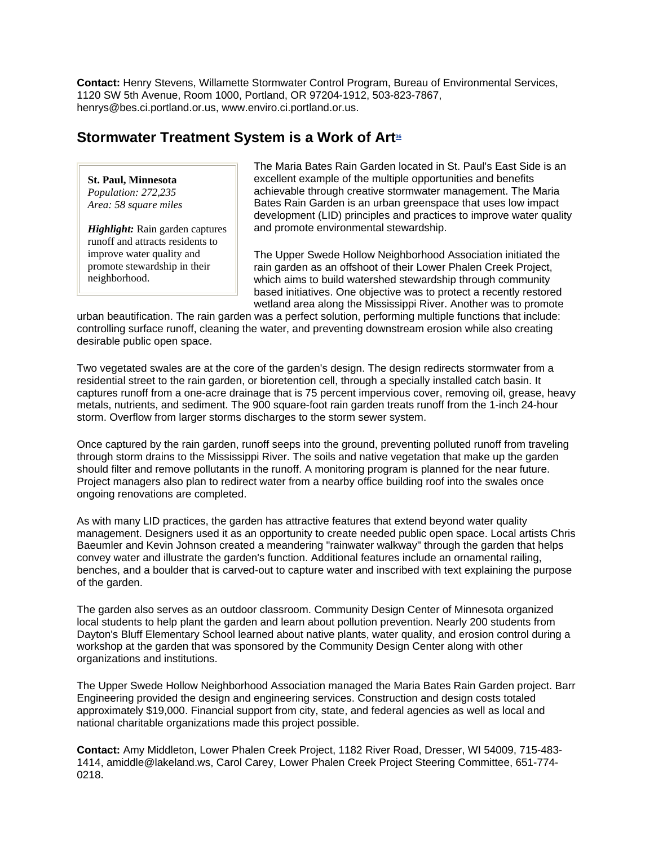**Contact:** Henry Stevens, Willamette Stormwater Control Program, Bureau of Environmental Services, 1120 SW 5th Avenue, Room 1000, Portland, OR 97204-1912, 503-823-7867, henrys@bes.ci.portland.or.us, www.enviro.ci.portland.or.us.

### **Stormwater Treatment System is a Work of Art36**

**St. Paul, Minnesota** *Population: 272,235 Area: 58 square miles*

*Highlight:* Rain garden captures runoff and attracts residents to improve water quality and promote stewardship in their neighborhood.

The Maria Bates Rain Garden located in St. Paul's East Side is an excellent example of the multiple opportunities and benefits achievable through creative stormwater management. The Maria Bates Rain Garden is an urban greenspace that uses low impact development (LID) principles and practices to improve water quality and promote environmental stewardship.

The Upper Swede Hollow Neighborhood Association initiated the rain garden as an offshoot of their Lower Phalen Creek Project, which aims to build watershed stewardship through community based initiatives. One objective was to protect a recently restored wetland area along the Mississippi River. Another was to promote

urban beautification. The rain garden was a perfect solution, performing multiple functions that include: controlling surface runoff, cleaning the water, and preventing downstream erosion while also creating desirable public open space.

Two vegetated swales are at the core of the garden's design. The design redirects stormwater from a residential street to the rain garden, or bioretention cell, through a specially installed catch basin. It captures runoff from a one-acre drainage that is 75 percent impervious cover, removing oil, grease, heavy metals, nutrients, and sediment. The 900 square-foot rain garden treats runoff from the 1-inch 24-hour storm. Overflow from larger storms discharges to the storm sewer system.

Once captured by the rain garden, runoff seeps into the ground, preventing polluted runoff from traveling through storm drains to the Mississippi River. The soils and native vegetation that make up the garden should filter and remove pollutants in the runoff. A monitoring program is planned for the near future. Project managers also plan to redirect water from a nearby office building roof into the swales once ongoing renovations are completed.

As with many LID practices, the garden has attractive features that extend beyond water quality management. Designers used it as an opportunity to create needed public open space. Local artists Chris Baeumler and Kevin Johnson created a meandering "rainwater walkway" through the garden that helps convey water and illustrate the garden's function. Additional features include an ornamental railing, benches, and a boulder that is carved-out to capture water and inscribed with text explaining the purpose of the garden.

The garden also serves as an outdoor classroom. Community Design Center of Minnesota organized local students to help plant the garden and learn about pollution prevention. Nearly 200 students from Dayton's Bluff Elementary School learned about native plants, water quality, and erosion control during a workshop at the garden that was sponsored by the Community Design Center along with other organizations and institutions.

The Upper Swede Hollow Neighborhood Association managed the Maria Bates Rain Garden project. Barr Engineering provided the design and engineering services. Construction and design costs totaled approximately \$19,000. Financial support from city, state, and federal agencies as well as local and national charitable organizations made this project possible.

**Contact:** Amy Middleton, Lower Phalen Creek Project, 1182 River Road, Dresser, WI 54009, 715-483- 1414, amiddle@lakeland.ws, Carol Carey, Lower Phalen Creek Project Steering Committee, 651-774- 0218.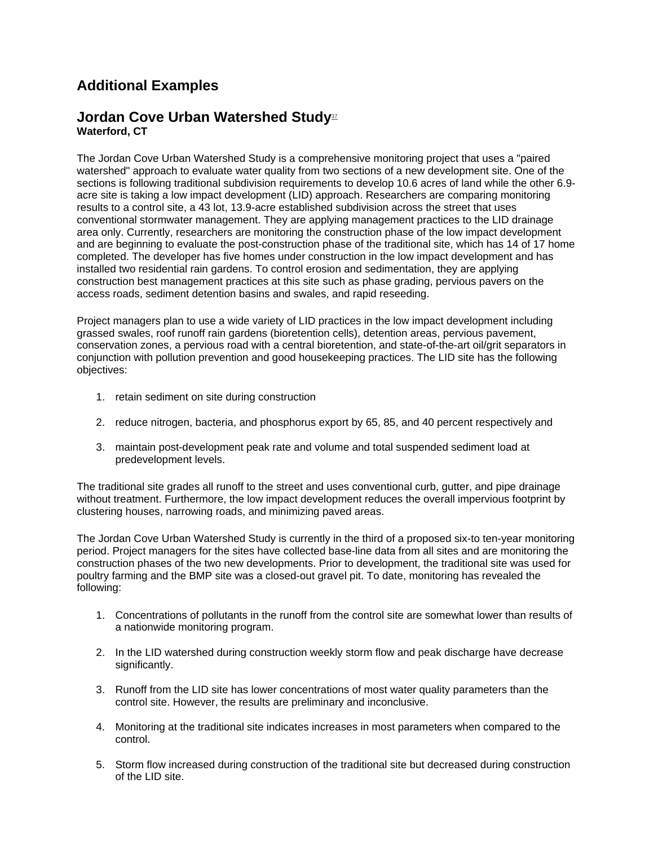## **Additional Examples**

### **Jordan Cove Urban Watershed Study**37 **Waterford, CT**

The Jordan Cove Urban Watershed Study is a comprehensive monitoring project that uses a "paired watershed" approach to evaluate water quality from two sections of a new development site. One of the sections is following traditional subdivision requirements to develop 10.6 acres of land while the other 6.9 acre site is taking a low impact development (LID) approach. Researchers are comparing monitoring results to a control site, a 43 lot, 13.9-acre established subdivision across the street that uses conventional stormwater management. They are applying management practices to the LID drainage area only. Currently, researchers are monitoring the construction phase of the low impact development and are beginning to evaluate the post-construction phase of the traditional site, which has 14 of 17 home completed. The developer has five homes under construction in the low impact development and has installed two residential rain gardens. To control erosion and sedimentation, they are applying construction best management practices at this site such as phase grading, pervious pavers on the access roads, sediment detention basins and swales, and rapid reseeding.

Project managers plan to use a wide variety of LID practices in the low impact development including grassed swales, roof runoff rain gardens (bioretention cells), detention areas, pervious pavement, conservation zones, a pervious road with a central bioretention, and state-of-the-art oil/grit separators in conjunction with pollution prevention and good housekeeping practices. The LID site has the following objectives:

- 1. retain sediment on site during construction
- 2. reduce nitrogen, bacteria, and phosphorus export by 65, 85, and 40 percent respectively and
- 3. maintain post-development peak rate and volume and total suspended sediment load at predevelopment levels.

The traditional site grades all runoff to the street and uses conventional curb, gutter, and pipe drainage without treatment. Furthermore, the low impact development reduces the overall impervious footprint by clustering houses, narrowing roads, and minimizing paved areas.

The Jordan Cove Urban Watershed Study is currently in the third of a proposed six-to ten-year monitoring period. Project managers for the sites have collected base-line data from all sites and are monitoring the construction phases of the two new developments. Prior to development, the traditional site was used for poultry farming and the BMP site was a closed-out gravel pit. To date, monitoring has revealed the following:

- 1. Concentrations of pollutants in the runoff from the control site are somewhat lower than results of a nationwide monitoring program.
- 2. In the LID watershed during construction weekly storm flow and peak discharge have decrease significantly.
- 3. Runoff from the LID site has lower concentrations of most water quality parameters than the control site. However, the results are preliminary and inconclusive.
- 4. Monitoring at the traditional site indicates increases in most parameters when compared to the control.
- 5. Storm flow increased during construction of the traditional site but decreased during construction of the LID site.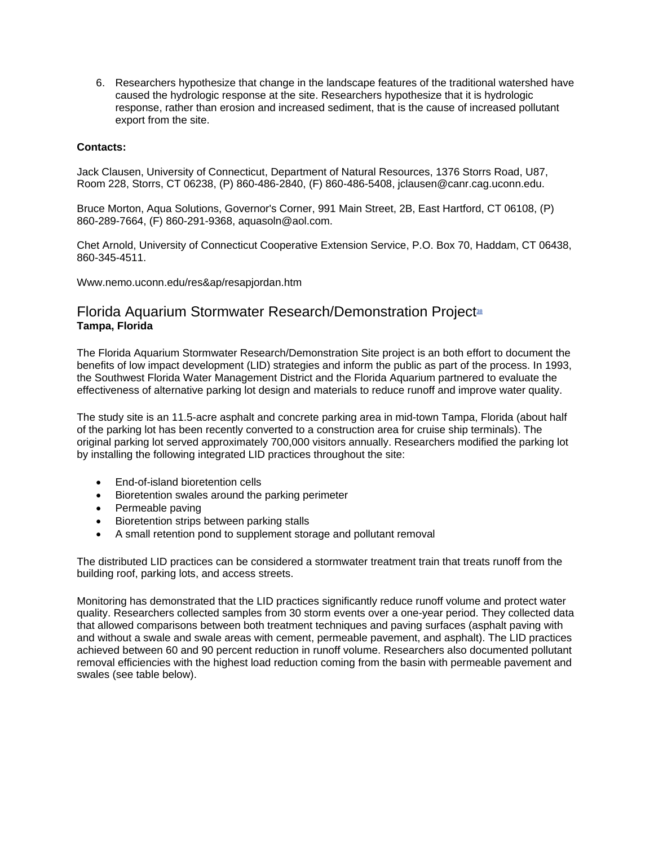6. Researchers hypothesize that change in the landscape features of the traditional watershed have caused the hydrologic response at the site. Researchers hypothesize that it is hydrologic response, rather than erosion and increased sediment, that is the cause of increased pollutant export from the site.

#### **Contacts:**

Jack Clausen, University of Connecticut, Department of Natural Resources, 1376 Storrs Road, U87, Room 228, Storrs, CT 06238, (P) 860-486-2840, (F) 860-486-5408, jclausen@canr.cag.uconn.edu.

Bruce Morton, Aqua Solutions, Governor's Corner, 991 Main Street, 2B, East Hartford, CT 06108, (P) 860-289-7664, (F) 860-291-9368, aquasoln@aol.com.

Chet Arnold, University of Connecticut Cooperative Extension Service, P.O. Box 70, Haddam, CT 06438, 860-345-4511.

Www.nemo.uconn.edu/res&ap/resapjordan.htm

### Florida Aquarium Stormwater Research/Demonstration Project<sup>38</sup> **Tampa, Florida**

The Florida Aquarium Stormwater Research/Demonstration Site project is an both effort to document the benefits of low impact development (LID) strategies and inform the public as part of the process. In 1993, the Southwest Florida Water Management District and the Florida Aquarium partnered to evaluate the effectiveness of alternative parking lot design and materials to reduce runoff and improve water quality.

The study site is an 11.5-acre asphalt and concrete parking area in mid-town Tampa, Florida (about half of the parking lot has been recently converted to a construction area for cruise ship terminals). The original parking lot served approximately 700,000 visitors annually. Researchers modified the parking lot by installing the following integrated LID practices throughout the site:

- End-of-island bioretention cells
- Bioretention swales around the parking perimeter
- Permeable paving
- Bioretention strips between parking stalls
- A small retention pond to supplement storage and pollutant removal

The distributed LID practices can be considered a stormwater treatment train that treats runoff from the building roof, parking lots, and access streets.

Monitoring has demonstrated that the LID practices significantly reduce runoff volume and protect water quality. Researchers collected samples from 30 storm events over a one-year period. They collected data that allowed comparisons between both treatment techniques and paving surfaces (asphalt paving with and without a swale and swale areas with cement, permeable pavement, and asphalt). The LID practices achieved between 60 and 90 percent reduction in runoff volume. Researchers also documented pollutant removal efficiencies with the highest load reduction coming from the basin with permeable pavement and swales (see table below).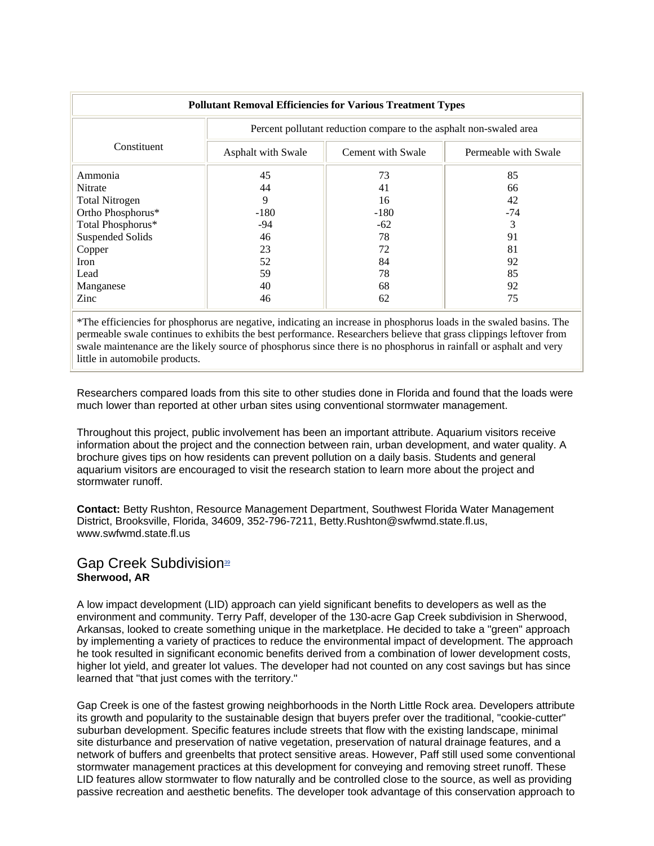| <b>Pollutant Removal Efficiencies for Various Treatment Types</b> |                                                                    |                   |                      |  |  |  |
|-------------------------------------------------------------------|--------------------------------------------------------------------|-------------------|----------------------|--|--|--|
|                                                                   | Percent pollutant reduction compare to the asphalt non-swaled area |                   |                      |  |  |  |
| Constituent                                                       | Asphalt with Swale                                                 | Cement with Swale | Permeable with Swale |  |  |  |
| Ammonia                                                           | 45                                                                 | 73                | 85                   |  |  |  |
| Nitrate                                                           | 44                                                                 | 41                | 66                   |  |  |  |
| <b>Total Nitrogen</b>                                             | 9                                                                  | 16                | 42                   |  |  |  |
| Ortho Phosphorus*                                                 | $-180$                                                             | $-180$            | $-74$                |  |  |  |
| Total Phosphorus*                                                 | $-94$                                                              | $-62$             | 3                    |  |  |  |
| <b>Suspended Solids</b>                                           | 46                                                                 | 78                | 91                   |  |  |  |
| Copper                                                            | 23                                                                 | 72                | 81                   |  |  |  |
| Iron                                                              | 52                                                                 | 84                | 92                   |  |  |  |
| Lead                                                              | 59                                                                 | 78                | 85                   |  |  |  |
| Manganese                                                         | 40                                                                 | 68                | 92                   |  |  |  |
| Zinc                                                              | 46                                                                 | 62                | 75                   |  |  |  |

\*The efficiencies for phosphorus are negative, indicating an increase in phosphorus loads in the swaled basins. The permeable swale continues to exhibits the best performance. Researchers believe that grass clippings leftover from swale maintenance are the likely source of phosphorus since there is no phosphorus in rainfall or asphalt and very little in automobile products.

Researchers compared loads from this site to other studies done in Florida and found that the loads were much lower than reported at other urban sites using conventional stormwater management.

Throughout this project, public involvement has been an important attribute. Aquarium visitors receive information about the project and the connection between rain, urban development, and water quality. A brochure gives tips on how residents can prevent pollution on a daily basis. Students and general aquarium visitors are encouraged to visit the research station to learn more about the project and stormwater runoff.

**Contact:** Betty Rushton, Resource Management Department, Southwest Florida Water Management District, Brooksville, Florida, 34609, 352-796-7211, Betty.Rushton@swfwmd.state.fl.us, www.swfwmd.state.fl.us

### Gap Creek Subdivision<sup>39</sup> **Sherwood, AR**

A low impact development (LID) approach can yield significant benefits to developers as well as the environment and community. Terry Paff, developer of the 130-acre Gap Creek subdivision in Sherwood, Arkansas, looked to create something unique in the marketplace. He decided to take a "green" approach by implementing a variety of practices to reduce the environmental impact of development. The approach he took resulted in significant economic benefits derived from a combination of lower development costs, higher lot yield, and greater lot values. The developer had not counted on any cost savings but has since learned that "that just comes with the territory."

Gap Creek is one of the fastest growing neighborhoods in the North Little Rock area. Developers attribute its growth and popularity to the sustainable design that buyers prefer over the traditional, "cookie-cutter" suburban development. Specific features include streets that flow with the existing landscape, minimal site disturbance and preservation of native vegetation, preservation of natural drainage features, and a network of buffers and greenbelts that protect sensitive areas. However, Paff still used some conventional stormwater management practices at this development for conveying and removing street runoff. These LID features allow stormwater to flow naturally and be controlled close to the source, as well as providing passive recreation and aesthetic benefits. The developer took advantage of this conservation approach to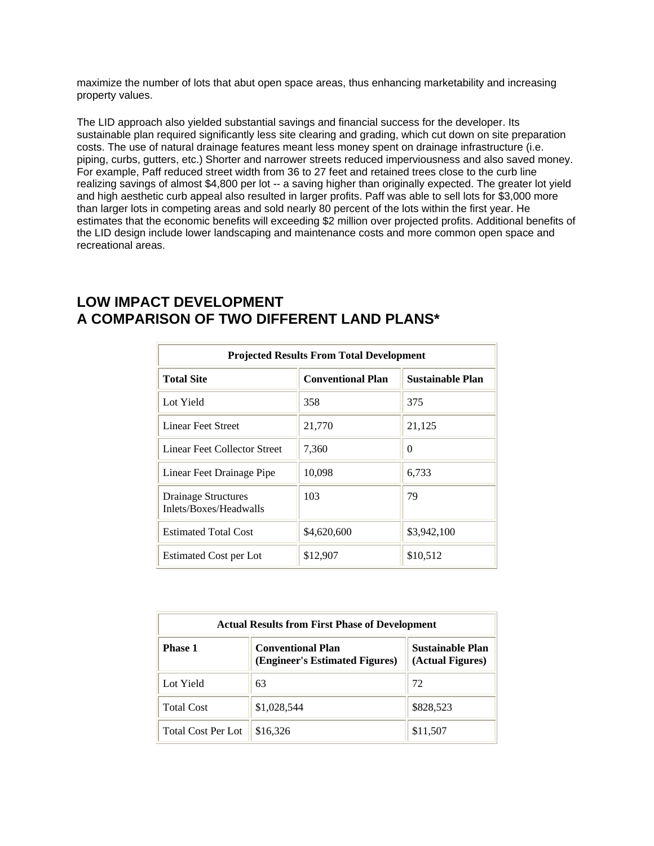maximize the number of lots that abut open space areas, thus enhancing marketability and increasing property values.

The LID approach also yielded substantial savings and financial success for the developer. Its sustainable plan required significantly less site clearing and grading, which cut down on site preparation costs. The use of natural drainage features meant less money spent on drainage infrastructure (i.e. piping, curbs, gutters, etc.) Shorter and narrower streets reduced imperviousness and also saved money. For example, Paff reduced street width from 36 to 27 feet and retained trees close to the curb line realizing savings of almost \$4,800 per lot -- a saving higher than originally expected. The greater lot yield and high aesthetic curb appeal also resulted in larger profits. Paff was able to sell lots for \$3,000 more than larger lots in competing areas and sold nearly 80 percent of the lots within the first year. He estimates that the economic benefits will exceeding \$2 million over projected profits. Additional benefits of the LID design include lower landscaping and maintenance costs and more common open space and recreational areas.

| <b>Projected Results From Total Development</b>      |                          |                         |  |  |
|------------------------------------------------------|--------------------------|-------------------------|--|--|
| <b>Total Site</b>                                    | <b>Conventional Plan</b> | <b>Sustainable Plan</b> |  |  |
| Lot Yield                                            | 358                      | 375                     |  |  |
| Linear Feet Street                                   | 21,770                   | 21,125                  |  |  |
| Linear Feet Collector Street                         | 7,360                    | 0                       |  |  |
| Linear Feet Drainage Pipe                            | 10,098                   | 6,733                   |  |  |
| <b>Drainage Structures</b><br>Inlets/Boxes/Headwalls | 103                      | 79                      |  |  |
| <b>Estimated Total Cost</b>                          | \$4,620,600              | \$3,942,100             |  |  |
| Estimated Cost per Lot                               | \$12,907                 | \$10,512                |  |  |

### **LOW IMPACT DEVELOPMENT A COMPARISON OF TWO DIFFERENT LAND PLANS\***

| <b>Actual Results from First Phase of Development</b> |                                                                                                           |           |  |  |
|-------------------------------------------------------|-----------------------------------------------------------------------------------------------------------|-----------|--|--|
| <b>Phase 1</b>                                        | <b>Sustainable Plan</b><br><b>Conventional Plan</b><br>(Engineer's Estimated Figures)<br>(Actual Figures) |           |  |  |
| Lot Yield                                             | 63                                                                                                        | 72        |  |  |
| <b>Total Cost</b>                                     | \$1,028,544                                                                                               | \$828,523 |  |  |
| <b>Total Cost Per Lot</b>                             | \$16,326                                                                                                  | \$11,507  |  |  |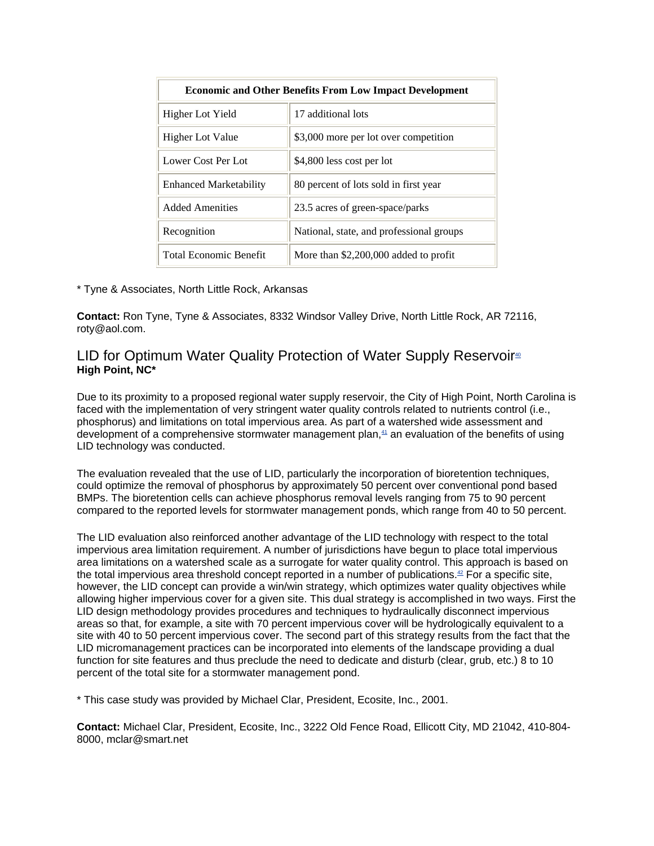| <b>Economic and Other Benefits From Low Impact Development</b> |                                          |  |  |
|----------------------------------------------------------------|------------------------------------------|--|--|
| Higher Lot Yield                                               | 17 additional lots                       |  |  |
| <b>Higher Lot Value</b>                                        | \$3,000 more per lot over competition    |  |  |
| Lower Cost Per Lot                                             | \$4,800 less cost per lot                |  |  |
| <b>Enhanced Marketability</b>                                  | 80 percent of lots sold in first year    |  |  |
| Added Amenities                                                | 23.5 acres of green-space/parks          |  |  |
| Recognition                                                    | National, state, and professional groups |  |  |
| <b>Total Economic Benefit</b>                                  | More than \$2,200,000 added to profit    |  |  |

\* Tyne & Associates, North Little Rock, Arkansas

**Contact:** Ron Tyne, Tyne & Associates, 8332 Windsor Valley Drive, North Little Rock, AR 72116, roty@aol.com.

### LID for Optimum Water Quality Protection of Water Supply Reservoir<sup> $\omega$ </sup> **High Point, NC\***

Due to its proximity to a proposed regional water supply reservoir, the City of High Point, North Carolina is faced with the implementation of very stringent water quality controls related to nutrients control (i.e., phosphorus) and limitations on total impervious area. As part of a watershed wide assessment and development of a comprehensive stormwater management plan, $41$  an evaluation of the benefits of using LID technology was conducted.

The evaluation revealed that the use of LID, particularly the incorporation of bioretention techniques, could optimize the removal of phosphorus by approximately 50 percent over conventional pond based BMPs. The bioretention cells can achieve phosphorus removal levels ranging from 75 to 90 percent compared to the reported levels for stormwater management ponds, which range from 40 to 50 percent.

The LID evaluation also reinforced another advantage of the LID technology with respect to the total impervious area limitation requirement. A number of jurisdictions have begun to place total impervious area limitations on a watershed scale as a surrogate for water quality control. This approach is based on the total impervious area threshold concept reported in a number of publications.<sup>42</sup> For a specific site, however, the LID concept can provide a win/win strategy, which optimizes water quality objectives while allowing higher impervious cover for a given site. This dual strategy is accomplished in two ways. First the LID design methodology provides procedures and techniques to hydraulically disconnect impervious areas so that, for example, a site with 70 percent impervious cover will be hydrologically equivalent to a site with 40 to 50 percent impervious cover. The second part of this strategy results from the fact that the LID micromanagement practices can be incorporated into elements of the landscape providing a dual function for site features and thus preclude the need to dedicate and disturb (clear, grub, etc.) 8 to 10 percent of the total site for a stormwater management pond.

\* This case study was provided by Michael Clar, President, Ecosite, Inc., 2001.

**Contact:** Michael Clar, President, Ecosite, Inc., 3222 Old Fence Road, Ellicott City, MD 21042, 410-804- 8000, mclar@smart.net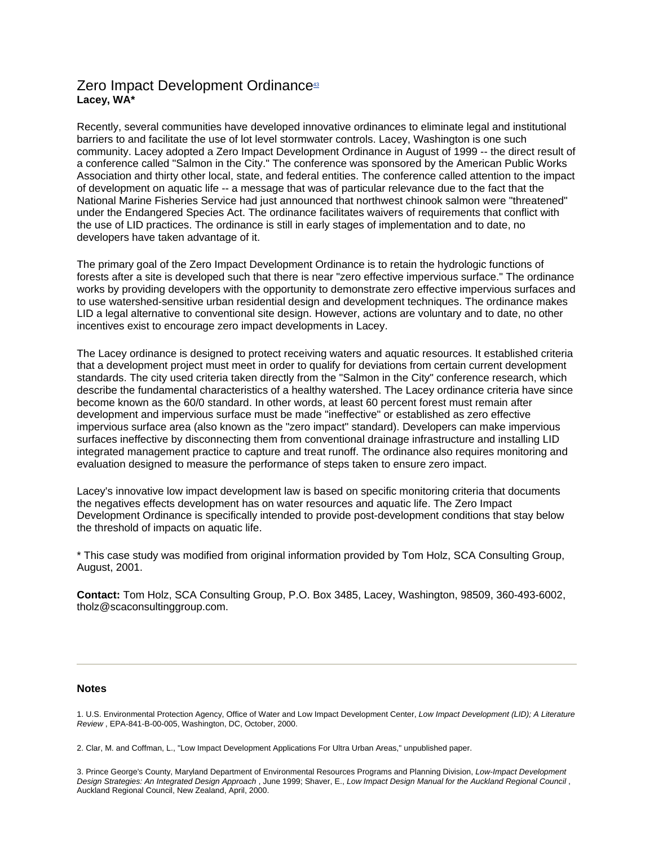### Zero Impact Development Ordinance<sup>43</sup> **Lacey, WA\***

Recently, several communities have developed innovative ordinances to eliminate legal and institutional barriers to and facilitate the use of lot level stormwater controls. Lacey, Washington is one such community. Lacey adopted a Zero Impact Development Ordinance in August of 1999 -- the direct result of a conference called "Salmon in the City." The conference was sponsored by the American Public Works Association and thirty other local, state, and federal entities. The conference called attention to the impact of development on aquatic life -- a message that was of particular relevance due to the fact that the National Marine Fisheries Service had just announced that northwest chinook salmon were "threatened" under the Endangered Species Act. The ordinance facilitates waivers of requirements that conflict with the use of LID practices. The ordinance is still in early stages of implementation and to date, no developers have taken advantage of it.

The primary goal of the Zero Impact Development Ordinance is to retain the hydrologic functions of forests after a site is developed such that there is near "zero effective impervious surface." The ordinance works by providing developers with the opportunity to demonstrate zero effective impervious surfaces and to use watershed-sensitive urban residential design and development techniques. The ordinance makes LID a legal alternative to conventional site design. However, actions are voluntary and to date, no other incentives exist to encourage zero impact developments in Lacey.

The Lacey ordinance is designed to protect receiving waters and aquatic resources. It established criteria that a development project must meet in order to qualify for deviations from certain current development standards. The city used criteria taken directly from the "Salmon in the City" conference research, which describe the fundamental characteristics of a healthy watershed. The Lacey ordinance criteria have since become known as the 60/0 standard. In other words, at least 60 percent forest must remain after development and impervious surface must be made "ineffective" or established as zero effective impervious surface area (also known as the "zero impact" standard). Developers can make impervious surfaces ineffective by disconnecting them from conventional drainage infrastructure and installing LID integrated management practice to capture and treat runoff. The ordinance also requires monitoring and evaluation designed to measure the performance of steps taken to ensure zero impact.

Lacey's innovative low impact development law is based on specific monitoring criteria that documents the negatives effects development has on water resources and aquatic life. The Zero Impact Development Ordinance is specifically intended to provide post-development conditions that stay below the threshold of impacts on aquatic life.

\* This case study was modified from original information provided by Tom Holz, SCA Consulting Group, August, 2001.

**Contact:** Tom Holz, SCA Consulting Group, P.O. Box 3485, Lacey, Washington, 98509, 360-493-6002, tholz@scaconsultinggroup.com.

#### **Notes**

<sup>1.</sup> U.S. Environmental Protection Agency, Office of Water and Low Impact Development Center, *Low Impact Development (LID); A Literature Review* , EPA-841-B-00-005, Washington, DC, October, 2000.

<sup>2.</sup> Clar, M. and Coffman, L., "Low Impact Development Applications For Ultra Urban Areas," unpublished paper.

<sup>3.</sup> Prince George's County, Maryland Department of Environmental Resources Programs and Planning Division, *Low-Impact Development Design Strategies: An Integrated Design Approach* , June 1999; Shaver, E., *Low Impact Design Manual for the Auckland Regional Council* , Auckland Regional Council, New Zealand, April, 2000.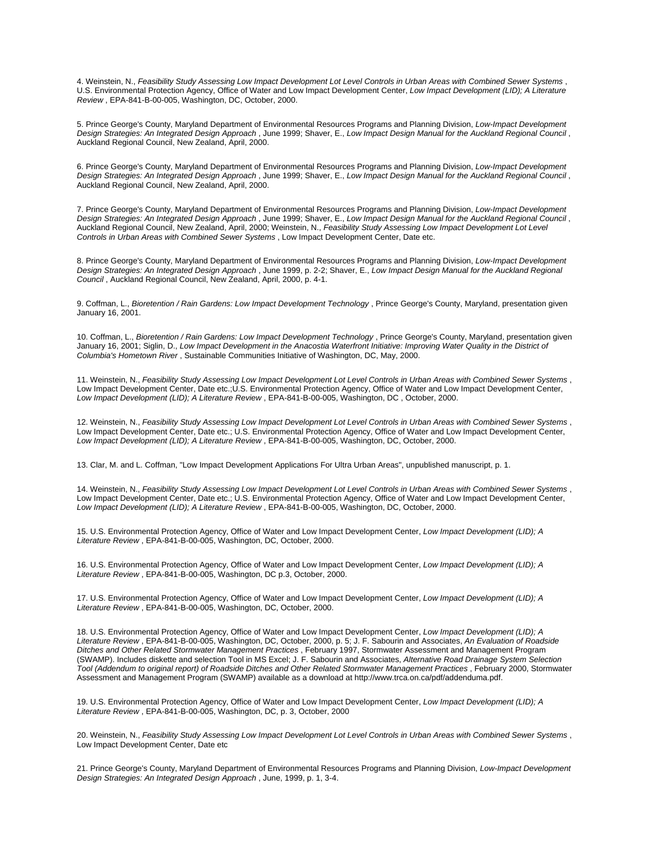4. Weinstein, N., *Feasibility Study Assessing Low Impact Development Lot Level Controls in Urban Areas with Combined Sewer Systems* , U.S. Environmental Protection Agency, Office of Water and Low Impact Development Center, *Low Impact Development (LID); A Literature Review* , EPA-841-B-00-005, Washington, DC, October, 2000.

5. Prince George's County, Maryland Department of Environmental Resources Programs and Planning Division, *Low-Impact Development Design Strategies: An Integrated Design Approach* , June 1999; Shaver, E., *Low Impact Design Manual for the Auckland Regional Council* , Auckland Regional Council, New Zealand, April, 2000.

6. Prince George's County, Maryland Department of Environmental Resources Programs and Planning Division, *Low-Impact Development Design Strategies: An Integrated Design Approach* , June 1999; Shaver, E., *Low Impact Design Manual for the Auckland Regional Council* , Auckland Regional Council, New Zealand, April, 2000.

7. Prince George's County, Maryland Department of Environmental Resources Programs and Planning Division, *Low-Impact Development Design Strategies: An Integrated Design Approach* , June 1999; Shaver, E., *Low Impact Design Manual for the Auckland Regional Council* , Auckland Regional Council, New Zealand, April, 2000; Weinstein, N., *Feasibility Study Assessing Low Impact Development Lot Level Controls in Urban Areas with Combined Sewer Systems* , Low Impact Development Center, Date etc.

8. Prince George's County, Maryland Department of Environmental Resources Programs and Planning Division, *Low-Impact Development Design Strategies: An Integrated Design Approach* , June 1999, p. 2-2; Shaver, E., *Low Impact Design Manual for the Auckland Regional Council* , Auckland Regional Council, New Zealand, April, 2000, p. 4-1.

9. Coffman, L., *Bioretention / Rain Gardens: Low Impact Development Technology*, Prince George's County, Maryland, presentation given January 16, 2001.

10. Coffman, L., *Bioretention / Rain Gardens: Low Impact Development Technology*, Prince George's County, Maryland, presentation given January 16, 2001; Siglin, D., *Low Impact Development in the Anacostia Waterfront Initiative: Improving Water Quality in the District of Columbia's Hometown River* , Sustainable Communities Initiative of Washington, DC, May, 2000.

11. Weinstein, N., *Feasibility Study Assessing Low Impact Development Lot Level Controls in Urban Areas with Combined Sewer Systems* , Low Impact Development Center, Date etc.;U.S. Environmental Protection Agency, Office of Water and Low Impact Development Center, *Low Impact Development (LID); A Literature Review* , EPA-841-B-00-005, Washington, DC , October, 2000.

12. Weinstein, N., *Feasibility Study Assessing Low Impact Development Lot Level Controls in Urban Areas with Combined Sewer Systems* , Low Impact Development Center, Date etc.; U.S. Environmental Protection Agency, Office of Water and Low Impact Development Center, *Low Impact Development (LID); A Literature Review* , EPA-841-B-00-005, Washington, DC, October, 2000.

13. Clar, M. and L. Coffman, "Low Impact Development Applications For Ultra Urban Areas", unpublished manuscript, p. 1.

14. Weinstein, N., *Feasibility Study Assessing Low Impact Development Lot Level Controls in Urban Areas with Combined Sewer Systems* , Low Impact Development Center, Date etc.; U.S. Environmental Protection Agency, Office of Water and Low Impact Development Center, *Low Impact Development (LID); A Literature Review* , EPA-841-B-00-005, Washington, DC, October, 2000.

15. U.S. Environmental Protection Agency, Office of Water and Low Impact Development Center, *Low Impact Development (LID); A Literature Review* , EPA-841-B-00-005, Washington, DC, October, 2000.

16. U.S. Environmental Protection Agency, Office of Water and Low Impact Development Center, *Low Impact Development (LID); A Literature Review* , EPA-841-B-00-005, Washington, DC p.3, October, 2000.

17. U.S. Environmental Protection Agency, Office of Water and Low Impact Development Center, *Low Impact Development (LID); A Literature Review* , EPA-841-B-00-005, Washington, DC, October, 2000.

18. U.S. Environmental Protection Agency, Office of Water and Low Impact Development Center, *Low Impact Development (LID); A Literature Review* , EPA-841-B-00-005, Washington, DC, October, 2000, p. 5; J. F. Sabourin and Associates, *An Evaluation of Roadside Ditches and Other Related Stormwater Management Practices* , February 1997, Stormwater Assessment and Management Program (SWAMP). Includes diskette and selection Tool in MS Excel; J. F. Sabourin and Associates, *Alternative Road Drainage System Selection Tool (Addendum to original report) of Roadside Ditches and Other Related Stormwater Management Practices* , February 2000, Stormwater Assessment and Management Program (SWAMP) available as a download at http://www.trca.on.ca/pdf/addenduma.pdf.

19. U.S. Environmental Protection Agency, Office of Water and Low Impact Development Center, *Low Impact Development (LID); A Literature Review* , EPA-841-B-00-005, Washington, DC, p. 3, October, 2000

20. Weinstein, N., *Feasibility Study Assessing Low Impact Development Lot Level Controls in Urban Areas with Combined Sewer Systems* , Low Impact Development Center, Date etc

21. Prince George's County, Maryland Department of Environmental Resources Programs and Planning Division, *Low-Impact Development Design Strategies: An Integrated Design Approach* , June, 1999, p. 1, 3-4.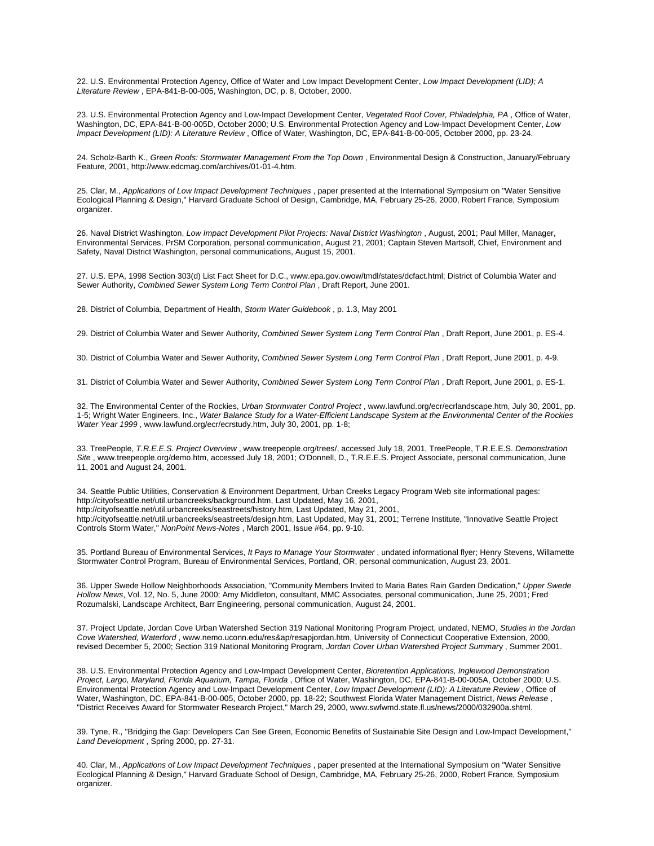22. U.S. Environmental Protection Agency, Office of Water and Low Impact Development Center, *Low Impact Development (LID); A Literature Review* , EPA-841-B-00-005, Washington, DC, p. 8, October, 2000.

23. U.S. Environmental Protection Agency and Low-Impact Development Center, *Vegetated Roof Cover, Philadelphia, PA* , Office of Water, Washington, DC, EPA-841-B-00-005D, October 2000; U.S. Environmental Protection Agency and Low-Impact Development Center, *Low Impact Development (LID): A Literature Review* , Office of Water, Washington, DC, EPA-841-B-00-005, October 2000, pp. 23-24.

24. Scholz-Barth K., Green Roofs: Stormwater Management From the Top Down, Environmental Design & Construction, January/February Feature, 2001, http://www.edcmag.com/archives/01-01-4.htm.

25. Clar, M., *Applications of Low Impact Development Techniques* , paper presented at the International Symposium on "Water Sensitive Ecological Planning & Design," Harvard Graduate School of Design, Cambridge, MA, February 25-26, 2000, Robert France, Symposium organizer.

26. Naval District Washington, Low Impact Development Pilot Projects: Naval District Washington, August, 2001; Paul Miller, Manager, Environmental Services, PrSM Corporation, personal communication, August 21, 2001; Captain Steven Martsolf, Chief, Environment and Safety, Naval District Washington, personal communications, August 15, 2001.

27. U.S. EPA, 1998 Section 303(d) List Fact Sheet for D.C., www.epa.gov.owow/tmdl/states/dcfact.html; District of Columbia Water and Sewer Authority, *Combined Sewer System Long Term Control Plan* , Draft Report, June 2001.

28. District of Columbia, Department of Health, *Storm Water Guidebook* , p. 1.3, May 2001

29. District of Columbia Water and Sewer Authority, *Combined Sewer System Long Term Control Plan* , Draft Report, June 2001, p. ES-4.

30. District of Columbia Water and Sewer Authority, *Combined Sewer System Long Term Control Plan* , Draft Report, June 2001, p. 4-9.

31. District of Columbia Water and Sewer Authority, *Combined Sewer System Long Term Control Plan* , Draft Report, June 2001, p. ES-1.

32. The Environmental Center of the Rockies, *Urban Stormwater Control Project* , www.lawfund.org/ecr/ecrlandscape.htm, July 30, 2001, pp. 1-5; Wright Water Engineers, Inc., *Water Balance Study for a Water-Efficient Landscape System at the Environmental Center of the Rockies Water Year 1999* , www.lawfund.org/ecr/ecrstudy.htm, July 30, 2001, pp. 1-8;

33. TreePeople, *T.R.E.E.S. Project Overview* , www.treepeople.org/trees/, accessed July 18, 2001, TreePeople, T.R.E.E.S. *Demonstration Site* , www.treepeople.org/demo.htm, accessed July 18, 2001; O'Donnell, D., T.R.E.E.S. Project Associate, personal communication, June 11, 2001 and August 24, 2001.

34. Seattle Public Utilities, Conservation & Environment Department, Urban Creeks Legacy Program Web site informational pages: http://cityofseattle.net/util.urbancreeks/background.htm, Last Updated, May 16, 2001, http://cityofseattle.net/util.urbancreeks/seastreets/history.htm, Last Updated, May 21, 2001, http://cityofseattle.net/util.urbancreeks/seastreets/design.htm, Last Updated, May 31, 2001; Terrene Institute, "Innovative Seattle Project Controls Storm Water," *NonPoint News-Notes* , March 2001, Issue #64, pp. 9-10.

35. Portland Bureau of Environmental Services, *It Pays to Manage Your Stormwater* , undated informational flyer; Henry Stevens, Willamette Stormwater Control Program, Bureau of Environmental Services, Portland, OR, personal communication, August 23, 2001.

36. Upper Swede Hollow Neighborhoods Association, "Community Members Invited to Maria Bates Rain Garden Dedication," *Upper Swede Hollow News*, Vol. 12, No. 5, June 2000; Amy Middleton, consultant, MMC Associates, personal communication, June 25, 2001; Fred Rozumalski, Landscape Architect, Barr Engineering, personal communication, August 24, 2001.

37. Project Update, Jordan Cove Urban Watershed Section 319 National Monitoring Program Project, undated, NEMO, *Studies in the Jordan Cove Watershed, Waterford* , www.nemo.uconn.edu/res&ap/resapjordan.htm, University of Connecticut Cooperative Extension, 2000, revised December 5, 2000; Section 319 National Monitoring Program, *Jordan Cover Urban Watershed Project Summar*y , Summer 2001.

38. U.S. Environmental Protection Agency and Low-Impact Development Center, *Bioretention Applications, Inglewood Demonstration Project, Largo, Maryland, Florida Aquarium, Tampa, Florida* , Office of Water, Washington, DC, EPA-841-B-00-005A, October 2000; U.S. Environmental Protection Agency and Low-Impact Development Center, *Low Impact Development (LID): A Literature Review* , Office of Water, Washington, DC, EPA-841-B-00-005, October 2000, pp. 18-22; Southwest Florida Water Management District, *News Release* , "District Receives Award for Stormwater Research Project," March 29, 2000, www.swfwmd.state.fl.us/news/2000/032900a.shtml.

39. Tyne, R., "Bridging the Gap: Developers Can See Green, Economic Benefits of Sustainable Site Design and Low-Impact Development," *Land Development* , Spring 2000, pp. 27-31.

40. Clar, M., Applications of Low Impact Development Techniques, paper presented at the International Symposium on "Water Sensitive Ecological Planning & Design," Harvard Graduate School of Design, Cambridge, MA, February 25-26, 2000, Robert France, Symposium organizer.